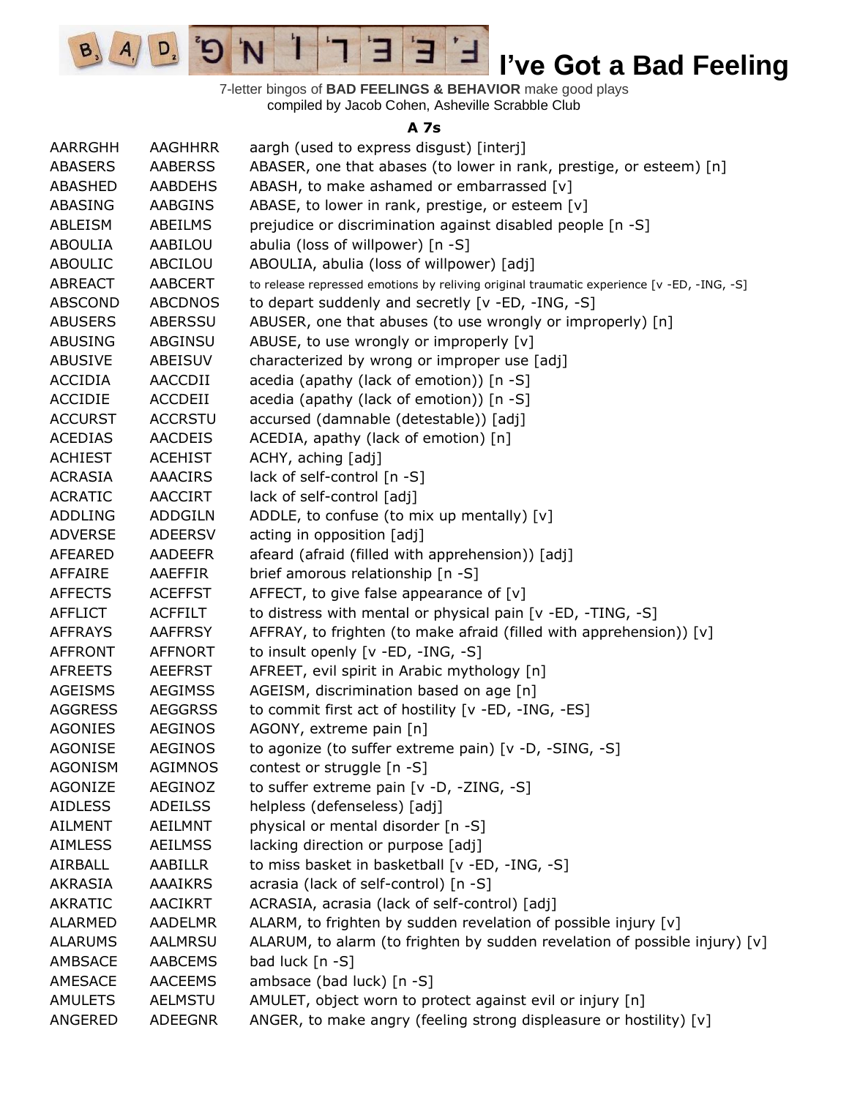$\overline{E}$ Ί  $\mathbf{C}^{\mathbf{S}}$ 'N 3 **I've Got a Bad Feeling** ᅼ

 $\left| A \right|$ 

 $D_{2}$ 

 $B_3$ 

7-letter bingos of **BAD FEELINGS & BEHAVIOR** make good plays compiled by Jacob Cohen, Asheville Scrabble Club

#### **A 7s**

| AARRGHH        | <b>AAGHHRR</b> | aargh (used to express disgust) [interj]                                                  |
|----------------|----------------|-------------------------------------------------------------------------------------------|
| <b>ABASERS</b> | <b>AABERSS</b> | ABASER, one that abases (to lower in rank, prestige, or esteem) [n]                       |
| <b>ABASHED</b> | <b>AABDEHS</b> | ABASH, to make ashamed or embarrassed [v]                                                 |
| ABASING        | AABGINS        | ABASE, to lower in rank, prestige, or esteem [v]                                          |
| ABLEISM        | ABEILMS        | prejudice or discrimination against disabled people [n -S]                                |
| <b>ABOULIA</b> | AABILOU        | abulia (loss of willpower) [n -S]                                                         |
| <b>ABOULIC</b> | ABCILOU        | ABOULIA, abulia (loss of willpower) [adj]                                                 |
| <b>ABREACT</b> | <b>AABCERT</b> | to release repressed emotions by reliving original traumatic experience [v -ED, -ING, -S] |
| <b>ABSCOND</b> | <b>ABCDNOS</b> | to depart suddenly and secretly [v -ED, -ING, -S]                                         |
| <b>ABUSERS</b> | ABERSSU        | ABUSER, one that abuses (to use wrongly or improperly) [n]                                |
| <b>ABUSING</b> | ABGINSU        | ABUSE, to use wrongly or improperly [v]                                                   |
| <b>ABUSIVE</b> | ABEISUV        | characterized by wrong or improper use [adj]                                              |
| <b>ACCIDIA</b> | AACCDII        | acedia (apathy (lack of emotion)) [n -S]                                                  |
| <b>ACCIDIE</b> | ACCDEII        | acedia (apathy (lack of emotion)) [n -S]                                                  |
| <b>ACCURST</b> | <b>ACCRSTU</b> | accursed (damnable (detestable)) [adj]                                                    |
| <b>ACEDIAS</b> | <b>AACDEIS</b> | ACEDIA, apathy (lack of emotion) [n]                                                      |
| <b>ACHIEST</b> | <b>ACEHIST</b> | ACHY, aching [adj]                                                                        |
| <b>ACRASIA</b> |                | lack of self-control [n -S]                                                               |
|                | <b>AAACIRS</b> |                                                                                           |
| <b>ACRATIC</b> | <b>AACCIRT</b> | lack of self-control [adj]                                                                |
| <b>ADDLING</b> | <b>ADDGILN</b> | ADDLE, to confuse (to mix up mentally) [v]                                                |
| <b>ADVERSE</b> | <b>ADEERSV</b> | acting in opposition [adj]                                                                |
| AFEARED        | <b>AADEEFR</b> | afeard (afraid (filled with apprehension)) [adj]                                          |
| AFFAIRE        | AAEFFIR        | brief amorous relationship [n -S]                                                         |
| <b>AFFECTS</b> | <b>ACEFFST</b> | AFFECT, to give false appearance of $[v]$                                                 |
| <b>AFFLICT</b> | <b>ACFFILT</b> | to distress with mental or physical pain [v -ED, -TING, -S]                               |
| <b>AFFRAYS</b> | <b>AAFFRSY</b> | AFFRAY, to frighten (to make afraid (filled with apprehension)) [v]                       |
| <b>AFFRONT</b> | <b>AFFNORT</b> | to insult openly [v -ED, -ING, -S]                                                        |
| <b>AFREETS</b> | <b>AEEFRST</b> | AFREET, evil spirit in Arabic mythology [n]                                               |
| <b>AGEISMS</b> | <b>AEGIMSS</b> | AGEISM, discrimination based on age [n]                                                   |
| <b>AGGRESS</b> | <b>AEGGRSS</b> | to commit first act of hostility [v -ED, -ING, -ES]                                       |
| <b>AGONIES</b> | <b>AEGINOS</b> | AGONY, extreme pain [n]                                                                   |
| <b>AGONISE</b> | AEGINOS        | to agonize (to suffer extreme pain) [v -D, -SING, -S]                                     |
| <b>AGONISM</b> | <b>AGIMNOS</b> | contest or struggle [n -S]                                                                |
| <b>AGONIZE</b> | AEGINOZ        | to suffer extreme pain [v -D, -ZING, -S]                                                  |
| <b>AIDLESS</b> | <b>ADEILSS</b> | helpless (defenseless) [adj]                                                              |
| <b>AILMENT</b> | <b>AEILMNT</b> | physical or mental disorder [n -S]                                                        |
| <b>AIMLESS</b> | <b>AEILMSS</b> | lacking direction or purpose [adj]                                                        |
| AIRBALL        | AABILLR        | to miss basket in basketball [v -ED, -ING, -S]                                            |
| <b>AKRASIA</b> | <b>AAAIKRS</b> | acrasia (lack of self-control) [n -S]                                                     |
| <b>AKRATIC</b> | <b>AACIKRT</b> | ACRASIA, acrasia (lack of self-control) [adj]                                             |
| <b>ALARMED</b> | AADELMR        | ALARM, to frighten by sudden revelation of possible injury [v]                            |
| <b>ALARUMS</b> | AALMRSU        | ALARUM, to alarm (to frighten by sudden revelation of possible injury) [v]                |
| AMBSACE        | <b>AABCEMS</b> | bad luck [n -S]                                                                           |
| AMESACE        | <b>AACEEMS</b> | ambsace (bad luck) [n -S]                                                                 |
| <b>AMULETS</b> | AELMSTU        | AMULET, object worn to protect against evil or injury [n]                                 |
| ANGERED        | <b>ADEEGNR</b> | ANGER, to make angry (feeling strong displeasure or hostility) [v]                        |
|                |                |                                                                                           |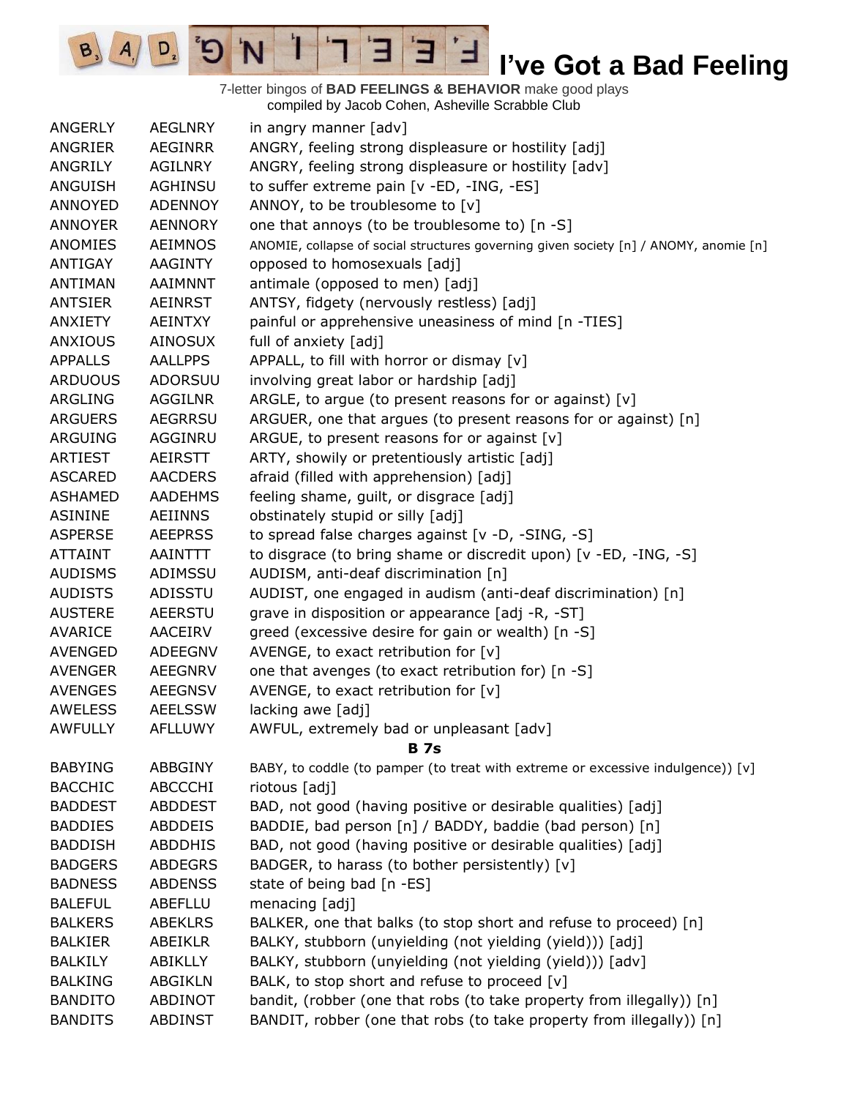7-letter bingos of **BAD FEELINGS & BEHAVIOR** make good plays compiled by Jacob Cohen, Asheville Scrabble Club

E

3

 $\frac{1}{2}$ 

'N

 $B_3$ 

 $A_{1}$ 

 $D_{2}$ 

| <b>ANGERLY</b> | <b>AEGLNRY</b> | in angry manner [adv]                                                                 |
|----------------|----------------|---------------------------------------------------------------------------------------|
| ANGRIER        | <b>AEGINRR</b> | ANGRY, feeling strong displeasure or hostility [adj]                                  |
| ANGRILY        | <b>AGILNRY</b> | ANGRY, feeling strong displeasure or hostility [adv]                                  |
| ANGUISH        | <b>AGHINSU</b> | to suffer extreme pain [v -ED, -ING, -ES]                                             |
| ANNOYED        | <b>ADENNOY</b> | ANNOY, to be troublesome to [v]                                                       |
| <b>ANNOYER</b> | <b>AENNORY</b> | one that annoys (to be troublesome to) [n -S]                                         |
| ANOMIES        | <b>AEIMNOS</b> | ANOMIE, collapse of social structures governing given society [n] / ANOMY, anomie [n] |
| ANTIGAY        | AAGINTY        | opposed to homosexuals [adj]                                                          |
| <b>ANTIMAN</b> | AAIMNNT        | antimale (opposed to men) [adj]                                                       |
| <b>ANTSIER</b> | <b>AEINRST</b> | ANTSY, fidgety (nervously restless) [adj]                                             |
| ANXIETY        | <b>AEINTXY</b> | painful or apprehensive uneasiness of mind [n -TIES]                                  |
| <b>ANXIOUS</b> | <b>AINOSUX</b> | full of anxiety [adj]                                                                 |
| <b>APPALLS</b> | <b>AALLPPS</b> | APPALL, to fill with horror or dismay [v]                                             |
| <b>ARDUOUS</b> | <b>ADORSUU</b> | involving great labor or hardship [adj]                                               |
| ARGLING        | <b>AGGILNR</b> | ARGLE, to argue (to present reasons for or against) [v]                               |
| <b>ARGUERS</b> | <b>AEGRRSU</b> | ARGUER, one that argues (to present reasons for or against) [n]                       |
| <b>ARGUING</b> | AGGINRU        | ARGUE, to present reasons for or against [v]                                          |
| <b>ARTIEST</b> | <b>AEIRSTT</b> | ARTY, showily or pretentiously artistic [adj]                                         |
| <b>ASCARED</b> | <b>AACDERS</b> | afraid (filled with apprehension) [adj]                                               |
| <b>ASHAMED</b> | <b>AADEHMS</b> | feeling shame, guilt, or disgrace [adj]                                               |
| <b>ASININE</b> | <b>AEIINNS</b> | obstinately stupid or silly [adj]                                                     |
| <b>ASPERSE</b> | <b>AEEPRSS</b> | to spread false charges against [v -D, -SING, -S]                                     |
| <b>ATTAINT</b> | AAINTTT        | to disgrace (to bring shame or discredit upon) [v -ED, -ING, -S]                      |
| <b>AUDISMS</b> | ADIMSSU        | AUDISM, anti-deaf discrimination [n]                                                  |
| <b>AUDISTS</b> | ADISSTU        | AUDIST, one engaged in audism (anti-deaf discrimination) [n]                          |
| <b>AUSTERE</b> | <b>AEERSTU</b> | grave in disposition or appearance [adj -R, -ST]                                      |
| AVARICE        | AACEIRV        | greed (excessive desire for gain or wealth) [n -S]                                    |
| <b>AVENGED</b> | <b>ADEEGNV</b> | AVENGE, to exact retribution for $[v]$                                                |
| <b>AVENGER</b> | <b>AEEGNRV</b> | one that avenges (to exact retribution for) [n -S]                                    |
| <b>AVENGES</b> | <b>AEEGNSV</b> | AVENGE, to exact retribution for [v]                                                  |
| <b>AWELESS</b> | <b>AEELSSW</b> | lacking awe [adj]                                                                     |
| <b>AWFULLY</b> | <b>AFLLUWY</b> | AWFUL, extremely bad or unpleasant [adv]                                              |
|                |                | <b>B</b> 7s                                                                           |
| <b>BABYING</b> | ABBGINY        | BABY, to coddle (to pamper (to treat with extreme or excessive indulgence)) [v]       |
| <b>BACCHIC</b> | <b>ABCCCHI</b> | riotous [adj]                                                                         |
| <b>BADDEST</b> | <b>ABDDEST</b> | BAD, not good (having positive or desirable qualities) [adj]                          |
| <b>BADDIES</b> | <b>ABDDEIS</b> | BADDIE, bad person [n] / BADDY, baddie (bad person) [n]                               |
| <b>BADDISH</b> | <b>ABDDHIS</b> | BAD, not good (having positive or desirable qualities) [adj]                          |
| <b>BADGERS</b> | <b>ABDEGRS</b> | BADGER, to harass (to bother persistently) [v]                                        |
| <b>BADNESS</b> | <b>ABDENSS</b> | state of being bad [n -ES]                                                            |
| <b>BALEFUL</b> | <b>ABEFLLU</b> | menacing [adj]                                                                        |
| <b>BALKERS</b> | <b>ABEKLRS</b> | BALKER, one that balks (to stop short and refuse to proceed) [n]                      |
| <b>BALKIER</b> | <b>ABEIKLR</b> | BALKY, stubborn (unyielding (not yielding (yield))) [adj]                             |
| <b>BALKILY</b> | ABIKLLY        | BALKY, stubborn (unyielding (not yielding (yield))) [adv]                             |
| <b>BALKING</b> | <b>ABGIKLN</b> | BALK, to stop short and refuse to proceed [v]                                         |
| <b>BANDITO</b> | ABDINOT        | bandit, (robber (one that robs (to take property from illegally)) [n]                 |
| <b>BANDITS</b> | <b>ABDINST</b> | BANDIT, robber (one that robs (to take property from illegally)) [n]                  |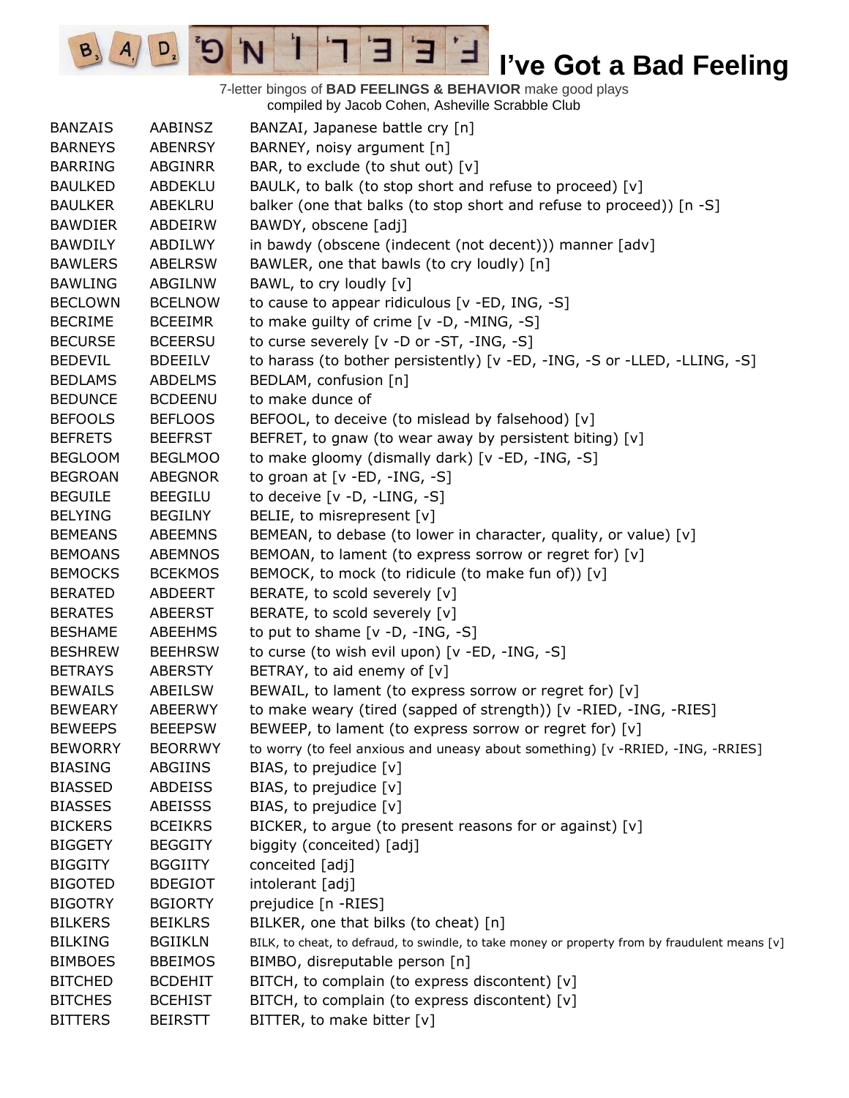7-letter bingos of **BAD FEELINGS & BEHAVIOR** make good plays compiled by Jacob Cohen, Asheville Scrabble Club

E

3

 $\frac{1}{2}$ 

'N

 $B_3$ 

 $A_{1}$ 

 $D_{2}$ 

| <b>BANZAIS</b> | AABINSZ        | BANZAI, Japanese battle cry [n]                                                                |
|----------------|----------------|------------------------------------------------------------------------------------------------|
| <b>BARNEYS</b> | <b>ABENRSY</b> | BARNEY, noisy argument [n]                                                                     |
| <b>BARRING</b> | <b>ABGINRR</b> | BAR, to exclude (to shut out) [v]                                                              |
| <b>BAULKED</b> | <b>ABDEKLU</b> | BAULK, to balk (to stop short and refuse to proceed) [v]                                       |
| <b>BAULKER</b> | ABEKLRU        | balker (one that balks (to stop short and refuse to proceed)) [n -S]                           |
| <b>BAWDIER</b> | ABDEIRW        | BAWDY, obscene [adj]                                                                           |
| <b>BAWDILY</b> | ABDILWY        | in bawdy (obscene (indecent (not decent))) manner [adv]                                        |
| <b>BAWLERS</b> | <b>ABELRSW</b> | BAWLER, one that bawls (to cry loudly) [n]                                                     |
| <b>BAWLING</b> | ABGILNW        | BAWL, to cry loudly [v]                                                                        |
| <b>BECLOWN</b> | <b>BCELNOW</b> | to cause to appear ridiculous $[v - ED, ING, -S]$                                              |
| <b>BECRIME</b> | <b>BCEEIMR</b> | to make guilty of crime [v -D, -MING, -S]                                                      |
| <b>BECURSE</b> | <b>BCEERSU</b> | to curse severely [v -D or -ST, -ING, -S]                                                      |
| <b>BEDEVIL</b> | <b>BDEEILV</b> | to harass (to bother persistently) [v -ED, -ING, -S or -LLED, -LLING, -S]                      |
| <b>BEDLAMS</b> | <b>ABDELMS</b> | BEDLAM, confusion [n]                                                                          |
| <b>BEDUNCE</b> | <b>BCDEENU</b> | to make dunce of                                                                               |
| <b>BEFOOLS</b> | <b>BEFLOOS</b> | BEFOOL, to deceive (to mislead by falsehood) [v]                                               |
| <b>BEFRETS</b> | <b>BEEFRST</b> | BEFRET, to gnaw (to wear away by persistent biting) [v]                                        |
| <b>BEGLOOM</b> | <b>BEGLMOO</b> | to make gloomy (dismally dark) [v -ED, -ING, -S]                                               |
| <b>BEGROAN</b> | <b>ABEGNOR</b> | to groan at [v -ED, -ING, -S]                                                                  |
| <b>BEGUILE</b> | <b>BEEGILU</b> | to deceive [v -D, -LING, -S]                                                                   |
| <b>BELYING</b> | <b>BEGILNY</b> | BELIE, to misrepresent [v]                                                                     |
| <b>BEMEANS</b> | <b>ABEEMNS</b> | BEMEAN, to debase (to lower in character, quality, or value) [v]                               |
| <b>BEMOANS</b> | <b>ABEMNOS</b> | BEMOAN, to lament (to express sorrow or regret for) [v]                                        |
| <b>BEMOCKS</b> | <b>BCEKMOS</b> | BEMOCK, to mock (to ridicule (to make fun of)) [v]                                             |
| <b>BERATED</b> | <b>ABDEERT</b> | BERATE, to scold severely [v]                                                                  |
| <b>BERATES</b> | <b>ABEERST</b> | BERATE, to scold severely [v]                                                                  |
| <b>BESHAME</b> | ABEEHMS        | to put to shame $[v -D, -ING, -S]$                                                             |
| <b>BESHREW</b> | <b>BEEHRSW</b> | to curse (to wish evil upon) [v -ED, -ING, -S]                                                 |
| <b>BETRAYS</b> | <b>ABERSTY</b> | BETRAY, to aid enemy of [v]                                                                    |
| <b>BEWAILS</b> | <b>ABEILSW</b> | BEWAIL, to lament (to express sorrow or regret for) [v]                                        |
| <b>BEWEARY</b> | <b>ABEERWY</b> | to make weary (tired (sapped of strength)) [v -RIED, -ING, -RIES]                              |
| <b>BEWEEPS</b> | <b>BEEEPSW</b> | BEWEEP, to lament (to express sorrow or regret for) [v]                                        |
| <b>BEWORRY</b> | <b>BEORRWY</b> | to worry (to feel anxious and uneasy about something) [v -RRIED, -ING, -RRIES]                 |
| <b>BIASING</b> | <b>ABGIINS</b> | BIAS, to prejudice [v]                                                                         |
| <b>BIASSED</b> | <b>ABDEISS</b> | BIAS, to prejudice [v]                                                                         |
| <b>BIASSES</b> | <b>ABEISSS</b> | BIAS, to prejudice [v]                                                                         |
| <b>BICKERS</b> | <b>BCEIKRS</b> | BICKER, to argue (to present reasons for or against) [v]                                       |
| <b>BIGGETY</b> | <b>BEGGITY</b> | biggity (conceited) [adj]                                                                      |
| <b>BIGGITY</b> | <b>BGGIITY</b> | conceited [adj]                                                                                |
| <b>BIGOTED</b> | <b>BDEGIOT</b> | intolerant [adj]                                                                               |
| <b>BIGOTRY</b> | <b>BGIORTY</b> | prejudice [n -RIES]                                                                            |
| <b>BILKERS</b> | <b>BEIKLRS</b> | BILKER, one that bilks (to cheat) [n]                                                          |
| <b>BILKING</b> | <b>BGIIKLN</b> | BILK, to cheat, to defraud, to swindle, to take money or property from by fraudulent means [v] |
| <b>BIMBOES</b> | <b>BBEIMOS</b> | BIMBO, disreputable person [n]                                                                 |
| <b>BITCHED</b> | <b>BCDEHIT</b> | BITCH, to complain (to express discontent) [v]                                                 |
| <b>BITCHES</b> | <b>BCEHIST</b> | BITCH, to complain (to express discontent) [v]                                                 |
| <b>BITTERS</b> | <b>BEIRSTT</b> | BITTER, to make bitter [v]                                                                     |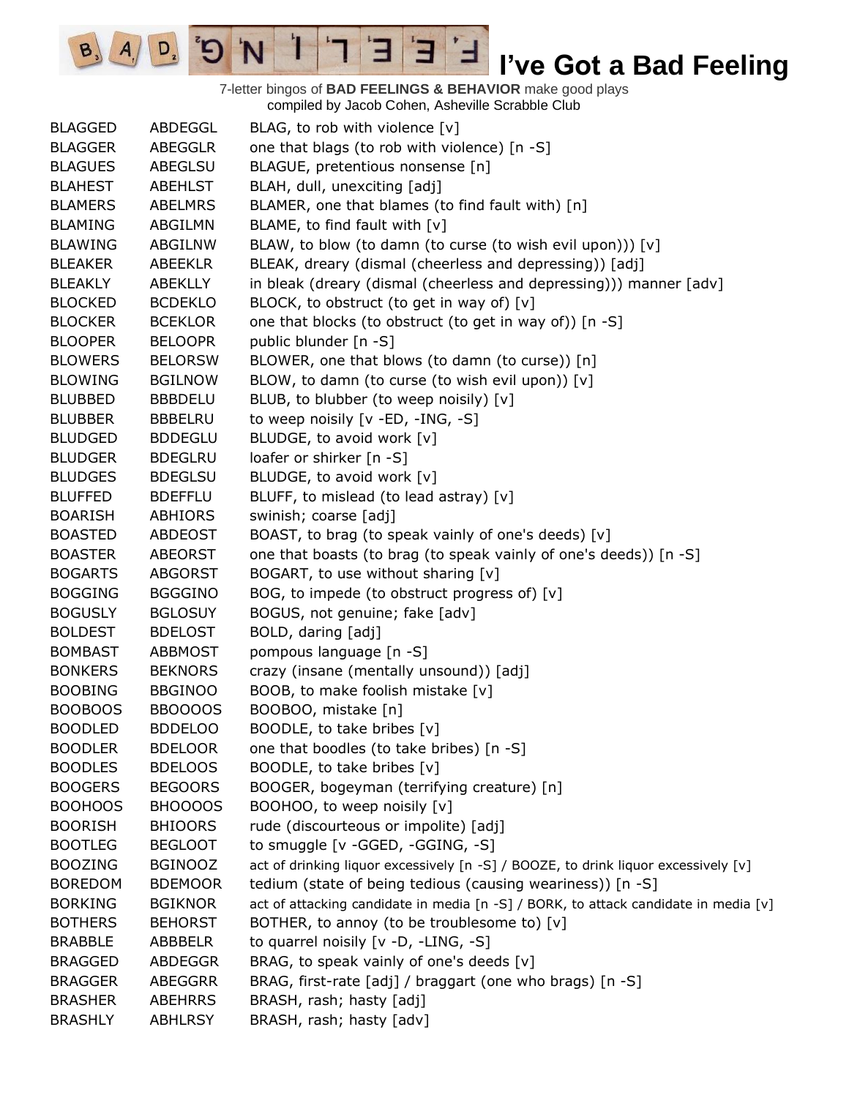7-letter bingos of **BAD FEELINGS & BEHAVIOR** make good plays compiled by Jacob Cohen, Asheville Scrabble Club

 $\mathbf{E}$ 

Ⅎ

3

 $\mathbf{1}$ 

'N

 $B_3$ 

 $A_{1}$ 

 $D_{2}$ 

| <b>BLAGGED</b> | ABDEGGL        | BLAG, to rob with violence [v]                                                      |
|----------------|----------------|-------------------------------------------------------------------------------------|
| <b>BLAGGER</b> | ABEGGLR        | one that blags (to rob with violence) [n -S]                                        |
| <b>BLAGUES</b> | ABEGLSU        | BLAGUE, pretentious nonsense [n]                                                    |
| <b>BLAHEST</b> | <b>ABEHLST</b> | BLAH, dull, unexciting [adj]                                                        |
| <b>BLAMERS</b> | <b>ABELMRS</b> | BLAMER, one that blames (to find fault with) [n]                                    |
| <b>BLAMING</b> | ABGILMN        | BLAME, to find fault with [v]                                                       |
| <b>BLAWING</b> | ABGILNW        | BLAW, to blow (to damn (to curse (to wish evil upon))) [v]                          |
| <b>BLEAKER</b> | <b>ABEEKLR</b> | BLEAK, dreary (dismal (cheerless and depressing)) [adj]                             |
| <b>BLEAKLY</b> | ABEKLLY        | in bleak (dreary (dismal (cheerless and depressing))) manner [adv]                  |
| <b>BLOCKED</b> | <b>BCDEKLO</b> | BLOCK, to obstruct (to get in way of) [v]                                           |
| <b>BLOCKER</b> | <b>BCEKLOR</b> | one that blocks (to obstruct (to get in way of)) [n -S]                             |
| <b>BLOOPER</b> | <b>BELOOPR</b> | public blunder [n -S]                                                               |
| <b>BLOWERS</b> | <b>BELORSW</b> | BLOWER, one that blows (to damn (to curse)) [n]                                     |
| <b>BLOWING</b> | <b>BGILNOW</b> | BLOW, to damn (to curse (to wish evil upon)) [v]                                    |
| <b>BLUBBED</b> | <b>BBBDELU</b> | BLUB, to blubber (to weep noisily) [v]                                              |
| <b>BLUBBER</b> | <b>BBBELRU</b> | to weep noisily [v -ED, -ING, -S]                                                   |
| <b>BLUDGED</b> | <b>BDDEGLU</b> | BLUDGE, to avoid work [v]                                                           |
| <b>BLUDGER</b> | <b>BDEGLRU</b> | loafer or shirker [n -S]                                                            |
| <b>BLUDGES</b> | <b>BDEGLSU</b> | BLUDGE, to avoid work [v]                                                           |
| <b>BLUFFED</b> | <b>BDEFFLU</b> | BLUFF, to mislead (to lead astray) [v]                                              |
| <b>BOARISH</b> | ABHIORS        | swinish; coarse [adj]                                                               |
| <b>BOASTED</b> | ABDEOST        | BOAST, to brag (to speak vainly of one's deeds) [v]                                 |
| <b>BOASTER</b> | <b>ABEORST</b> | one that boasts (to brag (to speak vainly of one's deeds)) [n -S]                   |
| <b>BOGARTS</b> | <b>ABGORST</b> | BOGART, to use without sharing [v]                                                  |
| <b>BOGGING</b> | <b>BGGGINO</b> | BOG, to impede (to obstruct progress of) [v]                                        |
| <b>BOGUSLY</b> | <b>BGLOSUY</b> | BOGUS, not genuine; fake [adv]                                                      |
| <b>BOLDEST</b> | <b>BDELOST</b> | BOLD, daring [adj]                                                                  |
| <b>BOMBAST</b> | <b>ABBMOST</b> | pompous language [n -S]                                                             |
| <b>BONKERS</b> | <b>BEKNORS</b> | crazy (insane (mentally unsound)) [adj]                                             |
| <b>BOOBING</b> | <b>BBGINOO</b> | BOOB, to make foolish mistake [v]                                                   |
| <b>BOOBOOS</b> | <b>BBOOOOS</b> | BOOBOO, mistake [n]                                                                 |
| <b>BOODLED</b> | <b>BDDELOO</b> | BOODLE, to take bribes [v]                                                          |
| <b>BOODLER</b> | <b>BDELOOR</b> | one that boodles (to take bribes) [n -S]                                            |
| <b>BOODLES</b> | <b>BDELOOS</b> | BOODLE, to take bribes [v]                                                          |
| <b>BOOGERS</b> | <b>BEGOORS</b> | BOOGER, bogeyman (terrifying creature) [n]                                          |
| <b>BOOHOOS</b> | BHOOOOS        | BOOHOO, to weep noisily [v]                                                         |
| <b>BOORISH</b> | <b>BHIOORS</b> | rude (discourteous or impolite) [adj]                                               |
| <b>BOOTLEG</b> | <b>BEGLOOT</b> | to smuggle [v -GGED, -GGING, -S]                                                    |
| <b>BOOZING</b> | <b>BGINOOZ</b> | act of drinking liquor excessively [n -S] / BOOZE, to drink liquor excessively [v]  |
| <b>BOREDOM</b> | <b>BDEMOOR</b> | tedium (state of being tedious (causing weariness)) [n -S]                          |
| <b>BORKING</b> | <b>BGIKNOR</b> | act of attacking candidate in media [n -S] / BORK, to attack candidate in media [v] |
| <b>BOTHERS</b> | <b>BEHORST</b> | BOTHER, to annoy (to be troublesome to) [v]                                         |
| <b>BRABBLE</b> | ABBBELR        | to quarrel noisily [v -D, -LING, -S]                                                |
| <b>BRAGGED</b> | ABDEGGR        | BRAG, to speak vainly of one's deeds [v]                                            |
| <b>BRAGGER</b> | <b>ABEGGRR</b> | BRAG, first-rate [adj] / braggart (one who brags) [n -S]                            |
| <b>BRASHER</b> | <b>ABEHRRS</b> | BRASH, rash; hasty [adj]                                                            |
| <b>BRASHLY</b> | <b>ABHLRSY</b> | BRASH, rash; hasty [adv]                                                            |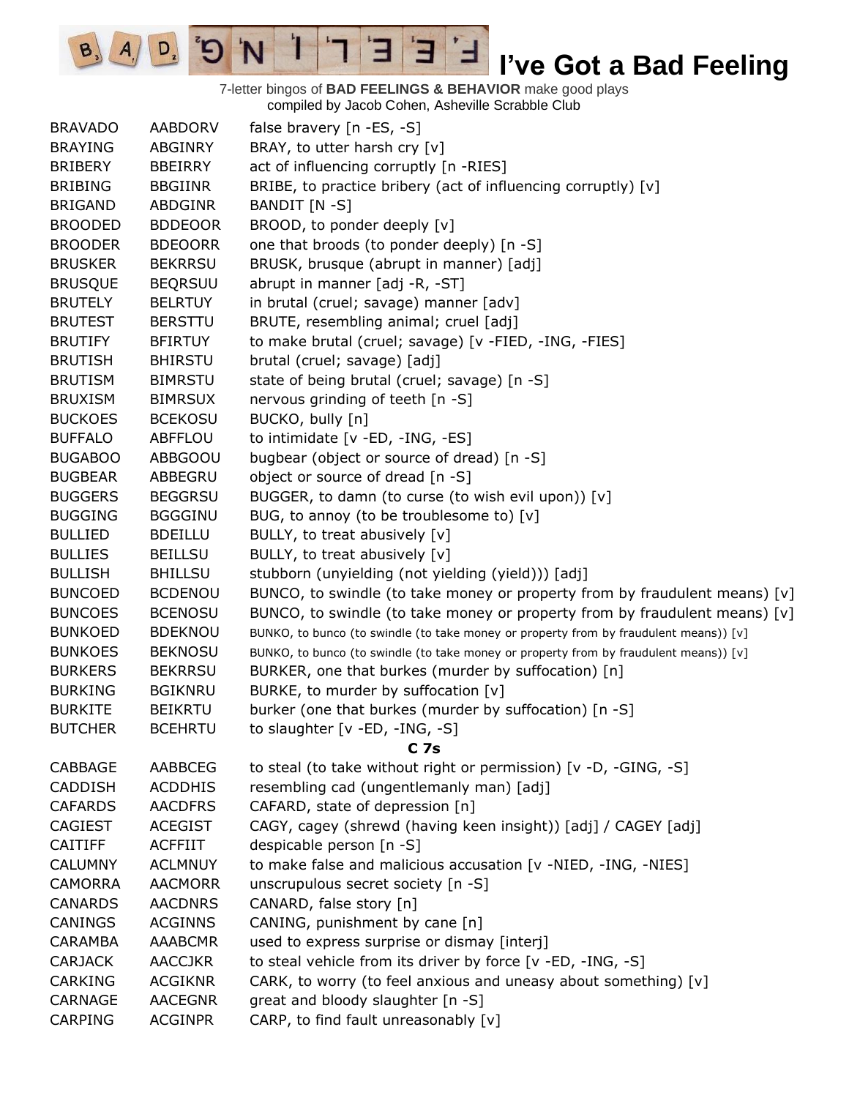7-letter bingos of **BAD FEELINGS & BEHAVIOR** make good plays compiled by Jacob Cohen, Asheville Scrabble Club

 $\mathbf{E}$ 

ᅼ

3

 $\mathbf{I}$ 

'N

 $B_3$ 

 $A_{1}$ 

 $D_{2}$ 

| <b>BRAVADO</b> | <b>AABDORV</b> | false bravery [n -ES, -S]                                                             |
|----------------|----------------|---------------------------------------------------------------------------------------|
| <b>BRAYING</b> | ABGINRY        | BRAY, to utter harsh cry [v]                                                          |
| <b>BRIBERY</b> | <b>BBEIRRY</b> | act of influencing corruptly [n -RIES]                                                |
| <b>BRIBING</b> | <b>BBGIINR</b> | BRIBE, to practice bribery (act of influencing corruptly) [v]                         |
| <b>BRIGAND</b> | ABDGINR        | BANDIT [N -S]                                                                         |
| <b>BROODED</b> | <b>BDDEOOR</b> | BROOD, to ponder deeply [v]                                                           |
| <b>BROODER</b> | <b>BDEOORR</b> | one that broods (to ponder deeply) [n -S]                                             |
| <b>BRUSKER</b> | <b>BEKRRSU</b> | BRUSK, brusque (abrupt in manner) [adj]                                               |
| <b>BRUSQUE</b> | <b>BEQRSUU</b> | abrupt in manner [adj -R, -ST]                                                        |
| <b>BRUTELY</b> | <b>BELRTUY</b> | in brutal (cruel; savage) manner [adv]                                                |
| <b>BRUTEST</b> | <b>BERSTTU</b> | BRUTE, resembling animal; cruel [adj]                                                 |
| <b>BRUTIFY</b> | <b>BFIRTUY</b> | to make brutal (cruel; savage) [v -FIED, -ING, -FIES]                                 |
| <b>BRUTISH</b> | <b>BHIRSTU</b> | brutal (cruel; savage) [adj]                                                          |
| <b>BRUTISM</b> | <b>BIMRSTU</b> | state of being brutal (cruel; savage) [n -S]                                          |
| <b>BRUXISM</b> | <b>BIMRSUX</b> | nervous grinding of teeth [n -S]                                                      |
| <b>BUCKOES</b> | <b>BCEKOSU</b> | BUCKO, bully [n]                                                                      |
| <b>BUFFALO</b> | <b>ABFFLOU</b> | to intimidate [v -ED, -ING, -ES]                                                      |
| <b>BUGABOO</b> | ABBGOOU        | bugbear (object or source of dread) [n -S]                                            |
| <b>BUGBEAR</b> | ABBEGRU        | object or source of dread [n -S]                                                      |
| <b>BUGGERS</b> | <b>BEGGRSU</b> | BUGGER, to damn (to curse (to wish evil upon)) [v]                                    |
| <b>BUGGING</b> | <b>BGGGINU</b> | BUG, to annoy (to be troublesome to) [v]                                              |
| <b>BULLIED</b> | <b>BDEILLU</b> | BULLY, to treat abusively [v]                                                         |
| <b>BULLIES</b> | <b>BEILLSU</b> | BULLY, to treat abusively [v]                                                         |
| <b>BULLISH</b> | <b>BHILLSU</b> | stubborn (unyielding (not yielding (yield))) [adj]                                    |
| <b>BUNCOED</b> | <b>BCDENOU</b> | BUNCO, to swindle (to take money or property from by fraudulent means) $[v]$          |
| <b>BUNCOES</b> | <b>BCENOSU</b> | BUNCO, to swindle (to take money or property from by fraudulent means) $[v]$          |
| <b>BUNKOED</b> | <b>BDEKNOU</b> | BUNKO, to bunco (to swindle (to take money or property from by fraudulent means)) [v] |
| <b>BUNKOES</b> | <b>BEKNOSU</b> | BUNKO, to bunco (to swindle (to take money or property from by fraudulent means)) [v] |
| <b>BURKERS</b> | <b>BEKRRSU</b> | BURKER, one that burkes (murder by suffocation) [n]                                   |
| <b>BURKING</b> | <b>BGIKNRU</b> | BURKE, to murder by suffocation [v]                                                   |
| <b>BURKITE</b> | <b>BEIKRTU</b> | burker (one that burkes (murder by suffocation) [n -S]                                |
| <b>BUTCHER</b> | <b>BCEHRTU</b> | to slaughter [v -ED, -ING, -S]                                                        |
|                |                | C <sub>7s</sub>                                                                       |
| CABBAGE        | AABBCEG        | to steal (to take without right or permission) [v -D, -GING, -S]                      |
| <b>CADDISH</b> | <b>ACDDHIS</b> | resembling cad (ungentlemanly man) [adj]                                              |
| <b>CAFARDS</b> | <b>AACDFRS</b> | CAFARD, state of depression [n]                                                       |
| <b>CAGIEST</b> | <b>ACEGIST</b> | CAGY, cagey (shrewd (having keen insight)) [adj] / CAGEY [adj]                        |
| <b>CAITIFF</b> | <b>ACFFIIT</b> | despicable person [n -S]                                                              |
| <b>CALUMNY</b> | <b>ACLMNUY</b> | to make false and malicious accusation [v -NIED, -ING, -NIES]                         |
| <b>CAMORRA</b> | <b>AACMORR</b> | unscrupulous secret society [n -S]                                                    |
| <b>CANARDS</b> | <b>AACDNRS</b> | CANARD, false story [n]                                                               |
| CANINGS        | <b>ACGINNS</b> | CANING, punishment by cane [n]                                                        |
| <b>CARAMBA</b> | <b>AAABCMR</b> | used to express surprise or dismay [interj]                                           |
| <b>CARJACK</b> | <b>AACCJKR</b> | to steal vehicle from its driver by force [v -ED, -ING, -S]                           |
| <b>CARKING</b> | <b>ACGIKNR</b> | CARK, to worry (to feel anxious and uneasy about something) [v]                       |
| <b>CARNAGE</b> | <b>AACEGNR</b> | great and bloody slaughter [n -S]                                                     |
| <b>CARPING</b> | <b>ACGINPR</b> | CARP, to find fault unreasonably [v]                                                  |
|                |                |                                                                                       |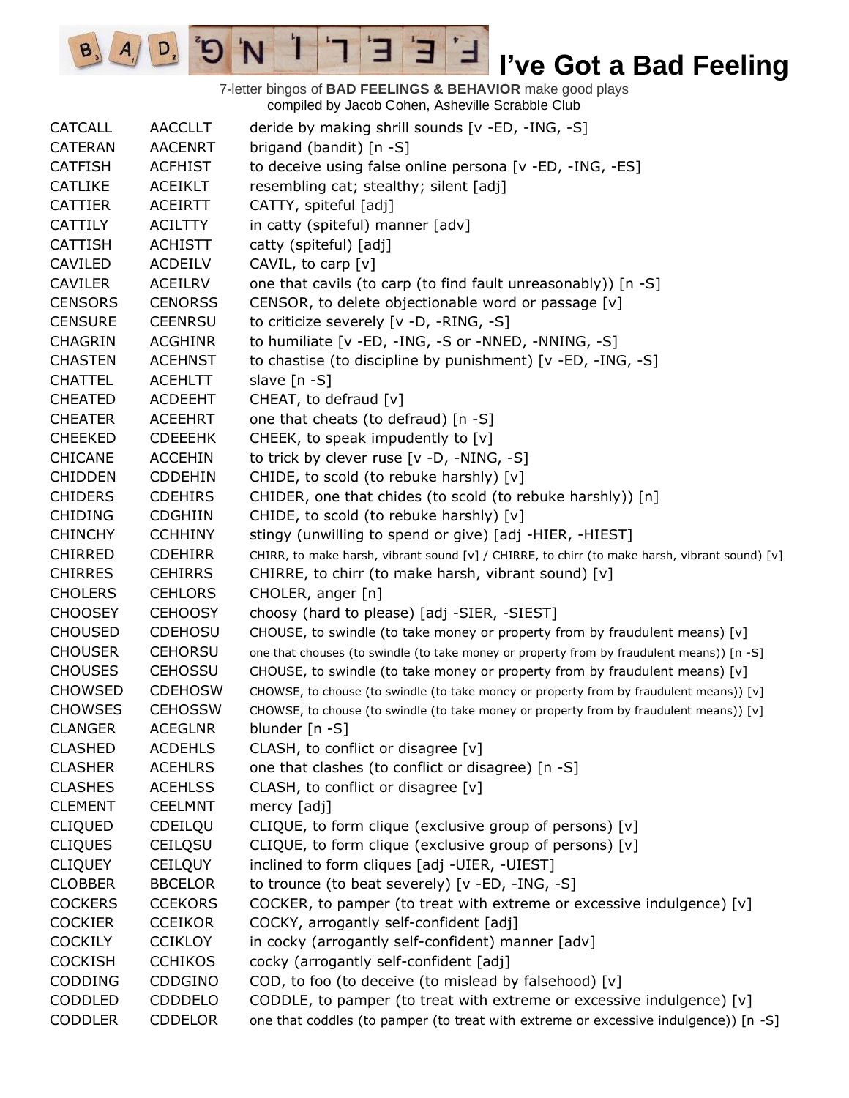7-letter bingos of **BAD FEELINGS & BEHAVIOR** make good plays compiled by Jacob Cohen, Asheville Scrabble Club

 $\overline{E}$ 

ᅼ

3

 $\mathbf{1}$ 

'N

 $B_3$   $A_1$ 

 $D_{2}$ 

| <b>CATCALL</b> | <b>AACCLLT</b> | deride by making shrill sounds [v -ED, -ING, -S]                                              |
|----------------|----------------|-----------------------------------------------------------------------------------------------|
| <b>CATERAN</b> | <b>AACENRT</b> | brigand (bandit) [n -S]                                                                       |
| <b>CATFISH</b> | <b>ACFHIST</b> | to deceive using false online persona [v -ED, -ING, -ES]                                      |
| <b>CATLIKE</b> | <b>ACEIKLT</b> | resembling cat; stealthy; silent [adj]                                                        |
| <b>CATTIER</b> | <b>ACEIRTT</b> | CATTY, spiteful [adj]                                                                         |
| <b>CATTILY</b> | <b>ACILTTY</b> | in catty (spiteful) manner [adv]                                                              |
| <b>CATTISH</b> | <b>ACHISTT</b> | catty (spiteful) [adj]                                                                        |
| CAVILED        | <b>ACDEILV</b> | CAVIL, to carp [v]                                                                            |
| <b>CAVILER</b> | <b>ACEILRV</b> | one that cavils (to carp (to find fault unreasonably)) [n -S]                                 |
| <b>CENSORS</b> | <b>CENORSS</b> | CENSOR, to delete objectionable word or passage [v]                                           |
| <b>CENSURE</b> | <b>CEENRSU</b> | to criticize severely [v -D, -RING, -S]                                                       |
| <b>CHAGRIN</b> | <b>ACGHINR</b> | to humiliate [v -ED, -ING, -S or -NNED, -NNING, -S]                                           |
| <b>CHASTEN</b> | <b>ACEHNST</b> | to chastise (to discipline by punishment) [v -ED, -ING, -S]                                   |
| <b>CHATTEL</b> | <b>ACEHLTT</b> | slave [n -S]                                                                                  |
| <b>CHEATED</b> | ACDEEHT        | CHEAT, to defraud [v]                                                                         |
| <b>CHEATER</b> | <b>ACEEHRT</b> | one that cheats (to defraud) [n -S]                                                           |
| <b>CHEEKED</b> | <b>CDEEEHK</b> | CHEEK, to speak impudently to [v]                                                             |
| <b>CHICANE</b> | <b>ACCEHIN</b> | to trick by clever ruse [v -D, -NING, -S]                                                     |
| <b>CHIDDEN</b> | <b>CDDEHIN</b> | CHIDE, to scold (to rebuke harshly) [v]                                                       |
| <b>CHIDERS</b> | <b>CDEHIRS</b> | CHIDER, one that chides (to scold (to rebuke harshly)) [n]                                    |
| <b>CHIDING</b> | <b>CDGHIIN</b> | CHIDE, to scold (to rebuke harshly) [v]                                                       |
| <b>CHINCHY</b> | <b>CCHHINY</b> | stingy (unwilling to spend or give) [adj -HIER, -HIEST]                                       |
| <b>CHIRRED</b> | <b>CDEHIRR</b> | CHIRR, to make harsh, vibrant sound [v] / CHIRRE, to chirr (to make harsh, vibrant sound) [v] |
| <b>CHIRRES</b> | <b>CEHIRRS</b> | CHIRRE, to chirr (to make harsh, vibrant sound) [v]                                           |
| <b>CHOLERS</b> | <b>CEHLORS</b> | CHOLER, anger [n]                                                                             |
| <b>CHOOSEY</b> | <b>CEHOOSY</b> | choosy (hard to please) [adj -SIER, -SIEST]                                                   |
| <b>CHOUSED</b> | <b>CDEHOSU</b> | CHOUSE, to swindle (to take money or property from by fraudulent means) [v]                   |
| <b>CHOUSER</b> | <b>CEHORSU</b> | one that chouses (to swindle (to take money or property from by fraudulent means)) [n -S]     |
| <b>CHOUSES</b> | <b>CEHOSSU</b> | CHOUSE, to swindle (to take money or property from by fraudulent means) [v]                   |
| <b>CHOWSED</b> | <b>CDEHOSW</b> | CHOWSE, to chouse (to swindle (to take money or property from by fraudulent means)) [v]       |
| <b>CHOWSES</b> | <b>CEHOSSW</b> | CHOWSE, to chouse (to swindle (to take money or property from by fraudulent means)) [v]       |
| <b>CLANGER</b> | ACEGLNR        | blunder [n -S]                                                                                |
| <b>CLASHED</b> | <b>ACDEHLS</b> | CLASH, to conflict or disagree [v]                                                            |
| <b>CLASHER</b> | <b>ACEHLRS</b> | one that clashes (to conflict or disagree) [n -S]                                             |
| <b>CLASHES</b> | <b>ACEHLSS</b> | CLASH, to conflict or disagree [v]                                                            |
| <b>CLEMENT</b> | <b>CEELMNT</b> | mercy [adj]                                                                                   |
| <b>CLIQUED</b> | CDEILQU        | CLIQUE, to form clique (exclusive group of persons) [v]                                       |
| <b>CLIQUES</b> | <b>CEILQSU</b> | CLIQUE, to form clique (exclusive group of persons) [v]                                       |
| <b>CLIQUEY</b> | <b>CEILQUY</b> | inclined to form cliques [adj -UIER, -UIEST]                                                  |
| <b>CLOBBER</b> | <b>BBCELOR</b> | to trounce (to beat severely) [v -ED, -ING, -S]                                               |
| <b>COCKERS</b> | <b>CCEKORS</b> | COCKER, to pamper (to treat with extreme or excessive indulgence) $[v]$                       |
| <b>COCKIER</b> | <b>CCEIKOR</b> | COCKY, arrogantly self-confident [adj]                                                        |
| <b>COCKILY</b> | <b>CCIKLOY</b> | in cocky (arrogantly self-confident) manner [adv]                                             |
| <b>COCKISH</b> | <b>CCHIKOS</b> | cocky (arrogantly self-confident [adj]                                                        |
| CODDING        | CDDGINO        | COD, to foo (to deceive (to mislead by falsehood) [v]                                         |
| CODDLED        | <b>CDDDELO</b> | CODDLE, to pamper (to treat with extreme or excessive indulgence) [v]                         |
| <b>CODDLER</b> | <b>CDDELOR</b> | one that coddles (to pamper (to treat with extreme or excessive indulgence)) [n -S]           |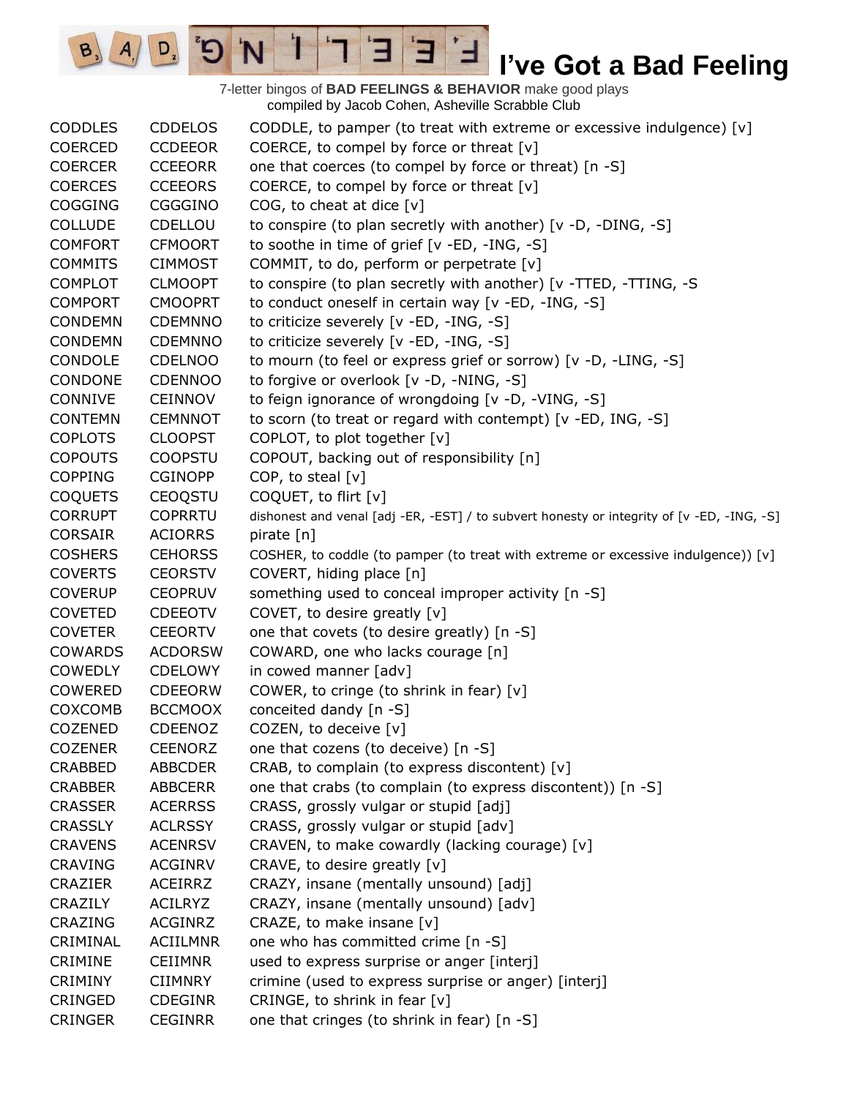7-letter bingos of **BAD FEELINGS & BEHAVIOR** make good plays compiled by Jacob Cohen, Asheville Scrabble Club

E

3

 $\frac{1}{2}$ 

'N

 $B_3$ 

 $A_{1}$ 

 $D_{2}$ 

| <b>CODDLES</b> | <b>CDDELOS</b>  | CODDLE, to pamper (to treat with extreme or excessive indulgence) $[v]$                    |
|----------------|-----------------|--------------------------------------------------------------------------------------------|
| COERCED        | <b>CCDEEOR</b>  | COERCE, to compel by force or threat $[v]$                                                 |
| <b>COERCER</b> | <b>CCEEORR</b>  | one that coerces (to compel by force or threat) [n -S]                                     |
| <b>COERCES</b> | <b>CCEEORS</b>  | COERCE, to compel by force or threat [v]                                                   |
| COGGING        | CGGGINO         | COG, to cheat at dice $[v]$                                                                |
| <b>COLLUDE</b> | CDELLOU         | to conspire (to plan secretly with another) [v -D, -DING, -S]                              |
| <b>COMFORT</b> | <b>CFMOORT</b>  | to soothe in time of grief [v -ED, -ING, -S]                                               |
| <b>COMMITS</b> | <b>CIMMOST</b>  | COMMIT, to do, perform or perpetrate [v]                                                   |
| <b>COMPLOT</b> | <b>CLMOOPT</b>  | to conspire (to plan secretly with another) [v -TTED, -TTING, -S                           |
| <b>COMPORT</b> | <b>CMOOPRT</b>  | to conduct oneself in certain way [v -ED, -ING, -S]                                        |
| CONDEMN        | <b>CDEMNNO</b>  | to criticize severely [v -ED, -ING, -S]                                                    |
| <b>CONDEMN</b> | <b>CDEMNNO</b>  | to criticize severely [v -ED, -ING, -S]                                                    |
| CONDOLE        | <b>CDELNOO</b>  | to mourn (to feel or express grief or sorrow) [v -D, -LING, -S]                            |
| CONDONE        | CDENNOO         | to forgive or overlook [v -D, -NING, -S]                                                   |
| CONNIVE        | <b>CEINNOV</b>  | to feign ignorance of wrongdoing [v -D, -VING, -S]                                         |
| <b>CONTEMN</b> | <b>CEMNNOT</b>  | to scorn (to treat or regard with contempt) [v -ED, ING, -S]                               |
| <b>COPLOTS</b> | <b>CLOOPST</b>  | COPLOT, to plot together [v]                                                               |
| <b>COPOUTS</b> | <b>COOPSTU</b>  | COPOUT, backing out of responsibility [n]                                                  |
| <b>COPPING</b> | <b>CGINOPP</b>  | COP, to steal [v]                                                                          |
| <b>COQUETS</b> | <b>CEOQSTU</b>  | COQUET, to flirt [v]                                                                       |
| <b>CORRUPT</b> | <b>COPRRTU</b>  | dishonest and venal [adj -ER, -EST] / to subvert honesty or integrity of [v -ED, -ING, -S] |
| <b>CORSAIR</b> | <b>ACIORRS</b>  | pirate [n]                                                                                 |
| <b>COSHERS</b> | <b>CEHORSS</b>  | COSHER, to coddle (to pamper (to treat with extreme or excessive indulgence)) [v]          |
| <b>COVERTS</b> | <b>CEORSTV</b>  | COVERT, hiding place [n]                                                                   |
| <b>COVERUP</b> | <b>CEOPRUV</b>  | something used to conceal improper activity [n -S]                                         |
| <b>COVETED</b> | <b>CDEEOTV</b>  | COVET, to desire greatly [v]                                                               |
| <b>COVETER</b> | <b>CEEORTV</b>  | one that covets (to desire greatly) [n -S]                                                 |
| <b>COWARDS</b> | <b>ACDORSW</b>  | COWARD, one who lacks courage [n]                                                          |
| <b>COWEDLY</b> | <b>CDELOWY</b>  | in cowed manner [adv]                                                                      |
| COWERED        | <b>CDEEORW</b>  | COWER, to cringe (to shrink in fear) [v]                                                   |
| COXCOMB        | <b>BCCMOOX</b>  | conceited dandy [n -S]                                                                     |
| <b>COZENED</b> | <b>CDEENOZ</b>  | COZEN, to deceive [v]                                                                      |
| <b>COZENER</b> | <b>CEENORZ</b>  | one that cozens (to deceive) [n -S]                                                        |
| <b>CRABBED</b> | <b>ABBCDER</b>  | CRAB, to complain (to express discontent) [v]                                              |
| <b>CRABBER</b> | <b>ABBCERR</b>  | one that crabs (to complain (to express discontent)) [n -S]                                |
| <b>CRASSER</b> | <b>ACERRSS</b>  | CRASS, grossly vulgar or stupid [adj]                                                      |
| <b>CRASSLY</b> | <b>ACLRSSY</b>  | CRASS, grossly vulgar or stupid [adv]                                                      |
| <b>CRAVENS</b> | <b>ACENRSV</b>  | CRAVEN, to make cowardly (lacking courage) [v]                                             |
| <b>CRAVING</b> | <b>ACGINRV</b>  | CRAVE, to desire greatly [v]                                                               |
| <b>CRAZIER</b> | <b>ACEIRRZ</b>  | CRAZY, insane (mentally unsound) [adj]                                                     |
| CRAZILY        | <b>ACILRYZ</b>  | CRAZY, insane (mentally unsound) [adv]                                                     |
| CRAZING        | <b>ACGINRZ</b>  | CRAZE, to make insane $[v]$                                                                |
| CRIMINAL       | <b>ACIILMNR</b> | one who has committed crime [n -S]                                                         |
| CRIMINE        | <b>CEIIMNR</b>  | used to express surprise or anger [interj]                                                 |
| <b>CRIMINY</b> | <b>CIIMNRY</b>  | crimine (used to express surprise or anger) [interj]                                       |
| CRINGED        | <b>CDEGINR</b>  | CRINGE, to shrink in fear [v]                                                              |
| <b>CRINGER</b> | <b>CEGINRR</b>  | one that cringes (to shrink in fear) [n -S]                                                |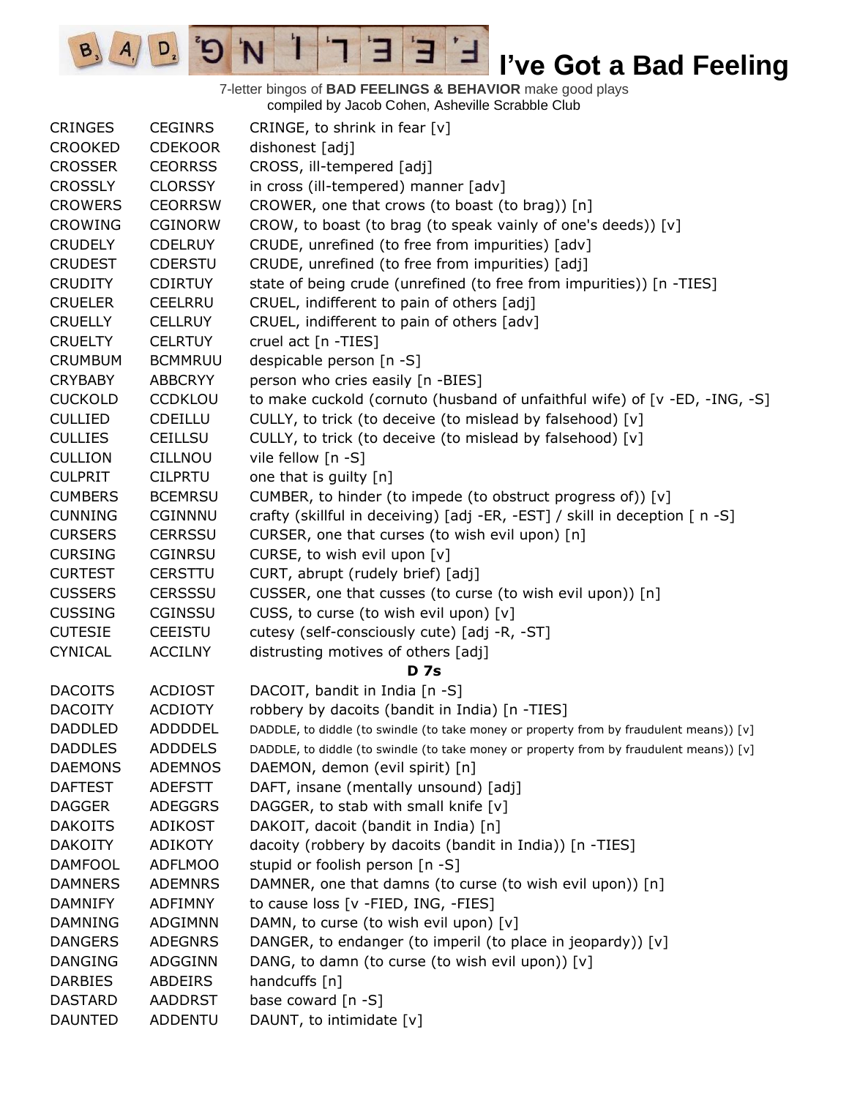7-letter bingos of **BAD FEELINGS & BEHAVIOR** make good plays compiled by Jacob Cohen, Asheville Scrabble Club

 $E$ 

Е

 $B_3$   $A_1$ 

 $D_{2}$ 

 $\mathbf{G}^{\prime}$ 

 $\mathbf{I}$ 

'N

| <b>CRINGES</b> | <b>CEGINRS</b> | CRINGE, to shrink in fear $[v]$                                                         |
|----------------|----------------|-----------------------------------------------------------------------------------------|
| <b>CROOKED</b> | <b>CDEKOOR</b> | dishonest [adj]                                                                         |
| <b>CROSSER</b> | <b>CEORRSS</b> | CROSS, ill-tempered [adj]                                                               |
| <b>CROSSLY</b> | <b>CLORSSY</b> | in cross (ill-tempered) manner [adv]                                                    |
| <b>CROWERS</b> | <b>CEORRSW</b> | CROWER, one that crows (to boast (to brag)) [n]                                         |
| <b>CROWING</b> | <b>CGINORW</b> | CROW, to boast (to brag (to speak vainly of one's deeds)) [v]                           |
| <b>CRUDELY</b> | <b>CDELRUY</b> | CRUDE, unrefined (to free from impurities) [adv]                                        |
| <b>CRUDEST</b> | <b>CDERSTU</b> | CRUDE, unrefined (to free from impurities) [adj]                                        |
| <b>CRUDITY</b> | <b>CDIRTUY</b> | state of being crude (unrefined (to free from impurities)) [n -TIES]                    |
| <b>CRUELER</b> | <b>CEELRRU</b> | CRUEL, indifferent to pain of others [adj]                                              |
| <b>CRUELLY</b> | <b>CELLRUY</b> | CRUEL, indifferent to pain of others [adv]                                              |
| <b>CRUELTY</b> | <b>CELRTUY</b> | cruel act [n -TIES]                                                                     |
| <b>CRUMBUM</b> | <b>BCMMRUU</b> | despicable person [n -S]                                                                |
| <b>CRYBABY</b> | <b>ABBCRYY</b> | person who cries easily [n -BIES]                                                       |
| <b>CUCKOLD</b> | <b>CCDKLOU</b> | to make cuckold (cornuto (husband of unfaithful wife) of [v -ED, -ING, -S]              |
| <b>CULLIED</b> | <b>CDEILLU</b> | CULLY, to trick (to deceive (to mislead by falsehood) [v]                               |
| <b>CULLIES</b> | <b>CEILLSU</b> | CULLY, to trick (to deceive (to mislead by falsehood) [v]                               |
| <b>CULLION</b> | <b>CILLNOU</b> | vile fellow [n -S]                                                                      |
| <b>CULPRIT</b> | <b>CILPRTU</b> | one that is guilty [n]                                                                  |
| <b>CUMBERS</b> | <b>BCEMRSU</b> | CUMBER, to hinder (to impede (to obstruct progress of)) [v]                             |
| <b>CUNNING</b> | CGINNNU        | crafty (skillful in deceiving) [adj -ER, -EST] / skill in deception [ n -S]             |
| <b>CURSERS</b> | <b>CERRSSU</b> | CURSER, one that curses (to wish evil upon) [n]                                         |
| <b>CURSING</b> | <b>CGINRSU</b> | CURSE, to wish evil upon [v]                                                            |
| <b>CURTEST</b> | <b>CERSTTU</b> | CURT, abrupt (rudely brief) [adj]                                                       |
| <b>CUSSERS</b> | <b>CERSSSU</b> | CUSSER, one that cusses (to curse (to wish evil upon)) [n]                              |
| <b>CUSSING</b> | <b>CGINSSU</b> | CUSS, to curse (to wish evil upon) [v]                                                  |
| <b>CUTESIE</b> | <b>CEEISTU</b> | cutesy (self-consciously cute) [adj -R, -ST]                                            |
| <b>CYNICAL</b> | <b>ACCILNY</b> | distrusting motives of others [adj]                                                     |
|                |                | <b>D</b> 7s                                                                             |
| <b>DACOITS</b> | <b>ACDIOST</b> | DACOIT, bandit in India [n -S]                                                          |
| <b>DACOITY</b> | <b>ACDIOTY</b> | robbery by dacoits (bandit in India) [n -TIES]                                          |
| <b>DADDLED</b> | <b>ADDDDEL</b> | DADDLE, to diddle (to swindle (to take money or property from by fraudulent means)) [v] |
| <b>DADDLES</b> | <b>ADDDELS</b> | DADDLE, to diddle (to swindle (to take money or property from by fraudulent means)) [v] |
| <b>DAEMONS</b> | <b>ADEMNOS</b> | DAEMON, demon (evil spirit) [n]                                                         |
| <b>DAFTEST</b> | <b>ADEFSTT</b> | DAFT, insane (mentally unsound) [adj]                                                   |
| <b>DAGGER</b>  | <b>ADEGGRS</b> | DAGGER, to stab with small knife [v]                                                    |
| <b>DAKOITS</b> | <b>ADIKOST</b> | DAKOIT, dacoit (bandit in India) [n]                                                    |
| <b>DAKOITY</b> | ADIKOTY        | dacoity (robbery by dacoits (bandit in India)) [n -TIES]                                |
| <b>DAMFOOL</b> | <b>ADFLMOO</b> | stupid or foolish person [n -S]                                                         |
| <b>DAMNERS</b> | <b>ADEMNRS</b> | DAMNER, one that damns (to curse (to wish evil upon)) [n]                               |
| <b>DAMNIFY</b> | <b>ADFIMNY</b> | to cause loss [v -FIED, ING, -FIES]                                                     |
| <b>DAMNING</b> | <b>ADGIMNN</b> | DAMN, to curse (to wish evil upon) [v]                                                  |
| <b>DANGERS</b> | <b>ADEGNRS</b> | DANGER, to endanger (to imperil (to place in jeopardy)) [v]                             |
| <b>DANGING</b> | ADGGINN        | DANG, to damn (to curse (to wish evil upon)) [v]                                        |
| <b>DARBIES</b> | <b>ABDEIRS</b> | handcuffs [n]                                                                           |
| <b>DASTARD</b> | <b>AADDRST</b> | base coward [n -S]                                                                      |
| <b>DAUNTED</b> | <b>ADDENTU</b> | DAUNT, to intimidate [v]                                                                |
|                |                |                                                                                         |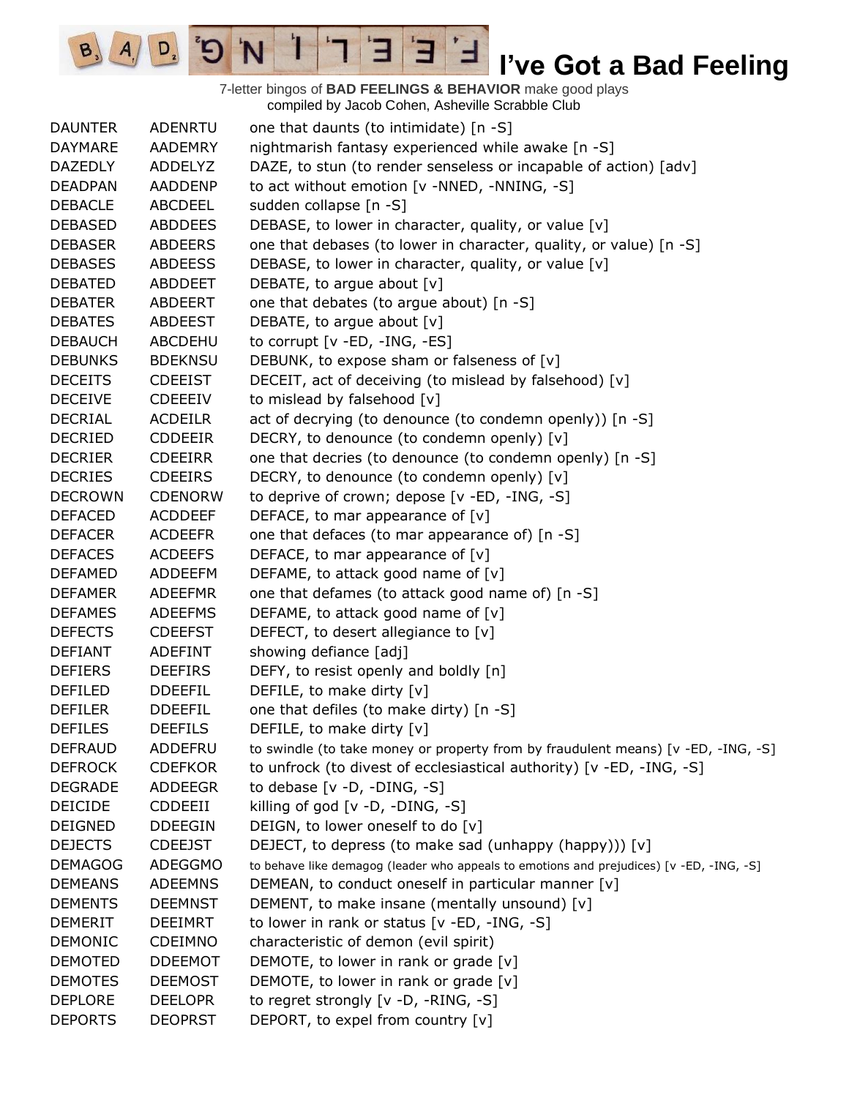7-letter bingos of **BAD FEELINGS & BEHAVIOR** make good plays compiled by Jacob Cohen, Asheville Scrabble Club

E

Ί

'N

Ð

 $B_3$ 

 $A_{.}$ 

 $D_{2}$ 

| <b>DAUNTER</b> | <b>ADENRTU</b> | one that daunts (to intimidate) [n -S]                                                   |
|----------------|----------------|------------------------------------------------------------------------------------------|
| <b>DAYMARE</b> | <b>AADEMRY</b> | nightmarish fantasy experienced while awake [n -S]                                       |
| <b>DAZEDLY</b> | <b>ADDELYZ</b> | DAZE, to stun (to render senseless or incapable of action) [adv]                         |
| <b>DEADPAN</b> | AADDENP        | to act without emotion [v -NNED, -NNING, -S]                                             |
| <b>DEBACLE</b> | <b>ABCDEEL</b> | sudden collapse [n -S]                                                                   |
| <b>DEBASED</b> | <b>ABDDEES</b> | DEBASE, to lower in character, quality, or value [v]                                     |
| <b>DEBASER</b> | <b>ABDEERS</b> | one that debases (to lower in character, quality, or value) [n -S]                       |
| <b>DEBASES</b> | <b>ABDEESS</b> | DEBASE, to lower in character, quality, or value [v]                                     |
| <b>DEBATED</b> | <b>ABDDEET</b> | DEBATE, to argue about [v]                                                               |
| <b>DEBATER</b> | ABDEERT        | one that debates (to argue about) [n -S]                                                 |
| <b>DEBATES</b> | ABDEEST        | DEBATE, to argue about [v]                                                               |
| <b>DEBAUCH</b> | ABCDEHU        | to corrupt $[v - ED, -ING, -ES]$                                                         |
| <b>DEBUNKS</b> | <b>BDEKNSU</b> | DEBUNK, to expose sham or falseness of [v]                                               |
| <b>DECEITS</b> | <b>CDEEIST</b> | DECEIT, act of deceiving (to mislead by falsehood) [v]                                   |
| <b>DECEIVE</b> | <b>CDEEEIV</b> | to mislead by falsehood [v]                                                              |
| <b>DECRIAL</b> | <b>ACDEILR</b> | act of decrying (to denounce (to condemn openly)) [n -S]                                 |
| <b>DECRIED</b> | <b>CDDEEIR</b> | DECRY, to denounce (to condemn openly) [v]                                               |
| <b>DECRIER</b> | <b>CDEEIRR</b> | one that decries (to denounce (to condemn openly) [n -S]                                 |
| <b>DECRIES</b> | <b>CDEEIRS</b> | DECRY, to denounce (to condemn openly) [v]                                               |
| <b>DECROWN</b> | <b>CDENORW</b> | to deprive of crown; depose [v -ED, -ING, -S]                                            |
| <b>DEFACED</b> | <b>ACDDEEF</b> | DEFACE, to mar appearance of [v]                                                         |
| <b>DEFACER</b> | <b>ACDEEFR</b> | one that defaces (to mar appearance of) [n -S]                                           |
| <b>DEFACES</b> | <b>ACDEEFS</b> | DEFACE, to mar appearance of $[v]$                                                       |
| <b>DEFAMED</b> | ADDEEFM        | DEFAME, to attack good name of [v]                                                       |
| <b>DEFAMER</b> | <b>ADEEFMR</b> | one that defames (to attack good name of) [n -S]                                         |
| <b>DEFAMES</b> | <b>ADEEFMS</b> | DEFAME, to attack good name of [v]                                                       |
| <b>DEFECTS</b> | <b>CDEEFST</b> | DEFECT, to desert allegiance to [v]                                                      |
| <b>DEFIANT</b> | <b>ADEFINT</b> | showing defiance [adj]                                                                   |
| <b>DEFIERS</b> | <b>DEEFIRS</b> | DEFY, to resist openly and boldly [n]                                                    |
| <b>DEFILED</b> | <b>DDEEFIL</b> | DEFILE, to make dirty [v]                                                                |
| <b>DEFILER</b> | <b>DDEEFIL</b> | one that defiles (to make dirty) [n -S]                                                  |
| <b>DEFILES</b> | <b>DEEFILS</b> | DEFILE, to make dirty [v]                                                                |
| <b>DEFRAUD</b> | ADDEFRU        | to swindle (to take money or property from by fraudulent means) [v -ED, -ING, -S]        |
| <b>DEFROCK</b> | <b>CDEFKOR</b> | to unfrock (to divest of ecclesiastical authority) [v -ED, -ING, -S]                     |
| <b>DEGRADE</b> | <b>ADDEEGR</b> | to debase [v -D, -DING, -S]                                                              |
| <b>DEICIDE</b> | <b>CDDEEII</b> | killing of god [v -D, -DING, -S]                                                         |
| <b>DEIGNED</b> | <b>DDEEGIN</b> | DEIGN, to lower oneself to do [v]                                                        |
| <b>DEJECTS</b> | <b>CDEEJST</b> | DEJECT, to depress (to make sad (unhappy (happy))) [v]                                   |
| <b>DEMAGOG</b> | <b>ADEGGMO</b> | to behave like demagog (leader who appeals to emotions and prejudices) [v -ED, -ING, -S] |
| <b>DEMEANS</b> | <b>ADEEMNS</b> | DEMEAN, to conduct oneself in particular manner [v]                                      |
| <b>DEMENTS</b> | <b>DEEMNST</b> | DEMENT, to make insane (mentally unsound) [v]                                            |
| <b>DEMERIT</b> | DEEIMRT        | to lower in rank or status [v -ED, -ING, -S]                                             |
| <b>DEMONIC</b> | <b>CDEIMNO</b> | characteristic of demon (evil spirit)                                                    |
| <b>DEMOTED</b> | <b>DDEEMOT</b> | DEMOTE, to lower in rank or grade $[v]$                                                  |
| <b>DEMOTES</b> | <b>DEEMOST</b> | DEMOTE, to lower in rank or grade [v]                                                    |
| <b>DEPLORE</b> | <b>DEELOPR</b> | to regret strongly [v -D, -RING, -S]                                                     |
| <b>DEPORTS</b> | <b>DEOPRST</b> | DEPORT, to expel from country [v]                                                        |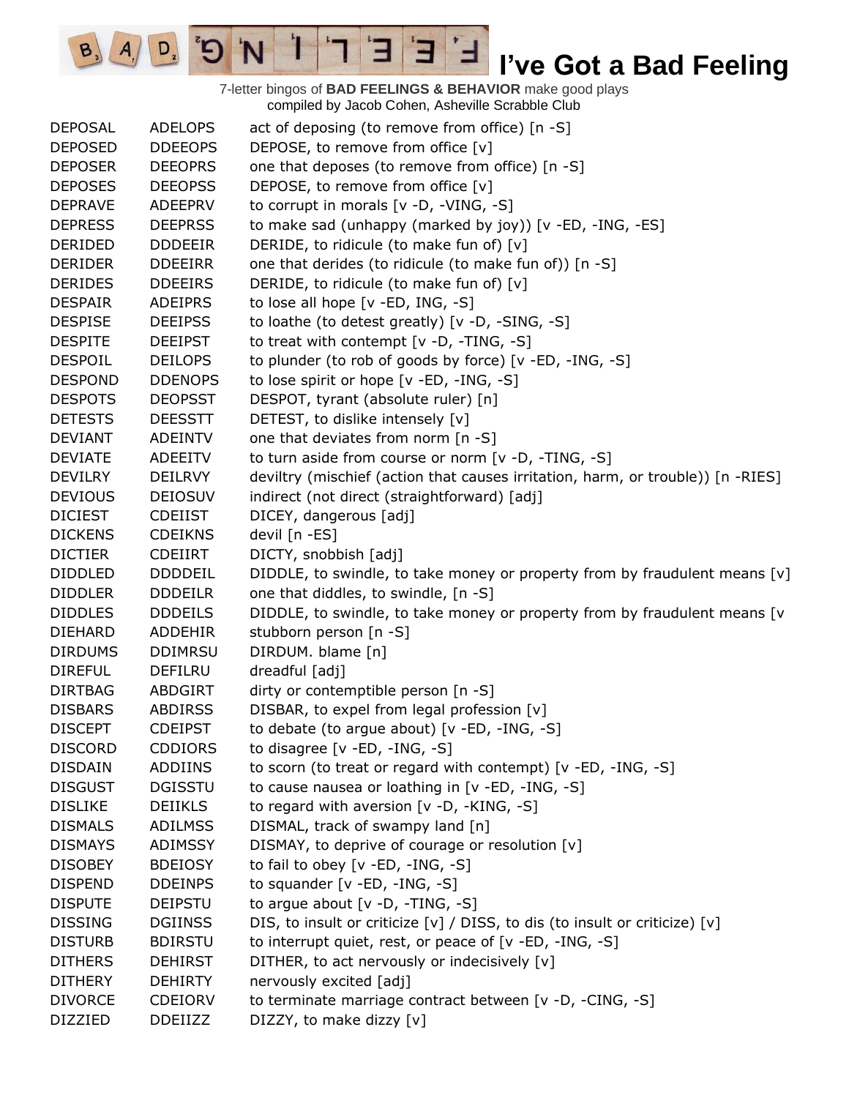7-letter bingos of **BAD FEELINGS & BEHAVIOR** make good plays compiled by Jacob Cohen, Asheville Scrabble Club

E

3

 $\frac{1}{2}$ 

'N

 $B_3$ 

 $A_{1}$ 

 $D_{2}$ 

| <b>DEPOSAL</b> | <b>ADELOPS</b> | act of deposing (to remove from office) [n -S]                                  |
|----------------|----------------|---------------------------------------------------------------------------------|
| <b>DEPOSED</b> | <b>DDEEOPS</b> | DEPOSE, to remove from office [v]                                               |
| <b>DEPOSER</b> | <b>DEEOPRS</b> | one that deposes (to remove from office) [n -S]                                 |
| <b>DEPOSES</b> | <b>DEEOPSS</b> | DEPOSE, to remove from office [v]                                               |
| <b>DEPRAVE</b> | <b>ADEEPRV</b> | to corrupt in morals [v -D, -VING, -S]                                          |
| <b>DEPRESS</b> | <b>DEEPRSS</b> | to make sad (unhappy (marked by joy)) [v -ED, -ING, -ES]                        |
| <b>DERIDED</b> | <b>DDDEEIR</b> | DERIDE, to ridicule (to make fun of) [v]                                        |
| <b>DERIDER</b> | <b>DDEEIRR</b> | one that derides (to ridicule (to make fun of)) [n -S]                          |
| <b>DERIDES</b> | <b>DDEEIRS</b> | DERIDE, to ridicule (to make fun of) [v]                                        |
| <b>DESPAIR</b> | <b>ADEIPRS</b> | to lose all hope [v -ED, ING, -S]                                               |
| <b>DESPISE</b> | <b>DEEIPSS</b> | to loathe (to detest greatly) [v -D, -SING, -S]                                 |
| <b>DESPITE</b> | <b>DEEIPST</b> | to treat with contempt [v -D, -TING, -S]                                        |
| <b>DESPOIL</b> | <b>DEILOPS</b> | to plunder (to rob of goods by force) [v -ED, -ING, -S]                         |
| <b>DESPOND</b> | <b>DDENOPS</b> | to lose spirit or hope [v -ED, -ING, -S]                                        |
| <b>DESPOTS</b> | <b>DEOPSST</b> | DESPOT, tyrant (absolute ruler) [n]                                             |
| <b>DETESTS</b> | <b>DEESSTT</b> | DETEST, to dislike intensely [v]                                                |
| <b>DEVIANT</b> | <b>ADEINTV</b> | one that deviates from norm [n -S]                                              |
| <b>DEVIATE</b> | ADEEITV        | to turn aside from course or norm [v -D, -TING, -S]                             |
| <b>DEVILRY</b> | <b>DEILRVY</b> | deviltry (mischief (action that causes irritation, harm, or trouble)) [n -RIES] |
| <b>DEVIOUS</b> | <b>DEIOSUV</b> | indirect (not direct (straightforward) [adj]                                    |
| <b>DICIEST</b> | <b>CDEIIST</b> | DICEY, dangerous [adj]                                                          |
| <b>DICKENS</b> | <b>CDEIKNS</b> | devil [n -ES]                                                                   |
| <b>DICTIER</b> | <b>CDEIIRT</b> | DICTY, snobbish [adj]                                                           |
| <b>DIDDLED</b> | <b>DDDDEIL</b> | DIDDLE, to swindle, to take money or property from by fraudulent means $[v]$    |
| <b>DIDDLER</b> | <b>DDDEILR</b> | one that diddles, to swindle, [n -S]                                            |
| <b>DIDDLES</b> | <b>DDDEILS</b> | DIDDLE, to swindle, to take money or property from by fraudulent means [v       |
| <b>DIEHARD</b> | ADDEHIR        | stubborn person [n -S]                                                          |
| <b>DIRDUMS</b> | <b>DDIMRSU</b> | DIRDUM. blame [n]                                                               |
| <b>DIREFUL</b> | DEFILRU        | dreadful [adj]                                                                  |
| <b>DIRTBAG</b> | <b>ABDGIRT</b> | dirty or contemptible person [n -S]                                             |
| <b>DISBARS</b> | <b>ABDIRSS</b> | DISBAR, to expel from legal profession [v]                                      |
| <b>DISCEPT</b> | <b>CDEIPST</b> | to debate (to argue about) $[v - ED, -ING, -S]$                                 |
| <b>DISCORD</b> | <b>CDDIORS</b> | to disagree $[v - ED, -ING, -S]$                                                |
| <b>DISDAIN</b> | ADDIINS        | to scorn (to treat or regard with contempt) [v -ED, -ING, -S]                   |
| <b>DISGUST</b> | <b>DGISSTU</b> | to cause nausea or loathing in [v -ED, -ING, -S]                                |
| <b>DISLIKE</b> | <b>DEIIKLS</b> | to regard with aversion [v -D, -KING, -S]                                       |
| <b>DISMALS</b> | <b>ADILMSS</b> | DISMAL, track of swampy land [n]                                                |
| <b>DISMAYS</b> | <b>ADIMSSY</b> | DISMAY, to deprive of courage or resolution [v]                                 |
| <b>DISOBEY</b> | <b>BDEIOSY</b> | to fail to obey [v -ED, -ING, -S]                                               |
| <b>DISPEND</b> | <b>DDEINPS</b> | to squander $[v - ED, -ING, -S]$                                                |
| <b>DISPUTE</b> | <b>DEIPSTU</b> | to argue about $[v -D, -TING, -S]$                                              |
| <b>DISSING</b> | <b>DGIINSS</b> | DIS, to insult or criticize [v] / DISS, to dis (to insult or criticize) [v]     |
| <b>DISTURB</b> | <b>BDIRSTU</b> | to interrupt quiet, rest, or peace of [v -ED, -ING, -S]                         |
| <b>DITHERS</b> | <b>DEHIRST</b> | DITHER, to act nervously or indecisively [v]                                    |
| <b>DITHERY</b> | <b>DEHIRTY</b> | nervously excited [adj]                                                         |
| <b>DIVORCE</b> | <b>CDEIORV</b> | to terminate marriage contract between [v -D, -CING, -S]                        |
| <b>DIZZIED</b> | <b>DDEIIZZ</b> | DIZZY, to make dizzy [v]                                                        |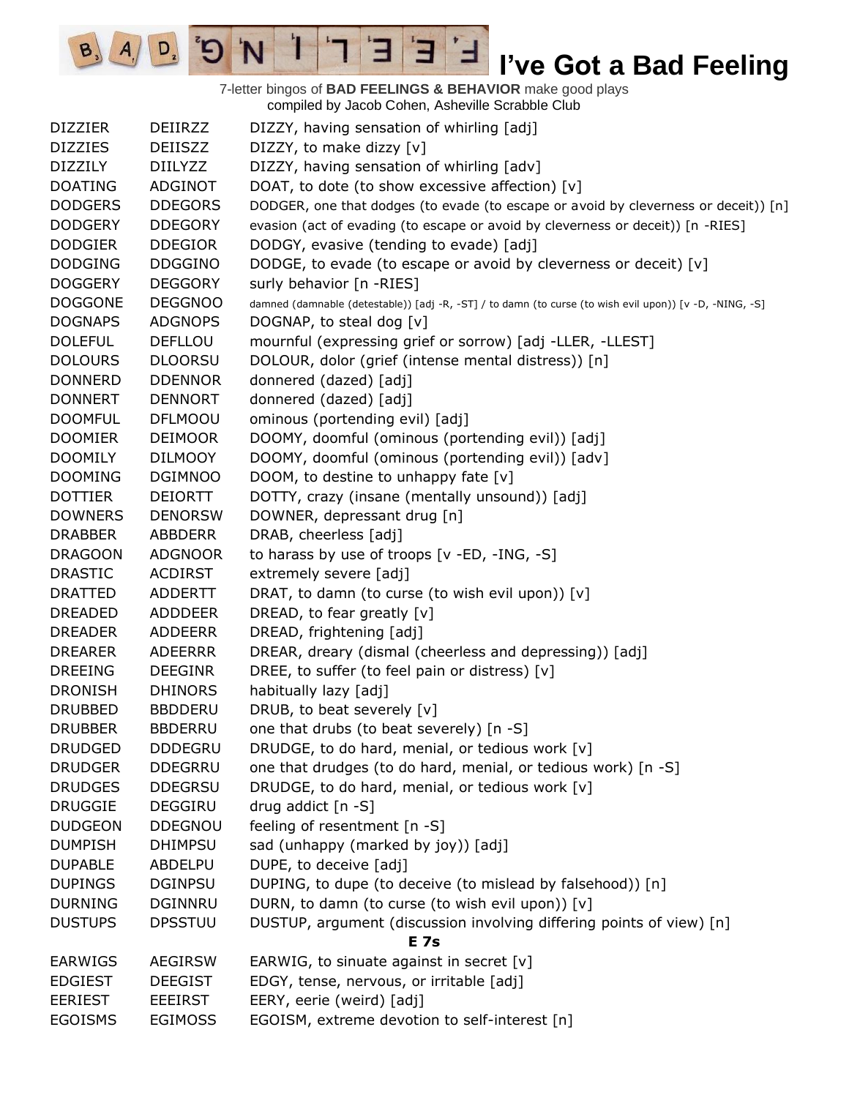7-letter bingos of **BAD FEELINGS & BEHAVIOR** make good plays compiled by Jacob Cohen, Asheville Scrabble Club

E

Τ

 $B_3$ 

 $A_{\rm i}$ 

 $D_{2}$ 

 $\mathbf{C}^{\prime}$ 

'N

| <b>DIZZIER</b> | DEIIRZZ        | DIZZY, having sensation of whirling [adj]                                                               |
|----------------|----------------|---------------------------------------------------------------------------------------------------------|
| <b>DIZZIES</b> | <b>DEIISZZ</b> | DIZZY, to make dizzy [v]                                                                                |
| <b>DIZZILY</b> | <b>DIILYZZ</b> | DIZZY, having sensation of whirling [adv]                                                               |
| <b>DOATING</b> | <b>ADGINOT</b> | DOAT, to dote (to show excessive affection) [v]                                                         |
| <b>DODGERS</b> | <b>DDEGORS</b> | DODGER, one that dodges (to evade (to escape or avoid by cleverness or deceit)) [n]                     |
| <b>DODGERY</b> | <b>DDEGORY</b> | evasion (act of evading (to escape or avoid by cleverness or deceit)) [n -RIES]                         |
| <b>DODGIER</b> | <b>DDEGIOR</b> | DODGY, evasive (tending to evade) [adj]                                                                 |
| <b>DODGING</b> | <b>DDGGINO</b> | DODGE, to evade (to escape or avoid by cleverness or deceit) [v]                                        |
| <b>DOGGERY</b> | <b>DEGGORY</b> | surly behavior [n -RIES]                                                                                |
| <b>DOGGONE</b> | <b>DEGGNOO</b> | damned (damnable (detestable)) [adj -R, -ST] / to damn (to curse (to wish evil upon)) [v -D, -NING, -S] |
| <b>DOGNAPS</b> | <b>ADGNOPS</b> | DOGNAP, to steal dog [v]                                                                                |
| <b>DOLEFUL</b> | <b>DEFLLOU</b> | mournful (expressing grief or sorrow) [adj -LLER, -LLEST]                                               |
| <b>DOLOURS</b> | <b>DLOORSU</b> | DOLOUR, dolor (grief (intense mental distress)) [n]                                                     |
| <b>DONNERD</b> | <b>DDENNOR</b> | donnered (dazed) [adj]                                                                                  |
| <b>DONNERT</b> | <b>DENNORT</b> | donnered (dazed) [adj]                                                                                  |
| <b>DOOMFUL</b> | <b>DFLMOOU</b> | ominous (portending evil) [adj]                                                                         |
| <b>DOOMIER</b> | <b>DEIMOOR</b> | DOOMY, doomful (ominous (portending evil)) [adj]                                                        |
| <b>DOOMILY</b> | <b>DILMOOY</b> | DOOMY, doomful (ominous (portending evil)) [adv]                                                        |
| <b>DOOMING</b> | <b>DGIMNOO</b> | DOOM, to destine to unhappy fate [v]                                                                    |
| <b>DOTTIER</b> | <b>DEIORTT</b> | DOTTY, crazy (insane (mentally unsound)) [adj]                                                          |
| <b>DOWNERS</b> | <b>DENORSW</b> | DOWNER, depressant drug [n]                                                                             |
| <b>DRABBER</b> | <b>ABBDERR</b> | DRAB, cheerless [adj]                                                                                   |
| <b>DRAGOON</b> | <b>ADGNOOR</b> | to harass by use of troops [v -ED, -ING, -S]                                                            |
| <b>DRASTIC</b> | <b>ACDIRST</b> | extremely severe [adj]                                                                                  |
| <b>DRATTED</b> | <b>ADDERTT</b> | DRAT, to damn (to curse (to wish evil upon)) [v]                                                        |
| DREADED        | <b>ADDDEER</b> | DREAD, to fear greatly $[v]$                                                                            |
| <b>DREADER</b> | <b>ADDEERR</b> | DREAD, frightening [adj]                                                                                |
| <b>DREARER</b> | <b>ADEERRR</b> | DREAR, dreary (dismal (cheerless and depressing)) [adj]                                                 |
| <b>DREEING</b> | <b>DEEGINR</b> | DREE, to suffer (to feel pain or distress) [v]                                                          |
| <b>DRONISH</b> | <b>DHINORS</b> | habitually lazy [adj]                                                                                   |
| <b>DRUBBED</b> | <b>BBDDERU</b> | DRUB, to beat severely [v]                                                                              |
| <b>DRUBBER</b> | <b>BBDERRU</b> | one that drubs (to beat severely) [n -S]                                                                |
| <b>DRUDGED</b> | <b>DDDEGRU</b> | DRUDGE, to do hard, menial, or tedious work [v]                                                         |
| <b>DRUDGER</b> | <b>DDEGRRU</b> | one that drudges (to do hard, menial, or tedious work) [n -S]                                           |
| <b>DRUDGES</b> | <b>DDEGRSU</b> | DRUDGE, to do hard, menial, or tedious work [v]                                                         |
| <b>DRUGGIE</b> | DEGGIRU        | drug addict $[n - S]$                                                                                   |
| <b>DUDGEON</b> | <b>DDEGNOU</b> | feeling of resentment [n -S]                                                                            |
| <b>DUMPISH</b> | <b>DHIMPSU</b> | sad (unhappy (marked by joy)) [adj]                                                                     |
| <b>DUPABLE</b> | ABDELPU        | DUPE, to deceive [adj]                                                                                  |
| <b>DUPINGS</b> | <b>DGINPSU</b> | DUPING, to dupe (to deceive (to mislead by falsehood)) [n]                                              |
| <b>DURNING</b> | <b>DGINNRU</b> | DURN, to damn (to curse (to wish evil upon)) [v]                                                        |
| <b>DUSTUPS</b> | <b>DPSSTUU</b> | DUSTUP, argument (discussion involving differing points of view) [n]                                    |
|                |                | <b>E</b> 7s                                                                                             |
| <b>EARWIGS</b> | <b>AEGIRSW</b> | EARWIG, to sinuate against in secret [v]                                                                |
| <b>EDGIEST</b> | <b>DEEGIST</b> | EDGY, tense, nervous, or irritable [adj]                                                                |
| <b>EERIEST</b> | EEEIRST        | EERY, eerie (weird) [adj]                                                                               |
| <b>EGOISMS</b> | <b>EGIMOSS</b> | EGOISM, extreme devotion to self-interest [n]                                                           |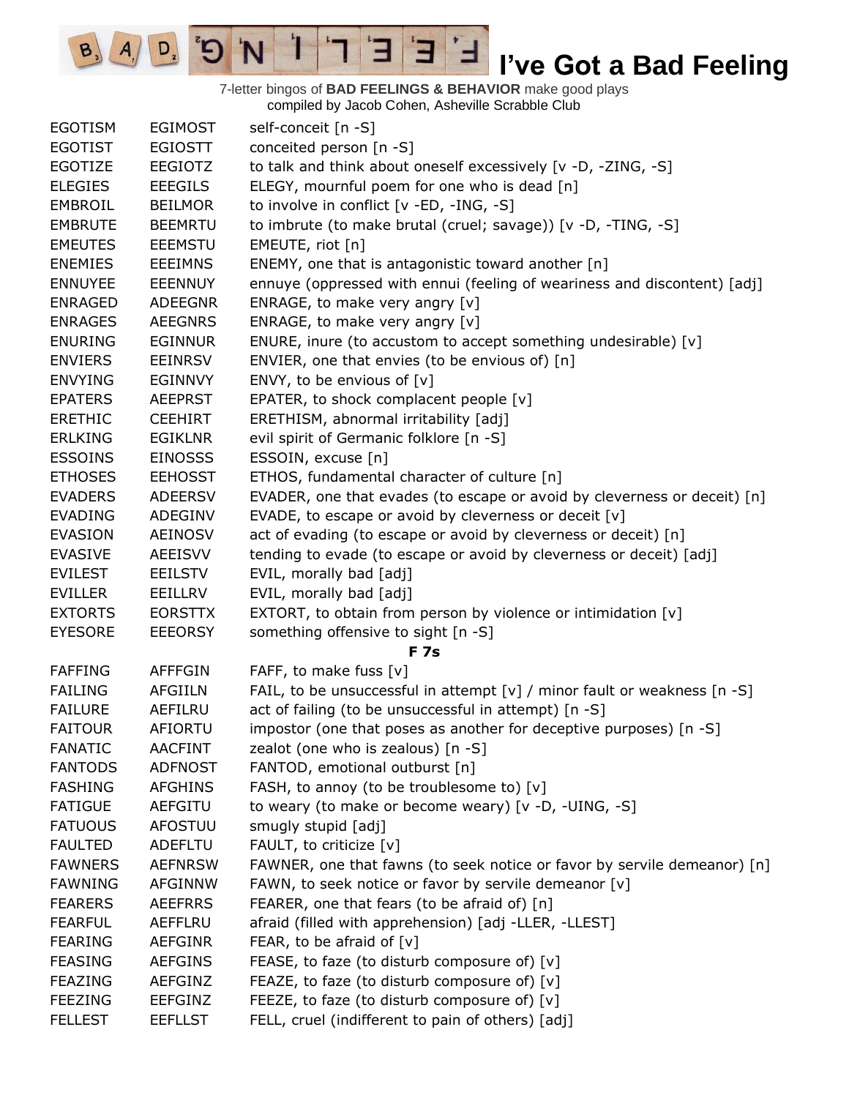

7-letter bingos of **BAD FEELINGS & BEHAVIOR** make good plays compiled by Jacob Cohen, Asheville Scrabble Club

 $\mathbf{E}$ 

ᅼ

3

T

'N

 $B_3$ 

 $A_{1}$ 

 $D_{2}$ 

 $\mathcal{D}^{\circ}$ 

| <b>EGOTISM</b> | <b>EGIMOST</b> | self-conceit [n -S]                                                      |
|----------------|----------------|--------------------------------------------------------------------------|
| <b>EGOTIST</b> | <b>EGIOSTT</b> | conceited person [n -S]                                                  |
| <b>EGOTIZE</b> | <b>EEGIOTZ</b> | to talk and think about oneself excessively [v -D, -ZING, -S]            |
| <b>ELEGIES</b> | <b>EEEGILS</b> | ELEGY, mournful poem for one who is dead [n]                             |
| EMBROIL        | <b>BEILMOR</b> | to involve in conflict [v -ED, -ING, -S]                                 |
| <b>EMBRUTE</b> | <b>BEEMRTU</b> | to imbrute (to make brutal (cruel; savage)) [v -D, -TING, -S]            |
| <b>EMEUTES</b> | <b>EEEMSTU</b> | EMEUTE, riot [n]                                                         |
| <b>ENEMIES</b> | <b>EEEIMNS</b> | ENEMY, one that is antagonistic toward another [n]                       |
| <b>ENNUYEE</b> | <b>EEENNUY</b> | ennuye (oppressed with ennui (feeling of weariness and discontent) [adj] |
| <b>ENRAGED</b> | <b>ADEEGNR</b> | ENRAGE, to make very angry [v]                                           |
| <b>ENRAGES</b> | <b>AEEGNRS</b> | ENRAGE, to make very angry [v]                                           |
| <b>ENURING</b> | <b>EGINNUR</b> | ENURE, inure (to accustom to accept something undesirable) [v]           |
| <b>ENVIERS</b> | <b>EEINRSV</b> | ENVIER, one that envies (to be envious of) [n]                           |
| <b>ENVYING</b> | EGINNVY        | ENVY, to be envious of $[v]$                                             |
| <b>EPATERS</b> | <b>AEEPRST</b> | EPATER, to shock complacent people [v]                                   |
| <b>ERETHIC</b> | <b>CEEHIRT</b> | ERETHISM, abnormal irritability [adj]                                    |
| <b>ERLKING</b> | <b>EGIKLNR</b> | evil spirit of Germanic folklore [n -S]                                  |
| <b>ESSOINS</b> | <b>EINOSSS</b> | ESSOIN, excuse [n]                                                       |
| <b>ETHOSES</b> | <b>EEHOSST</b> | ETHOS, fundamental character of culture [n]                              |
| <b>EVADERS</b> | <b>ADEERSV</b> | EVADER, one that evades (to escape or avoid by cleverness or deceit) [n] |
| <b>EVADING</b> | ADEGINV        | EVADE, to escape or avoid by cleverness or deceit [v]                    |
| <b>EVASION</b> | <b>AEINOSV</b> | act of evading (to escape or avoid by cleverness or deceit) [n]          |
| <b>EVASIVE</b> | AEEISVV        | tending to evade (to escape or avoid by cleverness or deceit) [adj]      |
| <b>EVILEST</b> | <b>EEILSTV</b> | EVIL, morally bad [adj]                                                  |
| <b>EVILLER</b> | EEILLRV        | EVIL, morally bad [adj]                                                  |
| <b>EXTORTS</b> | <b>EORSTTX</b> | EXTORT, to obtain from person by violence or intimidation [v]            |
| <b>EYESORE</b> | <b>EEEORSY</b> | something offensive to sight [n -S]                                      |
|                |                | <b>F7s</b>                                                               |
| <b>FAFFING</b> | <b>AFFFGIN</b> | FAFF, to make fuss [v]                                                   |
| <b>FAILING</b> | <b>AFGIILN</b> | FAIL, to be unsuccessful in attempt [v] / minor fault or weakness [n -S] |
| <b>FAILURE</b> | AEFILRU        | act of failing (to be unsuccessful in attempt) [n -S]                    |
| FAITOUR        | AFIORTU        | impostor (one that poses as another for deceptive purposes) [n -S]       |
| <b>FANATIC</b> | <b>AACFINT</b> | zealot (one who is zealous) [n -S]                                       |
| <b>FANTODS</b> | <b>ADFNOST</b> | FANTOD, emotional outburst [n]                                           |
| <b>FASHING</b> | <b>AFGHINS</b> | FASH, to annoy (to be troublesome to) [v]                                |
| <b>FATIGUE</b> | <b>AEFGITU</b> | to weary (to make or become weary) [v -D, -UING, -S]                     |
| <b>FATUOUS</b> | <b>AFOSTUU</b> | smugly stupid [adj]                                                      |
| <b>FAULTED</b> | <b>ADEFLTU</b> | FAULT, to criticize [v]                                                  |
| <b>FAWNERS</b> | <b>AEFNRSW</b> | FAWNER, one that fawns (to seek notice or favor by servile demeanor) [n] |
| <b>FAWNING</b> | <b>AFGINNW</b> | FAWN, to seek notice or favor by servile demeanor [v]                    |
| <b>FEARERS</b> | <b>AEEFRRS</b> | FEARER, one that fears (to be afraid of) [n]                             |
| <b>FEARFUL</b> | AEFFLRU        | afraid (filled with apprehension) [adj -LLER, -LLEST]                    |
| <b>FEARING</b> | <b>AEFGINR</b> | FEAR, to be afraid of $[v]$                                              |
| <b>FEASING</b> | <b>AEFGINS</b> | FEASE, to faze (to disturb composure of) [v]                             |
| <b>FEAZING</b> | <b>AEFGINZ</b> | FEAZE, to faze (to disturb composure of) [v]                             |
| <b>FEEZING</b> | <b>EEFGINZ</b> | FEEZE, to faze (to disturb composure of) [v]                             |
| <b>FELLEST</b> | <b>EEFLLST</b> | FELL, cruel (indifferent to pain of others) [adj]                        |
|                |                |                                                                          |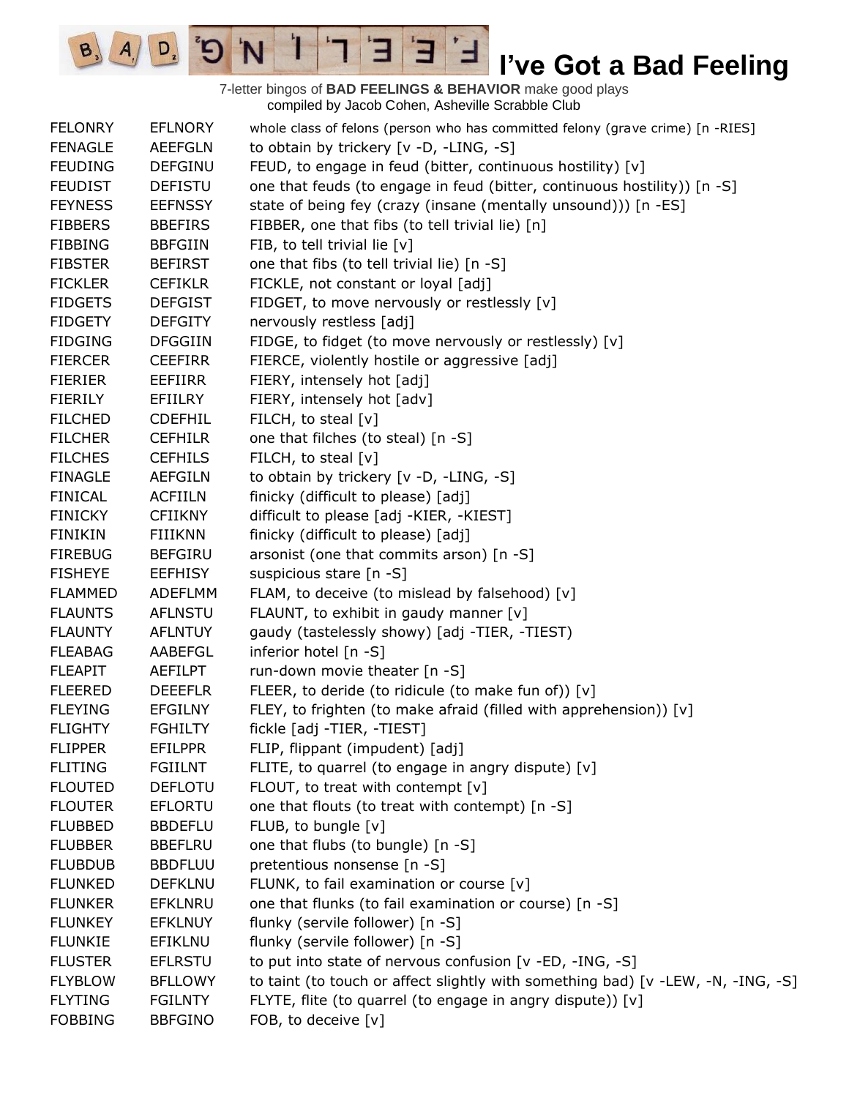7-letter bingos of **BAD FEELINGS & BEHAVIOR** make good plays compiled by Jacob Cohen, Asheville Scrabble Club

 $\mathbf{E}$ 

ᅼ

 $E$ 

 $\mathbf{I}$ 

'N

 $\mathbf{G}^{\prime}$ 

 $D_{2}$ 

 $B_3$   $A_1$ 

| <b>FELONRY</b> | <b>EFLNORY</b> | whole class of felons (person who has committed felony (grave crime) [n -RIES]   |
|----------------|----------------|----------------------------------------------------------------------------------|
| <b>FENAGLE</b> | <b>AEEFGLN</b> | to obtain by trickery [v -D, -LING, -S]                                          |
| <b>FEUDING</b> | <b>DEFGINU</b> | FEUD, to engage in feud (bitter, continuous hostility) [v]                       |
| <b>FEUDIST</b> | <b>DEFISTU</b> | one that feuds (to engage in feud (bitter, continuous hostility)) [n -S]         |
| <b>FEYNESS</b> | <b>EEFNSSY</b> | state of being fey (crazy (insane (mentally unsound))) [n -ES]                   |
| <b>FIBBERS</b> | <b>BBEFIRS</b> | FIBBER, one that fibs (to tell trivial lie) [n]                                  |
| <b>FIBBING</b> | <b>BBFGIIN</b> | FIB, to tell trivial lie [v]                                                     |
| <b>FIBSTER</b> | <b>BEFIRST</b> | one that fibs (to tell trivial lie) [n -S]                                       |
| <b>FICKLER</b> | <b>CEFIKLR</b> | FICKLE, not constant or loyal [adj]                                              |
| <b>FIDGETS</b> | <b>DEFGIST</b> | FIDGET, to move nervously or restlessly [v]                                      |
| <b>FIDGETY</b> | <b>DEFGITY</b> | nervously restless [adj]                                                         |
| <b>FIDGING</b> | <b>DFGGIIN</b> | FIDGE, to fidget (to move nervously or restlessly) [v]                           |
| <b>FIERCER</b> | <b>CEEFIRR</b> | FIERCE, violently hostile or aggressive [adj]                                    |
| <b>FIERIER</b> | EEFIIRR        | FIERY, intensely hot [adj]                                                       |
| <b>FIERILY</b> | <b>EFIILRY</b> | FIERY, intensely hot [adv]                                                       |
| <b>FILCHED</b> | <b>CDEFHIL</b> | FILCH, to steal [v]                                                              |
| <b>FILCHER</b> | <b>CEFHILR</b> | one that filches (to steal) [n -S]                                               |
| <b>FILCHES</b> | <b>CEFHILS</b> | FILCH, to steal [v]                                                              |
| <b>FINAGLE</b> | <b>AEFGILN</b> | to obtain by trickery [v -D, -LING, -S]                                          |
| <b>FINICAL</b> | <b>ACFIILN</b> | finicky (difficult to please) [adj]                                              |
| <b>FINICKY</b> | <b>CFIIKNY</b> | difficult to please [adj -KIER, -KIEST]                                          |
| <b>FINIKIN</b> | FIIIKNN        | finicky (difficult to please) [adj]                                              |
| <b>FIREBUG</b> | <b>BEFGIRU</b> | arsonist (one that commits arson) [n -S]                                         |
| <b>FISHEYE</b> | <b>EEFHISY</b> | suspicious stare [n -S]                                                          |
| <b>FLAMMED</b> | ADEFLMM        | FLAM, to deceive (to mislead by falsehood) [v]                                   |
| <b>FLAUNTS</b> | <b>AFLNSTU</b> | FLAUNT, to exhibit in gaudy manner [v]                                           |
| <b>FLAUNTY</b> | <b>AFLNTUY</b> | gaudy (tastelessly showy) [adj -TIER, -TIEST)                                    |
| <b>FLEABAG</b> | AABEFGL        | inferior hotel [n -S]                                                            |
| <b>FLEAPIT</b> | AEFILPT        | run-down movie theater [n -S]                                                    |
| <b>FLEERED</b> | <b>DEEEFLR</b> | FLEER, to deride (to ridicule (to make fun of)) [v]                              |
| <b>FLEYING</b> | EFGILNY        | FLEY, to frighten (to make afraid (filled with apprehension)) [v]                |
| <b>FLIGHTY</b> | <b>FGHILTY</b> | fickle [adj -TIER, -TIEST]                                                       |
| <b>FLIPPER</b> | <b>EFILPPR</b> | FLIP, flippant (impudent) [adj]                                                  |
| <b>FLITING</b> | <b>FGIILNT</b> | FLITE, to quarrel (to engage in angry dispute) [v]                               |
| <b>FLOUTED</b> | <b>DEFLOTU</b> | FLOUT, to treat with contempt [v]                                                |
| <b>FLOUTER</b> | <b>EFLORTU</b> | one that flouts (to treat with contempt) [n -S]                                  |
| <b>FLUBBED</b> | <b>BBDEFLU</b> | FLUB, to bungle [v]                                                              |
| <b>FLUBBER</b> | <b>BBEFLRU</b> | one that flubs (to bungle) [n -S]                                                |
| <b>FLUBDUB</b> | <b>BBDFLUU</b> | pretentious nonsense [n -S]                                                      |
| <b>FLUNKED</b> | <b>DEFKLNU</b> | FLUNK, to fail examination or course [v]                                         |
| <b>FLUNKER</b> | <b>EFKLNRU</b> | one that flunks (to fail examination or course) [n -S]                           |
| <b>FLUNKEY</b> | <b>EFKLNUY</b> | flunky (servile follower) [n -S]                                                 |
| <b>FLUNKIE</b> | EFIKLNU        | flunky (servile follower) [n -S]                                                 |
| <b>FLUSTER</b> | <b>EFLRSTU</b> | to put into state of nervous confusion [v -ED, -ING, -S]                         |
| <b>FLYBLOW</b> | <b>BFLLOWY</b> | to taint (to touch or affect slightly with something bad) [v -LEW, -N, -ING, -S] |
| <b>FLYTING</b> | <b>FGILNTY</b> | FLYTE, flite (to quarrel (to engage in angry dispute)) [v]                       |
| <b>FOBBING</b> | <b>BBFGINO</b> | FOB, to deceive [v]                                                              |
|                |                |                                                                                  |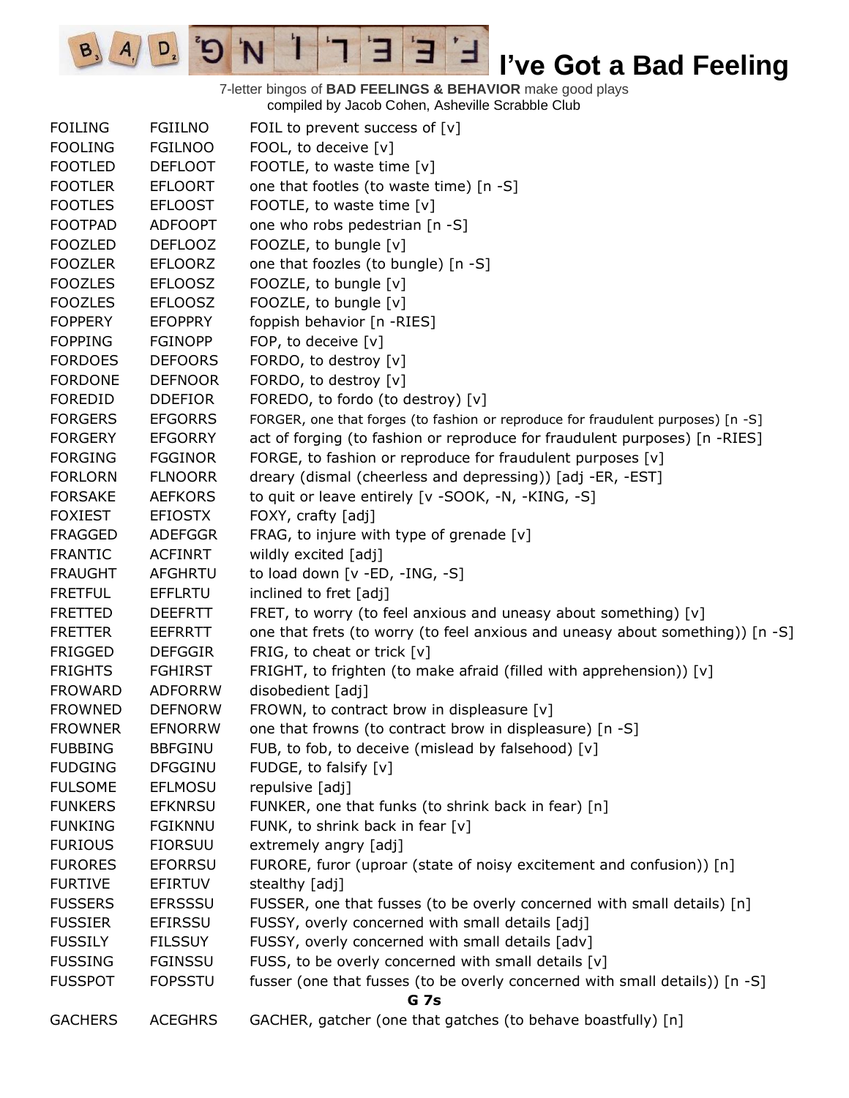7-letter bingos of **BAD FEELINGS & BEHAVIOR** make good plays compiled by Jacob Cohen, Asheville Scrabble Club

 $\mathbf{E}$ 

ᅼ

E

 $\mathbf{I}$ 

'N

 $B_3$ 

 $A_{1}$ 

 $D_{2}$ 

| <b>FOILING</b> | <b>FGIILNO</b> | FOIL to prevent success of $[v]$                                                 |  |  |  |
|----------------|----------------|----------------------------------------------------------------------------------|--|--|--|
| <b>FOOLING</b> | <b>FGILNOO</b> | FOOL, to deceive [v]                                                             |  |  |  |
| <b>FOOTLED</b> | <b>DEFLOOT</b> | FOOTLE, to waste time [v]                                                        |  |  |  |
| <b>FOOTLER</b> | <b>EFLOORT</b> | one that footles (to waste time) [n -S]                                          |  |  |  |
| <b>FOOTLES</b> | <b>EFLOOST</b> | FOOTLE, to waste time [v]                                                        |  |  |  |
| <b>FOOTPAD</b> | <b>ADFOOPT</b> | one who robs pedestrian [n -S]                                                   |  |  |  |
| <b>FOOZLED</b> | <b>DEFLOOZ</b> | FOOZLE, to bungle [v]                                                            |  |  |  |
| <b>FOOZLER</b> | <b>EFLOORZ</b> | one that foozles (to bungle) [n -S]                                              |  |  |  |
| <b>FOOZLES</b> | <b>EFLOOSZ</b> | FOOZLE, to bungle [v]                                                            |  |  |  |
| <b>FOOZLES</b> | <b>EFLOOSZ</b> | FOOZLE, to bungle [v]                                                            |  |  |  |
| <b>FOPPERY</b> | <b>EFOPPRY</b> | foppish behavior [n -RIES]                                                       |  |  |  |
| <b>FOPPING</b> | <b>FGINOPP</b> | FOP, to deceive [v]                                                              |  |  |  |
| <b>FORDOES</b> | <b>DEFOORS</b> | FORDO, to destroy [v]                                                            |  |  |  |
| <b>FORDONE</b> | <b>DEFNOOR</b> | FORDO, to destroy [v]                                                            |  |  |  |
| <b>FOREDID</b> | <b>DDEFIOR</b> | FOREDO, to fordo (to destroy) [v]                                                |  |  |  |
| <b>FORGERS</b> | <b>EFGORRS</b> | FORGER, one that forges (to fashion or reproduce for fraudulent purposes) [n -S] |  |  |  |
| <b>FORGERY</b> | <b>EFGORRY</b> | act of forging (to fashion or reproduce for fraudulent purposes) [n -RIES]       |  |  |  |
| <b>FORGING</b> | <b>FGGINOR</b> | FORGE, to fashion or reproduce for fraudulent purposes [v]                       |  |  |  |
| <b>FORLORN</b> | <b>FLNOORR</b> | dreary (dismal (cheerless and depressing)) [adj -ER, -EST]                       |  |  |  |
| <b>FORSAKE</b> | <b>AEFKORS</b> | to quit or leave entirely [v -SOOK, -N, -KING, -S]                               |  |  |  |
| <b>FOXIEST</b> | <b>EFIOSTX</b> | FOXY, crafty [adj]                                                               |  |  |  |
| <b>FRAGGED</b> | <b>ADEFGGR</b> | FRAG, to injure with type of grenade [v]                                         |  |  |  |
| <b>FRANTIC</b> | <b>ACFINRT</b> | wildly excited [adj]                                                             |  |  |  |
| <b>FRAUGHT</b> | AFGHRTU        | to load down [v -ED, -ING, -S]                                                   |  |  |  |
| <b>FRETFUL</b> | <b>EFFLRTU</b> | inclined to fret [adj]                                                           |  |  |  |
| <b>FRETTED</b> | <b>DEEFRTT</b> | FRET, to worry (to feel anxious and uneasy about something) [v]                  |  |  |  |
| <b>FRETTER</b> | <b>EEFRRTT</b> | one that frets (to worry (to feel anxious and uneasy about something)) [n -S]    |  |  |  |
| <b>FRIGGED</b> | <b>DEFGGIR</b> | FRIG, to cheat or trick [v]                                                      |  |  |  |
| <b>FRIGHTS</b> | <b>FGHIRST</b> | FRIGHT, to frighten (to make afraid (filled with apprehension)) [v]              |  |  |  |
| <b>FROWARD</b> | <b>ADFORRW</b> | disobedient [adj]                                                                |  |  |  |
| <b>FROWNED</b> | <b>DEFNORW</b> | FROWN, to contract brow in displeasure [v]                                       |  |  |  |
| <b>FROWNER</b> | <b>EFNORRW</b> | one that frowns (to contract brow in displeasure) [n -S]                         |  |  |  |
| <b>FUBBING</b> | <b>BBFGINU</b> | FUB, to fob, to deceive (mislead by falsehood) [v]                               |  |  |  |
| <b>FUDGING</b> | <b>DFGGINU</b> | FUDGE, to falsify [v]                                                            |  |  |  |
| <b>FULSOME</b> | <b>EFLMOSU</b> | repulsive [adj]                                                                  |  |  |  |
| <b>FUNKERS</b> | <b>EFKNRSU</b> | FUNKER, one that funks (to shrink back in fear) [n]                              |  |  |  |
| <b>FUNKING</b> | <b>FGIKNNU</b> | FUNK, to shrink back in fear [v]                                                 |  |  |  |
| <b>FURIOUS</b> | <b>FIORSUU</b> | extremely angry [adj]                                                            |  |  |  |
| <b>FURORES</b> | <b>EFORRSU</b> | FURORE, furor (uproar (state of noisy excitement and confusion)) [n]             |  |  |  |
| <b>FURTIVE</b> | EFIRTUV        | stealthy [adj]                                                                   |  |  |  |
| <b>FUSSERS</b> | <b>EFRSSSU</b> | FUSSER, one that fusses (to be overly concerned with small details) [n]          |  |  |  |
| <b>FUSSIER</b> | <b>EFIRSSU</b> | FUSSY, overly concerned with small details [adj]                                 |  |  |  |
| <b>FUSSILY</b> | <b>FILSSUY</b> | FUSSY, overly concerned with small details [adv]                                 |  |  |  |
| <b>FUSSING</b> | <b>FGINSSU</b> | FUSS, to be overly concerned with small details [v]                              |  |  |  |
| <b>FUSSPOT</b> | <b>FOPSSTU</b> | fusser (one that fusses (to be overly concerned with small details)) [n -S]      |  |  |  |
|                | G 7s           |                                                                                  |  |  |  |
| <b>GACHERS</b> | <b>ACEGHRS</b> | GACHER, gatcher (one that gatches (to behave boastfully) [n]                     |  |  |  |
|                |                |                                                                                  |  |  |  |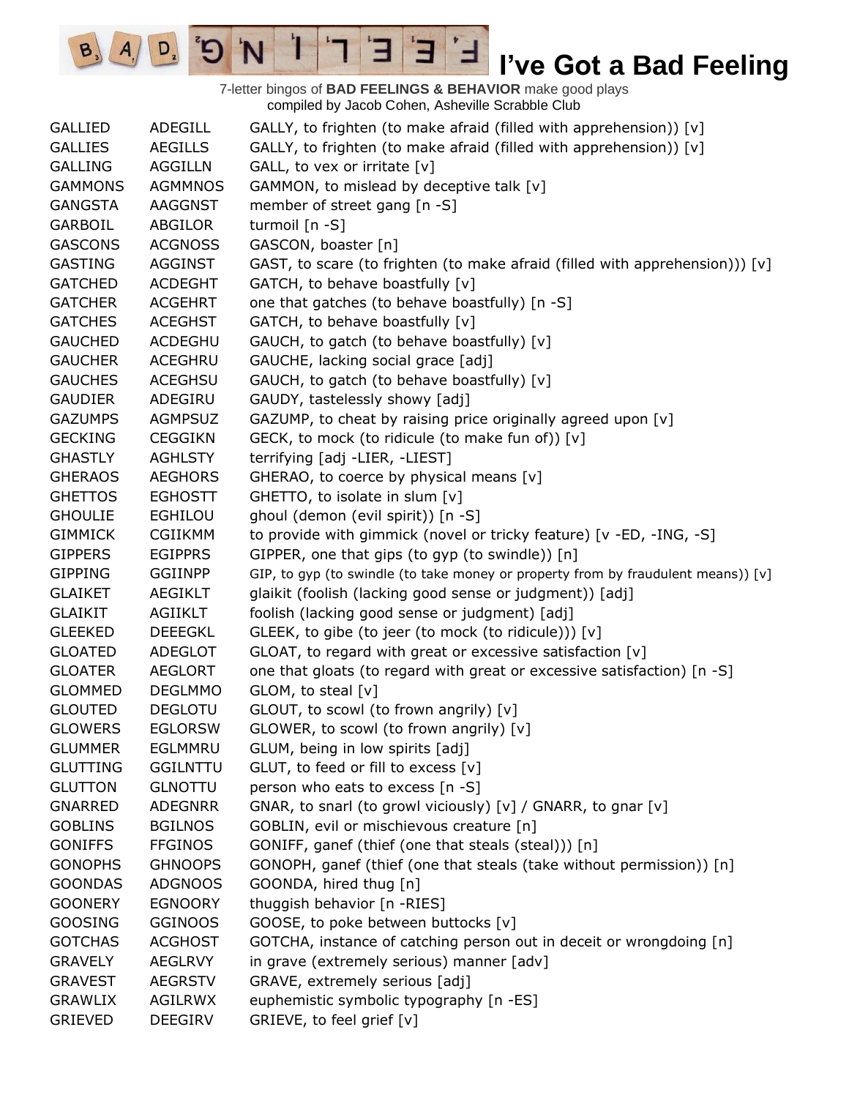compiled by Jacob Cohen, Asheville Scrabble Club GALLIED ADEGILL GALLY, to frighten (to make afraid (filled with apprehension)) [v] GALLIES AEGILLS GALLY, to frighten (to make afraid (filled with apprehension)) [v] GALLING AGGILLN GALL, to vex or irritate [v] GAMMONS AGMMNOS GAMMON, to mislead by deceptive talk [v] GANGSTA AAGGNST member of street gang [n -S] GARBOIL ABGILOR turmoil [n -S] GASCONS ACGNOSS GASCON, boaster [n] GASTING AGGINST GAST, to scare (to frighten (to make afraid (filled with apprehension))) [v] GATCHED ACDEGHT GATCH, to behave boastfully [v] GATCHER ACGEHRT one that gatches (to behave boastfully) [n -S] GATCHES ACEGHST GATCH, to behave boastfully [v] GAUCHED ACDEGHU GAUCH, to gatch (to behave boastfully) [v] GAUCHER ACEGHRU GAUCHE, lacking social grace [adj] GAUCHES ACEGHSU GAUCH, to gatch (to behave boastfully) [v] GAUDIER ADEGIRU GAUDY, tastelessly showy [adj] GAZUMPS AGMPSUZ GAZUMP, to cheat by raising price originally agreed upon [v] GECKING CEGGIKN GECK, to mock (to ridicule (to make fun of)) [v] GHASTLY AGHLSTY terrifying [adj -LIER, -LIEST] GHERAOS AEGHORS GHERAO, to coerce by physical means [v] GHETTOS EGHOSTT GHETTO, to isolate in slum [v] GHOULIE EGHILOU ghoul (demon (evil spirit)) [n -S] GIMMICK CGIIKMM to provide with gimmick (novel or tricky feature) [v -ED, -ING, -S] GIPPERS EGIPPRS GIPPER, one that gips (to gyp (to swindle)) [n] GIPPING GGIINPP GIP, to gyp (to swindle (to take money or property from by fraudulent means)) [v] GLAIKET AEGIKLT glaikit (foolish (lacking good sense or judgment)) [adj] GLAIKIT AGIIKLT foolish (lacking good sense or judgment) [adj] GLEEKED DEEEGKL GLEEK, to gibe (to jeer (to mock (to ridicule))) [v]  $GLOATED$  ADEGLOT GLOAT, to regard with great or excessive satisfaction  $[v]$ GLOATER AEGLORT one that gloats (to regard with great or excessive satisfaction) [n -S] GLOMMED DEGLMMO GLOM, to steal [v] GLOUTED DEGLOTU GLOUT, to scowl (to frown angrily) [v] GLOWERS EGLORSW GLOWER, to scowl (to frown angrily) [v] GLUMMER EGLMMRU GLUM, being in low spirits [adj] GLUTTING GGILNTTU GLUT, to feed or fill to excess [v] GLUTTON GLNOTTU person who eats to excess [n -S] GNARRED ADEGNRR GNAR, to snarl (to growl viciously) [v] / GNARR, to gnar [v] GOBLINS BGILNOS GOBLIN, evil or mischievous creature [n] GONIFFS FFGINOS GONIFF, ganef (thief (one that steals (steal))) [n] GONOPHS GHNOOPS GONOPH, ganef (thief (one that steals (take without permission)) [n] GOONDAS ADGNOOS GOONDA, hired thug [n] GOONERY EGNOORY thuggish behavior [n -RIES] GOOSING GGINOOS GOOSE, to poke between buttocks [v] GOTCHAS ACGHOST GOTCHA, instance of catching person out in deceit or wrongdoing [n] GRAVELY AEGLRVY in grave (extremely serious) manner [adv] GRAVEST AEGRSTV GRAVE, extremely serious [adj] GRAWLIX AGILRWX euphemistic symbolic typography [n -ES] GRIEVED DEEGIRV GRIEVE, to feel grief [v]

7-letter bingos of **BAD FEELINGS & BEHAVIOR** make good plays

 $\overline{H}$ 

 $A \mid D$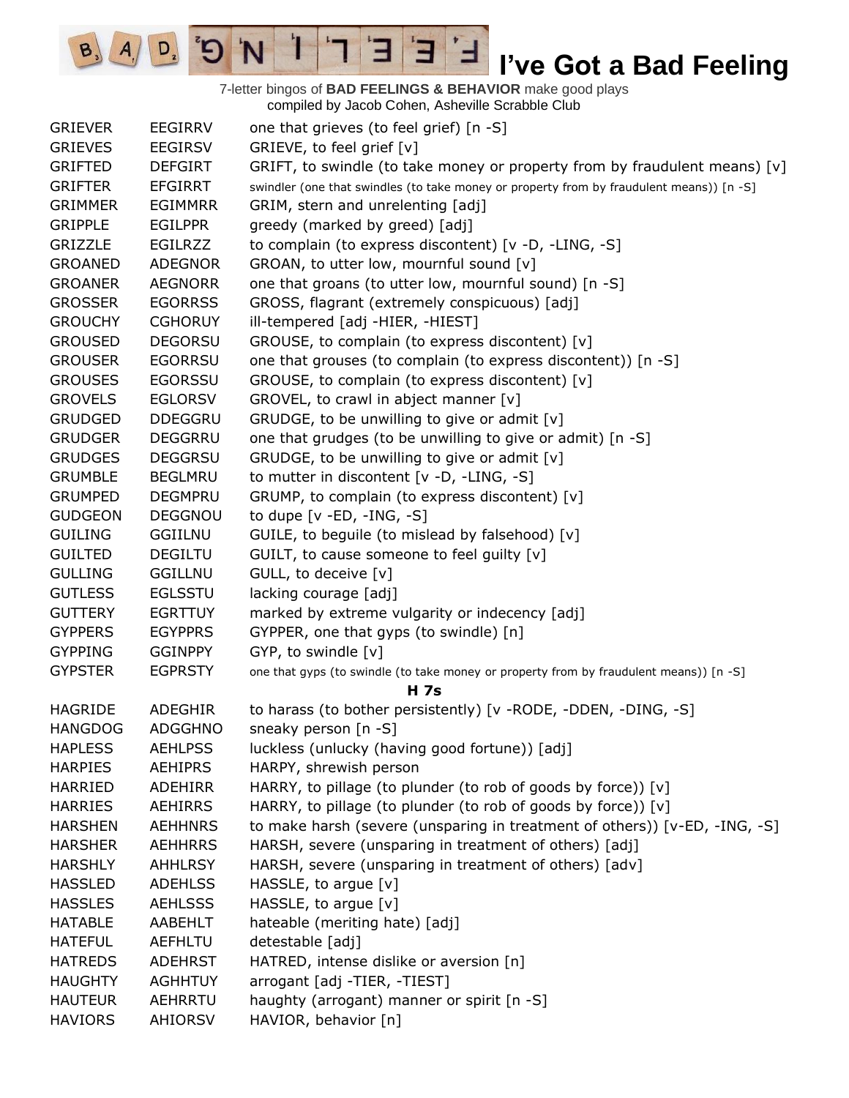7-letter bingos of **BAD FEELINGS & BEHAVIOR** make good plays compiled by Jacob Cohen, Asheville Scrabble Club

E

3

 $\frac{1}{2}$ 

'N

 $B_3$ 

 $A_{1}$ 

 $D_{2}$ 

| <b>GRIEVER</b>                   | <b>EEGIRRV</b>                   | one that grieves (to feel grief) [n -S]                                                                                              |
|----------------------------------|----------------------------------|--------------------------------------------------------------------------------------------------------------------------------------|
| <b>GRIEVES</b>                   | <b>EEGIRSV</b>                   | GRIEVE, to feel grief [v]                                                                                                            |
| <b>GRIFTED</b>                   | <b>DEFGIRT</b>                   | GRIFT, to swindle (to take money or property from by fraudulent means) $[v]$                                                         |
| <b>GRIFTER</b>                   | <b>EFGIRRT</b>                   | swindler (one that swindles (to take money or property from by fraudulent means)) [n -S]                                             |
| <b>GRIMMER</b>                   | <b>EGIMMRR</b>                   | GRIM, stern and unrelenting [adj]                                                                                                    |
| <b>GRIPPLE</b>                   | <b>EGILPPR</b>                   | greedy (marked by greed) [adj]                                                                                                       |
| GRIZZLE                          | <b>EGILRZZ</b>                   | to complain (to express discontent) [v -D, -LING, -S]                                                                                |
| <b>GROANED</b>                   | <b>ADEGNOR</b>                   | GROAN, to utter low, mournful sound [v]                                                                                              |
| <b>GROANER</b>                   | <b>AEGNORR</b>                   | one that groans (to utter low, mournful sound) [n -S]                                                                                |
| <b>GROSSER</b>                   | <b>EGORRSS</b>                   | GROSS, flagrant (extremely conspicuous) [adj]                                                                                        |
| <b>GROUCHY</b>                   | <b>CGHORUY</b>                   | ill-tempered [adj -HIER, -HIEST]                                                                                                     |
| <b>GROUSED</b>                   | <b>DEGORSU</b>                   | GROUSE, to complain (to express discontent) [v]                                                                                      |
| <b>GROUSER</b>                   | <b>EGORRSU</b>                   | one that grouses (to complain (to express discontent)) [n -S]                                                                        |
| <b>GROUSES</b>                   | <b>EGORSSU</b>                   | GROUSE, to complain (to express discontent) [v]                                                                                      |
| <b>GROVELS</b>                   | <b>EGLORSV</b>                   | GROVEL, to crawl in abject manner [v]                                                                                                |
| <b>GRUDGED</b>                   | <b>DDEGGRU</b>                   | GRUDGE, to be unwilling to give or admit [v]                                                                                         |
| <b>GRUDGER</b>                   | <b>DEGGRRU</b>                   | one that grudges (to be unwilling to give or admit) [n -S]                                                                           |
| <b>GRUDGES</b>                   | <b>DEGGRSU</b>                   | GRUDGE, to be unwilling to give or admit [v]                                                                                         |
| <b>GRUMBLE</b>                   | <b>BEGLMRU</b>                   | to mutter in discontent $[v -D, -LING, -S]$                                                                                          |
| <b>GRUMPED</b>                   | <b>DEGMPRU</b>                   | GRUMP, to complain (to express discontent) [v]                                                                                       |
| <b>GUDGEON</b>                   | <b>DEGGNOU</b>                   | to dupe $[v - ED, -ING, -S]$                                                                                                         |
| <b>GUILING</b>                   | <b>GGIILNU</b>                   | GUILE, to beguile (to mislead by falsehood) [v]                                                                                      |
| <b>GUILTED</b>                   | <b>DEGILTU</b>                   | GUILT, to cause someone to feel guilty [v]                                                                                           |
| <b>GULLING</b>                   | <b>GGILLNU</b>                   | GULL, to deceive [v]                                                                                                                 |
| <b>GUTLESS</b>                   | <b>EGLSSTU</b>                   | lacking courage [adj]                                                                                                                |
| <b>GUTTERY</b>                   | <b>EGRTTUY</b>                   | marked by extreme vulgarity or indecency [adj]                                                                                       |
| <b>GYPPERS</b>                   | <b>EGYPPRS</b>                   | GYPPER, one that gyps (to swindle) [n]                                                                                               |
| <b>GYPPING</b>                   | <b>GGINPPY</b>                   | GYP, to swindle [v]                                                                                                                  |
| <b>GYPSTER</b>                   | <b>EGPRSTY</b>                   | one that gyps (to swindle (to take money or property from by fraudulent means)) [n -S]                                               |
|                                  |                                  | <b>H</b> 7s                                                                                                                          |
| <b>HAGRIDE</b>                   | <b>ADEGHIR</b>                   | to harass (to bother persistently) [v - RODE, -DDEN, -DING, -S]                                                                      |
| <b>HANGDOG</b>                   | <b>ADGGHNO</b>                   | sneaky person [n -S]                                                                                                                 |
| <b>HAPLESS</b><br><b>HARPIES</b> | <b>AEHLPSS</b><br><b>AEHIPRS</b> | luckless (unlucky (having good fortune)) [adj]                                                                                       |
| <b>HARRIED</b>                   | <b>ADEHIRR</b>                   | HARPY, shrewish person                                                                                                               |
| <b>HARRIES</b>                   | <b>AEHIRRS</b>                   | HARRY, to pillage (to plunder (to rob of goods by force)) [v]<br>HARRY, to pillage (to plunder (to rob of goods by force)) [v]       |
| <b>HARSHEN</b>                   | <b>AEHHNRS</b>                   |                                                                                                                                      |
| <b>HARSHER</b>                   | <b>AEHHRRS</b>                   | to make harsh (severe (unsparing in treatment of others)) [v-ED, -ING, -S]<br>HARSH, severe (unsparing in treatment of others) [adj] |
| <b>HARSHLY</b>                   | <b>AHHLRSY</b>                   | HARSH, severe (unsparing in treatment of others) [adv]                                                                               |
| <b>HASSLED</b>                   | <b>ADEHLSS</b>                   | HASSLE, to argue $[v]$                                                                                                               |
| <b>HASSLES</b>                   | <b>AEHLSSS</b>                   | HASSLE, to argue [v]                                                                                                                 |
| <b>HATABLE</b>                   | AABEHLT                          | hateable (meriting hate) [adj]                                                                                                       |
| <b>HATEFUL</b>                   | <b>AEFHLTU</b>                   | detestable [adj]                                                                                                                     |
| <b>HATREDS</b>                   | <b>ADEHRST</b>                   | HATRED, intense dislike or aversion [n]                                                                                              |
| <b>HAUGHTY</b>                   | <b>AGHHTUY</b>                   | arrogant [adj -TIER, -TIEST]                                                                                                         |
| <b>HAUTEUR</b>                   | AEHRRTU                          | haughty (arrogant) manner or spirit [n -S]                                                                                           |
| <b>HAVIORS</b>                   | <b>AHIORSV</b>                   | HAVIOR, behavior [n]                                                                                                                 |
|                                  |                                  |                                                                                                                                      |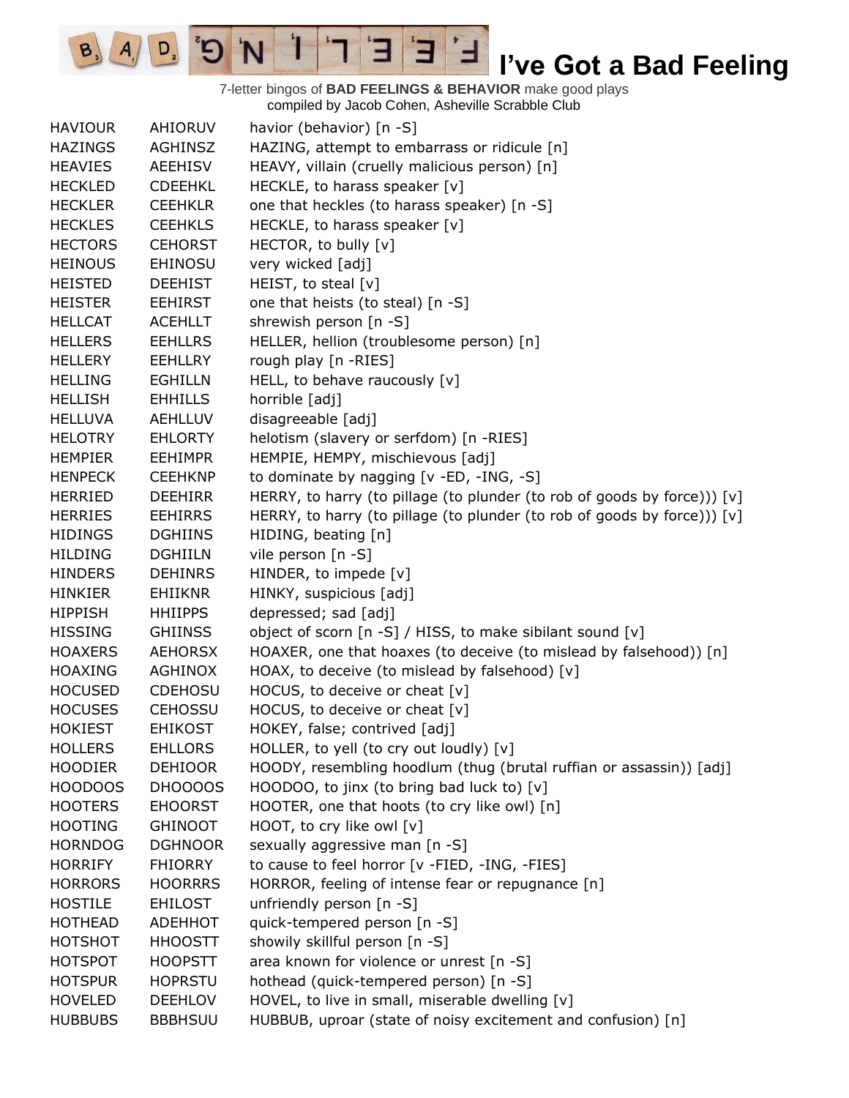7-letter bingos of **BAD FEELINGS & BEHAVIOR** make good plays compiled by Jacob Cohen, Asheville Scrabble Club

E

3

 $\frac{1}{2}$ 

'N

 $B_3$ 

 $A_{1}$ 

 $D_{2}$ 

| <b>HAVIOUR</b> | AHIORUV        | havior (behavior) [n -S]                                                   |
|----------------|----------------|----------------------------------------------------------------------------|
| <b>HAZINGS</b> | <b>AGHINSZ</b> | HAZING, attempt to embarrass or ridicule [n]                               |
| <b>HEAVIES</b> | <b>AEEHISV</b> | HEAVY, villain (cruelly malicious person) [n]                              |
| <b>HECKLED</b> | <b>CDEEHKL</b> | HECKLE, to harass speaker [v]                                              |
| <b>HECKLER</b> | <b>CEEHKLR</b> | one that heckles (to harass speaker) [n -S]                                |
| <b>HECKLES</b> | <b>CEEHKLS</b> | HECKLE, to harass speaker [v]                                              |
| <b>HECTORS</b> | <b>CEHORST</b> | HECTOR, to bully [v]                                                       |
| <b>HEINOUS</b> | <b>EHINOSU</b> | very wicked [adj]                                                          |
| <b>HEISTED</b> | <b>DEEHIST</b> | HEIST, to steal [v]                                                        |
| <b>HEISTER</b> | <b>EEHIRST</b> | one that heists (to steal) [n -S]                                          |
| <b>HELLCAT</b> | <b>ACEHLLT</b> | shrewish person [n -S]                                                     |
| <b>HELLERS</b> | <b>EEHLLRS</b> | HELLER, hellion (troublesome person) [n]                                   |
| <b>HELLERY</b> | <b>EEHLLRY</b> | rough play [n -RIES]                                                       |
| <b>HELLING</b> | <b>EGHILLN</b> | HELL, to behave raucously [v]                                              |
| <b>HELLISH</b> | <b>EHHILLS</b> | horrible [adj]                                                             |
| <b>HELLUVA</b> | <b>AEHLLUV</b> | disagreeable [adj]                                                         |
| <b>HELOTRY</b> | <b>EHLORTY</b> | helotism (slavery or serfdom) [n -RIES]                                    |
| <b>HEMPIER</b> | <b>EEHIMPR</b> | HEMPIE, HEMPY, mischievous [adj]                                           |
| <b>HENPECK</b> | <b>CEEHKNP</b> | to dominate by nagging [v -ED, -ING, -S]                                   |
| <b>HERRIED</b> | <b>DEEHIRR</b> | HERRY, to harry (to pillage (to plunder (to rob of goods by force))) [v]   |
| <b>HERRIES</b> | <b>EEHIRRS</b> | HERRY, to harry (to pillage (to plunder (to rob of goods by force))) $[v]$ |
| <b>HIDINGS</b> | <b>DGHIINS</b> | HIDING, beating [n]                                                        |
| <b>HILDING</b> | <b>DGHIILN</b> | vile person [n -S]                                                         |
| <b>HINDERS</b> | <b>DEHINRS</b> | HINDER, to impede [v]                                                      |
| <b>HINKIER</b> | <b>EHIIKNR</b> | HINKY, suspicious [adj]                                                    |
| <b>HIPPISH</b> | <b>HHIIPPS</b> | depressed; sad [adj]                                                       |
| <b>HISSING</b> | <b>GHIINSS</b> | object of scorn [n -S] / HISS, to make sibilant sound [v]                  |
| <b>HOAXERS</b> | <b>AEHORSX</b> | HOAXER, one that hoaxes (to deceive (to mislead by falsehood)) [n]         |
| <b>HOAXING</b> | AGHINOX        | HOAX, to deceive (to mislead by falsehood) [v]                             |
| <b>HOCUSED</b> | <b>CDEHOSU</b> | HOCUS, to deceive or cheat [v]                                             |
| <b>HOCUSES</b> | <b>CEHOSSU</b> | HOCUS, to deceive or cheat [v]                                             |
| <b>HOKIEST</b> | <b>EHIKOST</b> | HOKEY, false; contrived [adj]                                              |
| <b>HOLLERS</b> | <b>EHLLORS</b> | HOLLER, to yell (to cry out loudly) [v]                                    |
| <b>HOODIER</b> | <b>DEHIOOR</b> | HOODY, resembling hoodlum (thug (brutal ruffian or assassin)) [adj]        |
| HOODOOS        | DHOOOOS        | HOODOO, to jinx (to bring bad luck to) $[v]$                               |
| <b>HOOTERS</b> | <b>EHOORST</b> | HOOTER, one that hoots (to cry like owl) [n]                               |
| <b>HOOTING</b> | <b>GHINOOT</b> | HOOT, to cry like owl [v]                                                  |
| <b>HORNDOG</b> | <b>DGHNOOR</b> | sexually aggressive man [n -S]                                             |
| <b>HORRIFY</b> | <b>FHIORRY</b> | to cause to feel horror [v -FIED, -ING, -FIES]                             |
| <b>HORRORS</b> | <b>HOORRRS</b> | HORROR, feeling of intense fear or repugnance [n]                          |
| <b>HOSTILE</b> | <b>EHILOST</b> | unfriendly person [n -S]                                                   |
| <b>HOTHEAD</b> | ADEHHOT        | quick-tempered person [n -S]                                               |
| <b>HOTSHOT</b> | <b>HHOOSTT</b> | showily skillful person [n -S]                                             |
| <b>HOTSPOT</b> | <b>HOOPSTT</b> | area known for violence or unrest [n -S]                                   |
| <b>HOTSPUR</b> | <b>HOPRSTU</b> | hothead (quick-tempered person) [n -S]                                     |
| <b>HOVELED</b> | <b>DEEHLOV</b> | HOVEL, to live in small, miserable dwelling [v]                            |
| <b>HUBBUBS</b> | <b>BBBHSUU</b> | HUBBUB, uproar (state of noisy excitement and confusion) [n]               |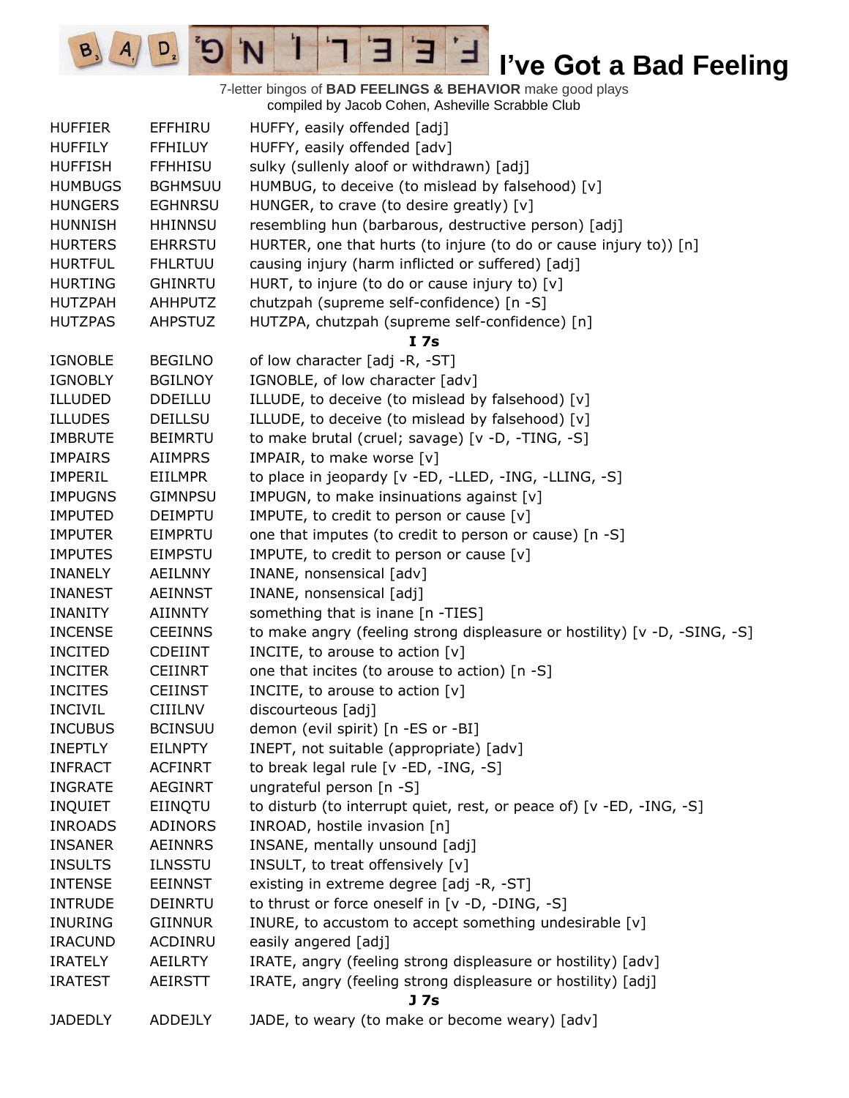7-letter bingos of **BAD FEELINGS & BEHAVIOR** make good plays compiled by Jacob Cohen, Asheville Scrabble Club

E

 $\blacksquare$ 

3

Ï

 $\mathbf{G}^{\mathrm{s}}$ 

'N

 $D_{2}$ 

 $B, A$ 

|                |                | complied by Jacob Conen, Asheville Octabble Club                          |
|----------------|----------------|---------------------------------------------------------------------------|
| <b>HUFFIER</b> | <b>EFFHIRU</b> | HUFFY, easily offended [adj]                                              |
| <b>HUFFILY</b> | <b>FFHILUY</b> | HUFFY, easily offended [adv]                                              |
| <b>HUFFISH</b> | <b>FFHHISU</b> | sulky (sullenly aloof or withdrawn) [adj]                                 |
| <b>HUMBUGS</b> | <b>BGHMSUU</b> | HUMBUG, to deceive (to mislead by falsehood) [v]                          |
| <b>HUNGERS</b> | <b>EGHNRSU</b> | HUNGER, to crave (to desire greatly) [v]                                  |
| <b>HUNNISH</b> | <b>HHINNSU</b> | resembling hun (barbarous, destructive person) [adj]                      |
| <b>HURTERS</b> | <b>EHRRSTU</b> | HURTER, one that hurts (to injure (to do or cause injury to)) [n]         |
| <b>HURTFUL</b> | <b>FHLRTUU</b> | causing injury (harm inflicted or suffered) [adj]                         |
| <b>HURTING</b> | <b>GHINRTU</b> | HURT, to injure (to do or cause injury to) [v]                            |
| <b>HUTZPAH</b> | <b>AHHPUTZ</b> | chutzpah (supreme self-confidence) [n -S]                                 |
| <b>HUTZPAS</b> | <b>AHPSTUZ</b> | HUTZPA, chutzpah (supreme self-confidence) [n]                            |
|                |                | I <sub>7s</sub>                                                           |
| <b>IGNOBLE</b> | <b>BEGILNO</b> | of low character [adj -R, -ST]                                            |
| <b>IGNOBLY</b> | <b>BGILNOY</b> | IGNOBLE, of low character [adv]                                           |
| <b>ILLUDED</b> | <b>DDEILLU</b> | ILLUDE, to deceive (to mislead by falsehood) [v]                          |
| <b>ILLUDES</b> | <b>DEILLSU</b> | ILLUDE, to deceive (to mislead by falsehood) [v]                          |
| <b>IMBRUTE</b> | <b>BEIMRTU</b> | to make brutal (cruel; savage) [v -D, -TING, -S]                          |
| <b>IMPAIRS</b> | <b>AIIMPRS</b> | IMPAIR, to make worse [v]                                                 |
| <b>IMPERIL</b> |                |                                                                           |
|                | <b>EIILMPR</b> | to place in jeopardy [v -ED, -LLED, -ING, -LLING, -S]                     |
| <b>IMPUGNS</b> | <b>GIMNPSU</b> | IMPUGN, to make insinuations against [v]                                  |
| <b>IMPUTED</b> | <b>DEIMPTU</b> | IMPUTE, to credit to person or cause [v]                                  |
| <b>IMPUTER</b> | <b>EIMPRTU</b> | one that imputes (to credit to person or cause) [n -S]                    |
| <b>IMPUTES</b> | <b>EIMPSTU</b> | IMPUTE, to credit to person or cause [v]                                  |
| <b>INANELY</b> | <b>AEILNNY</b> | INANE, nonsensical [adv]                                                  |
| <b>INANEST</b> | <b>AEINNST</b> | INANE, nonsensical [adj]                                                  |
| <b>INANITY</b> | <b>AIINNTY</b> | something that is inane [n -TIES]                                         |
| <b>INCENSE</b> | <b>CEEINNS</b> | to make angry (feeling strong displeasure or hostility) [v -D, -SING, -S] |
| <b>INCITED</b> | <b>CDEIINT</b> | INCITE, to arouse to action $[v]$                                         |
| <b>INCITER</b> | <b>CEIINRT</b> | one that incites (to arouse to action) [n -S]                             |
| <b>INCITES</b> | <b>CEIINST</b> | INCITE, to arouse to action [v]                                           |
| <b>INCIVIL</b> | <b>CIIILNV</b> | discourteous [adj]                                                        |
| <b>INCUBUS</b> | <b>BCINSUU</b> | demon (evil spirit) [n -ES or -BI]                                        |
| <b>INEPTLY</b> | <b>EILNPTY</b> | INEPT, not suitable (appropriate) [adv]                                   |
| <b>INFRACT</b> | <b>ACFINRT</b> | to break legal rule [v -ED, -ING, -S]                                     |
| <b>INGRATE</b> | <b>AEGINRT</b> | ungrateful person [n -S]                                                  |
| <b>INQUIET</b> | EIINQTU        | to disturb (to interrupt quiet, rest, or peace of) [v -ED, -ING, -S]      |
| <b>INROADS</b> | <b>ADINORS</b> | INROAD, hostile invasion [n]                                              |
| <b>INSANER</b> | <b>AEINNRS</b> | INSANE, mentally unsound [adj]                                            |
| <b>INSULTS</b> | <b>ILNSSTU</b> | INSULT, to treat offensively [v]                                          |
| <b>INTENSE</b> | <b>EEINNST</b> | existing in extreme degree [adj -R, -ST]                                  |
| <b>INTRUDE</b> | DEINRTU        | to thrust or force oneself in [v -D, -DING, -S]                           |
| <b>INURING</b> | <b>GIINNUR</b> | INURE, to accustom to accept something undesirable [v]                    |
| <b>IRACUND</b> | ACDINRU        | easily angered [adj]                                                      |
| <b>IRATELY</b> | <b>AEILRTY</b> | IRATE, angry (feeling strong displeasure or hostility) [adv]              |
| <b>IRATEST</b> | <b>AEIRSTT</b> | IRATE, angry (feeling strong displeasure or hostility) [adj]              |
|                |                | J <sub>7s</sub>                                                           |
| <b>JADEDLY</b> | ADDEJLY        | JADE, to weary (to make or become weary) [adv]                            |
|                |                |                                                                           |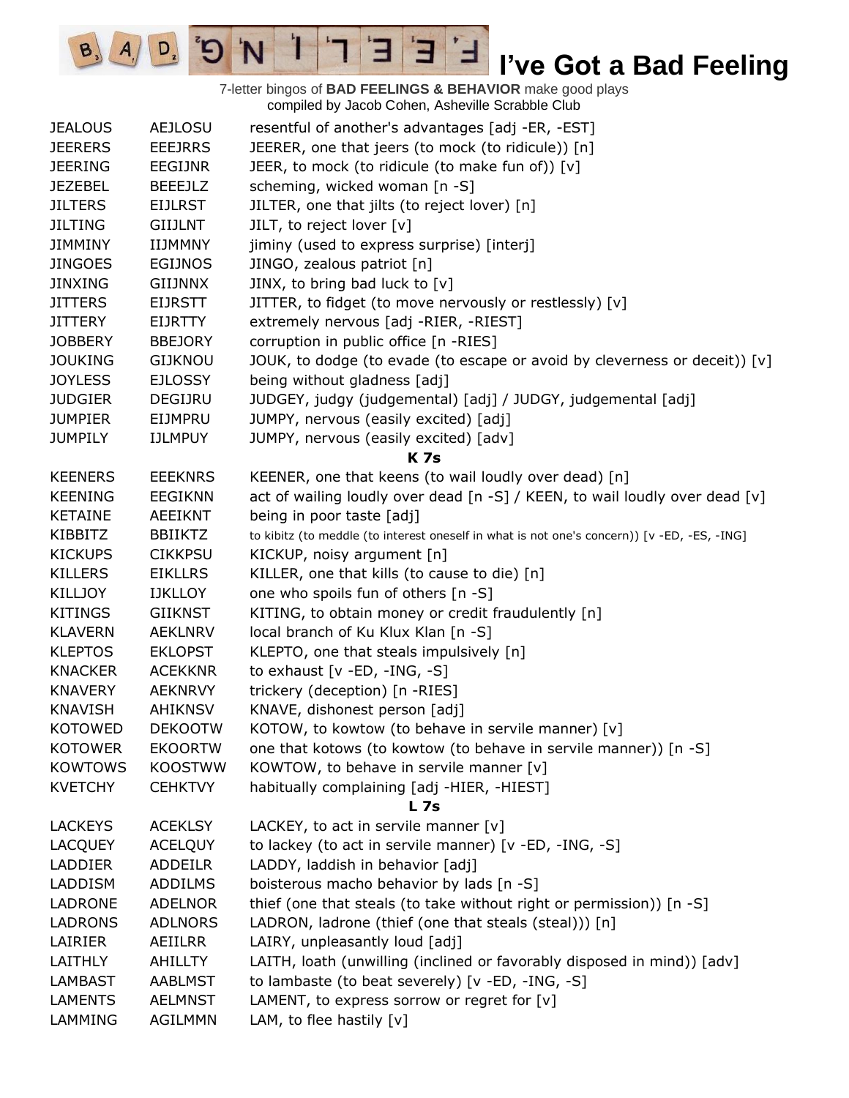7-letter bingos of **BAD FEELINGS & BEHAVIOR** make good plays compiled by Jacob Cohen, Asheville Scrabble Club

E

3

 $\frac{1}{2}$ 

'N

 $B_3$ 

 $A_{1}$ 

 $D_{2}$ 

| <b>JEALOUS</b> | <b>AEJLOSU</b> | resentful of another's advantages [adj -ER, -EST]                                           |
|----------------|----------------|---------------------------------------------------------------------------------------------|
| <b>JEERERS</b> | <b>EEEJRRS</b> | JEERER, one that jeers (to mock (to ridicule)) [n]                                          |
| <b>JEERING</b> | <b>EEGIJNR</b> | JEER, to mock (to ridicule (to make fun of)) [v]                                            |
| <b>JEZEBEL</b> | <b>BEEEJLZ</b> | scheming, wicked woman [n -S]                                                               |
| <b>JILTERS</b> | <b>EIJLRST</b> | JILTER, one that jilts (to reject lover) [n]                                                |
| <b>JILTING</b> | <b>GIIJLNT</b> | JILT, to reject lover [v]                                                                   |
| <b>JIMMINY</b> | IIJMMNY        | jiminy (used to express surprise) [interj]                                                  |
| <b>JINGOES</b> | <b>EGIJNOS</b> | JINGO, zealous patriot [n]                                                                  |
| <b>JINXING</b> | <b>GIIJNNX</b> | JINX, to bring bad luck to [v]                                                              |
| <b>JITTERS</b> | <b>EIJRSTT</b> | JITTER, to fidget (to move nervously or restlessly) [v]                                     |
| <b>JITTERY</b> | <b>EIJRTTY</b> | extremely nervous [adj -RIER, -RIEST]                                                       |
| <b>JOBBERY</b> | <b>BBEJORY</b> | corruption in public office [n -RIES]                                                       |
| <b>JOUKING</b> | <b>GIJKNOU</b> | JOUK, to dodge (to evade (to escape or avoid by cleverness or deceit)) $[v]$                |
| <b>JOYLESS</b> | <b>EJLOSSY</b> | being without gladness [adj]                                                                |
| <b>JUDGIER</b> | DEGIJRU        | JUDGEY, judgy (judgemental) [adj] / JUDGY, judgemental [adj]                                |
| <b>JUMPIER</b> | EIJMPRU        | JUMPY, nervous (easily excited) [adj]                                                       |
| <b>JUMPILY</b> | <b>IJLMPUY</b> | JUMPY, nervous (easily excited) [adv]                                                       |
|                |                | <b>K</b> 7s                                                                                 |
| <b>KEENERS</b> | <b>EEEKNRS</b> | KEENER, one that keens (to wail loudly over dead) [n]                                       |
| <b>KEENING</b> | <b>EEGIKNN</b> | act of wailing loudly over dead [n -S] / KEEN, to wail loudly over dead [v]                 |
| <b>KETAINE</b> | <b>AEEIKNT</b> | being in poor taste [adj]                                                                   |
| KIBBITZ        | <b>BBIIKTZ</b> | to kibitz (to meddle (to interest oneself in what is not one's concern)) [v -ED, -ES, -ING] |
| <b>KICKUPS</b> | <b>CIKKPSU</b> | KICKUP, noisy argument [n]                                                                  |
| <b>KILLERS</b> | <b>EIKLLRS</b> | KILLER, one that kills (to cause to die) [n]                                                |
| <b>KILLJOY</b> | <b>IJKLLOY</b> | one who spoils fun of others [n -S]                                                         |
| <b>KITINGS</b> | <b>GIIKNST</b> | KITING, to obtain money or credit fraudulently [n]                                          |
| <b>KLAVERN</b> | <b>AEKLNRV</b> | local branch of Ku Klux Klan [n -S]                                                         |
| <b>KLEPTOS</b> | <b>EKLOPST</b> | KLEPTO, one that steals impulsively [n]                                                     |
| <b>KNACKER</b> | <b>ACEKKNR</b> | to exhaust $[v - ED, -ING, -S]$                                                             |
| <b>KNAVERY</b> | <b>AEKNRVY</b> | trickery (deception) [n -RIES]                                                              |
| <b>KNAVISH</b> | <b>AHIKNSV</b> | KNAVE, dishonest person [adj]                                                               |
| <b>KOTOWED</b> | <b>DEKOOTW</b> | KOTOW, to kowtow (to behave in servile manner) [v]                                          |
| <b>KOTOWER</b> | <b>EKOORTW</b> | one that kotows (to kowtow (to behave in servile manner)) [n -S]                            |
| <b>KOWTOWS</b> | <b>KOOSTWW</b> | KOWTOW, to behave in servile manner [v]                                                     |
| <b>KVETCHY</b> | <b>CEHKTVY</b> | habitually complaining [adj -HIER, -HIEST]                                                  |
|                |                | <b>L</b> 7s                                                                                 |
| <b>LACKEYS</b> | <b>ACEKLSY</b> | LACKEY, to act in servile manner $[v]$                                                      |
| <b>LACQUEY</b> | <b>ACELQUY</b> | to lackey (to act in servile manner) [v -ED, -ING, -S]                                      |
| <b>LADDIER</b> | <b>ADDEILR</b> | LADDY, laddish in behavior [adj]                                                            |
| LADDISM        | <b>ADDILMS</b> | boisterous macho behavior by lads [n -S]                                                    |
| <b>LADRONE</b> | <b>ADELNOR</b> | thief (one that steals (to take without right or permission)) [n -S]                        |
| <b>LADRONS</b> | <b>ADLNORS</b> | LADRON, ladrone (thief (one that steals (steal))) [n]                                       |
| LAIRIER        | AEIILRR        | LAIRY, unpleasantly loud [adj]                                                              |
| LAITHLY        | AHILLTY        | LAITH, loath (unwilling (inclined or favorably disposed in mind)) [adv]                     |
| <b>LAMBAST</b> | <b>AABLMST</b> | to lambaste (to beat severely) [v -ED, -ING, -S]                                            |
| <b>LAMENTS</b> | <b>AELMNST</b> | LAMENT, to express sorrow or regret for [v]                                                 |
| LAMMING        | <b>AGILMMN</b> | LAM, to flee hastily [v]                                                                    |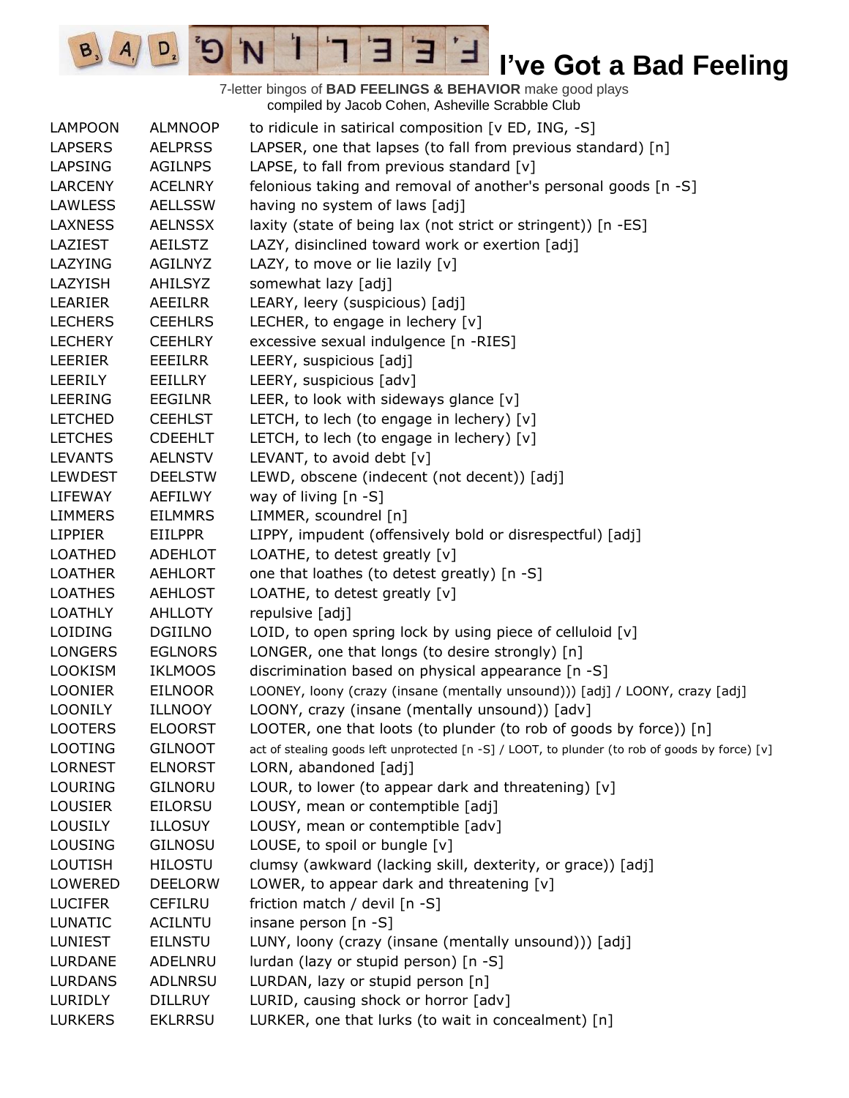7-letter bingos of **BAD FEELINGS & BEHAVIOR** make good plays compiled by Jacob Cohen, Asheville Scrabble Club LAMPOON ALMNOOP to ridicule in satirical composition [v ED, ING, -S] LAPSERS AELPRSS LAPSER, one that lapses (to fall from previous standard) [n] LAPSING AGILNPS LAPSE, to fall from previous standard [v] LARCENY ACELNRY felonious taking and removal of another's personal goods [n -S] LAWLESS AELLSSW having no system of laws [adj] LAXNESS AELNSSX laxity (state of being lax (not strict or stringent)) [n -ES] LAZIEST AEILSTZ LAZY, disinclined toward work or exertion [adj] LAZYING AGILNYZ LAZY, to move or lie lazily [v] LAZYISH AHILSYZ somewhat lazy [adj] LEARIER AEEILRR LEARY, leery (suspicious) [adj] LECHERS CEEHLRS LECHER, to engage in lechery [v] LECHERY CEEHLRY excessive sexual indulgence [n -RIES] LEERIER EEEILRR LEERY, suspicious [adj] LEERILY EEILLRY LEERY, suspicious [adv] LEERING EEGILNR LEER, to look with sideways glance [v] LETCHED CEEHLST LETCH, to lech (to engage in lechery) [v] LETCHES CDEEHLT LETCH, to lech (to engage in lechery) [v] LEVANTS AELNSTV LEVANT, to avoid debt [v] LEWDEST DEELSTW LEWD, obscene (indecent (not decent)) [adj] LIFEWAY AEFILWY way of living [n -S] LIMMERS EILMMRS LIMMER, scoundrel [n] LIPPIER EIILPPR LIPPY, impudent (offensively bold or disrespectful) [adj] LOATHED ADEHLOT LOATHE, to detest greatly [v] LOATHER AEHLORT one that loathes (to detest greatly) [n -S] LOATHES AEHLOST LOATHE, to detest greatly [v] LOATHLY AHLLOTY repulsive [adj] LOIDING DGIILNO LOID, to open spring lock by using piece of celluloid [v] LONGERS EGLNORS LONGER, one that longs (to desire strongly) [n] LOOKISM IKLMOOS discrimination based on physical appearance [n -S] LOONIER EILNOOR LOONEY, loony (crazy (insane (mentally unsound))) [adj] / LOONY, crazy [adj] LOONILY ILLNOOY LOONY, crazy (insane (mentally unsound)) [adv] LOOTERS ELOORST LOOTER, one that loots (to plunder (to rob of goods by force)) [n] LOOTING GILNOOT act of stealing goods left unprotected [n -S] / LOOT, to plunder (to rob of goods by force) [v] LORNEST ELNORST LORN, abandoned [adj] LOURING GILNORU LOUR, to lower (to appear dark and threatening)  $[v]$ LOUSIER EILORSU LOUSY, mean or contemptible [adj] LOUSILY ILLOSUY LOUSY, mean or contemptible [adv] LOUSING GILNOSU LOUSE, to spoil or bungle [v] LOUTISH HILOSTU clumsy (awkward (lacking skill, dexterity, or grace)) [adj] LOWERED DEELORW LOWER, to appear dark and threatening [v] LUCIFER CEFILRU friction match / devil [n -S] LUNATIC ACILNTU insane person [n -S] LUNIEST EILNSTU LUNY, loony (crazy (insane (mentally unsound))) [adj] LURDANE ADELNRU lurdan (lazy or stupid person) [n -S] LURDANS ADLNRSU LURDAN, lazy or stupid person [n] LURIDLY DILLRUY LURID, causing shock or horror [adv] LURKERS EKLRRSU LURKER, one that lurks (to wait in concealment) [n]

 $\mathbf{E}$ 

 $A/\sqrt{D}$   $B$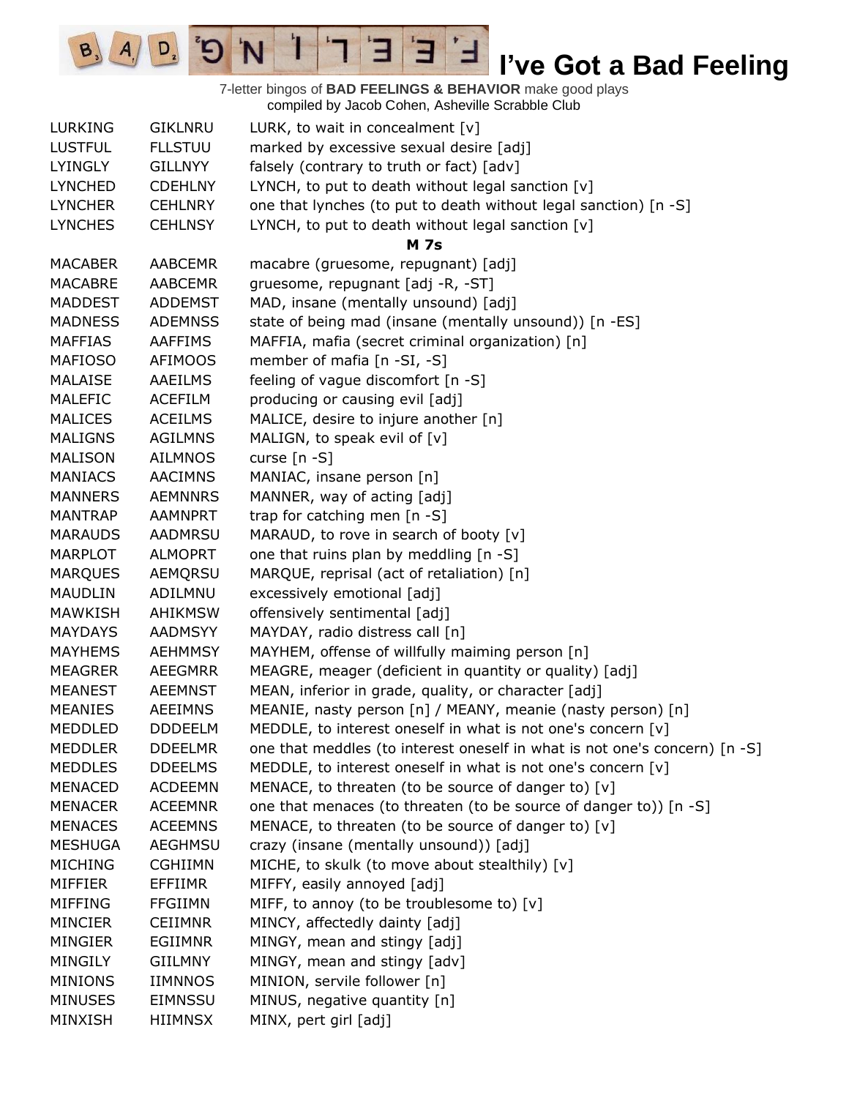7-letter bingos of **BAD FEELINGS & BEHAVIOR** make good plays compiled by Jacob Cohen, Asheville Scrabble Club

 $\mathbf{E}$ 

ᅼ

E

 $\mathbf{I}$ 

'N

 $B_3$ 

 $A_{1}$ 

 $D_{2}$ 

| <b>LURKING</b> | <b>GIKLNRU</b> | LURK, to wait in concealment $[v]$                                         |
|----------------|----------------|----------------------------------------------------------------------------|
| <b>LUSTFUL</b> | <b>FLLSTUU</b> | marked by excessive sexual desire [adj]                                    |
| <b>LYINGLY</b> | <b>GILLNYY</b> | falsely (contrary to truth or fact) [adv]                                  |
| <b>LYNCHED</b> | <b>CDEHLNY</b> | LYNCH, to put to death without legal sanction [v]                          |
| <b>LYNCHER</b> | <b>CEHLNRY</b> | one that lynches (to put to death without legal sanction) [n -S]           |
| <b>LYNCHES</b> | <b>CEHLNSY</b> | LYNCH, to put to death without legal sanction [v]                          |
|                |                | <b>M</b> 7s                                                                |
| <b>MACABER</b> | <b>AABCEMR</b> | macabre (gruesome, repugnant) [adj]                                        |
| <b>MACABRE</b> | <b>AABCEMR</b> | gruesome, repugnant [adj -R, -ST]                                          |
| <b>MADDEST</b> | <b>ADDEMST</b> | MAD, insane (mentally unsound) [adj]                                       |
| <b>MADNESS</b> | <b>ADEMNSS</b> | state of being mad (insane (mentally unsound)) [n -ES]                     |
| <b>MAFFIAS</b> | <b>AAFFIMS</b> | MAFFIA, mafia (secret criminal organization) [n]                           |
| <b>MAFIOSO</b> | <b>AFIMOOS</b> | member of mafia [n -SI, -S]                                                |
| <b>MALAISE</b> | <b>AAEILMS</b> | feeling of vague discomfort [n -S]                                         |
| <b>MALEFIC</b> | <b>ACEFILM</b> | producing or causing evil [adj]                                            |
| <b>MALICES</b> | <b>ACEILMS</b> | MALICE, desire to injure another [n]                                       |
| <b>MALIGNS</b> | <b>AGILMNS</b> | MALIGN, to speak evil of [v]                                               |
| <b>MALISON</b> | <b>AILMNOS</b> | curse $[n - S]$                                                            |
| <b>MANIACS</b> | <b>AACIMNS</b> | MANIAC, insane person [n]                                                  |
| <b>MANNERS</b> | <b>AEMNNRS</b> | MANNER, way of acting [adj]                                                |
| <b>MANTRAP</b> | <b>AAMNPRT</b> | trap for catching men [n -S]                                               |
| <b>MARAUDS</b> | AADMRSU        | MARAUD, to rove in search of booty [v]                                     |
| <b>MARPLOT</b> | <b>ALMOPRT</b> | one that ruins plan by meddling [n -S]                                     |
| <b>MARQUES</b> | AEMQRSU        | MARQUE, reprisal (act of retaliation) [n]                                  |
| <b>MAUDLIN</b> | ADILMNU        | excessively emotional [adj]                                                |
| <b>MAWKISH</b> | <b>AHIKMSW</b> | offensively sentimental [adj]                                              |
| <b>MAYDAYS</b> | <b>AADMSYY</b> | MAYDAY, radio distress call [n]                                            |
| <b>MAYHEMS</b> | <b>AEHMMSY</b> | MAYHEM, offense of willfully maiming person [n]                            |
| <b>MEAGRER</b> | <b>AEEGMRR</b> | MEAGRE, meager (deficient in quantity or quality) [adj]                    |
| <b>MEANEST</b> | <b>AEEMNST</b> | MEAN, inferior in grade, quality, or character [adj]                       |
| <b>MEANIES</b> | <b>AEEIMNS</b> | MEANIE, nasty person [n] / MEANY, meanie (nasty person) [n]                |
| <b>MEDDLED</b> | <b>DDDEELM</b> | MEDDLE, to interest oneself in what is not one's concern [v]               |
| <b>MEDDLER</b> | <b>DDEELMR</b> | one that meddles (to interest oneself in what is not one's concern) [n -S] |
| <b>MEDDLES</b> | <b>DDEELMS</b> | MEDDLE, to interest oneself in what is not one's concern [v]               |
| <b>MENACED</b> | <b>ACDEEMN</b> | MENACE, to threaten (to be source of danger to) [v]                        |
| <b>MENACER</b> | <b>ACEEMNR</b> | one that menaces (to threaten (to be source of danger to)) [n -S]          |
| <b>MENACES</b> | <b>ACEEMNS</b> | MENACE, to threaten (to be source of danger to) [v]                        |
| <b>MESHUGA</b> | <b>AEGHMSU</b> | crazy (insane (mentally unsound)) [adj]                                    |
| <b>MICHING</b> | <b>CGHIIMN</b> | MICHE, to skulk (to move about stealthily) [v]                             |
| <b>MIFFIER</b> | <b>EFFIIMR</b> | MIFFY, easily annoyed [adj]                                                |
| <b>MIFFING</b> | <b>FFGIIMN</b> | MIFF, to annoy (to be troublesome to) [v]                                  |
| <b>MINCIER</b> | <b>CEIIMNR</b> | MINCY, affectedly dainty [adj]                                             |
| <b>MINGIER</b> | <b>EGIIMNR</b> | MINGY, mean and stingy [adj]                                               |
| MINGILY        | <b>GIILMNY</b> | MINGY, mean and stingy [adv]                                               |
| <b>MINIONS</b> | <b>IIMNNOS</b> | MINION, servile follower [n]                                               |
| <b>MINUSES</b> | <b>EIMNSSU</b> | MINUS, negative quantity [n]                                               |
| MINXISH        | <b>HIIMNSX</b> | MINX, pert girl [adj]                                                      |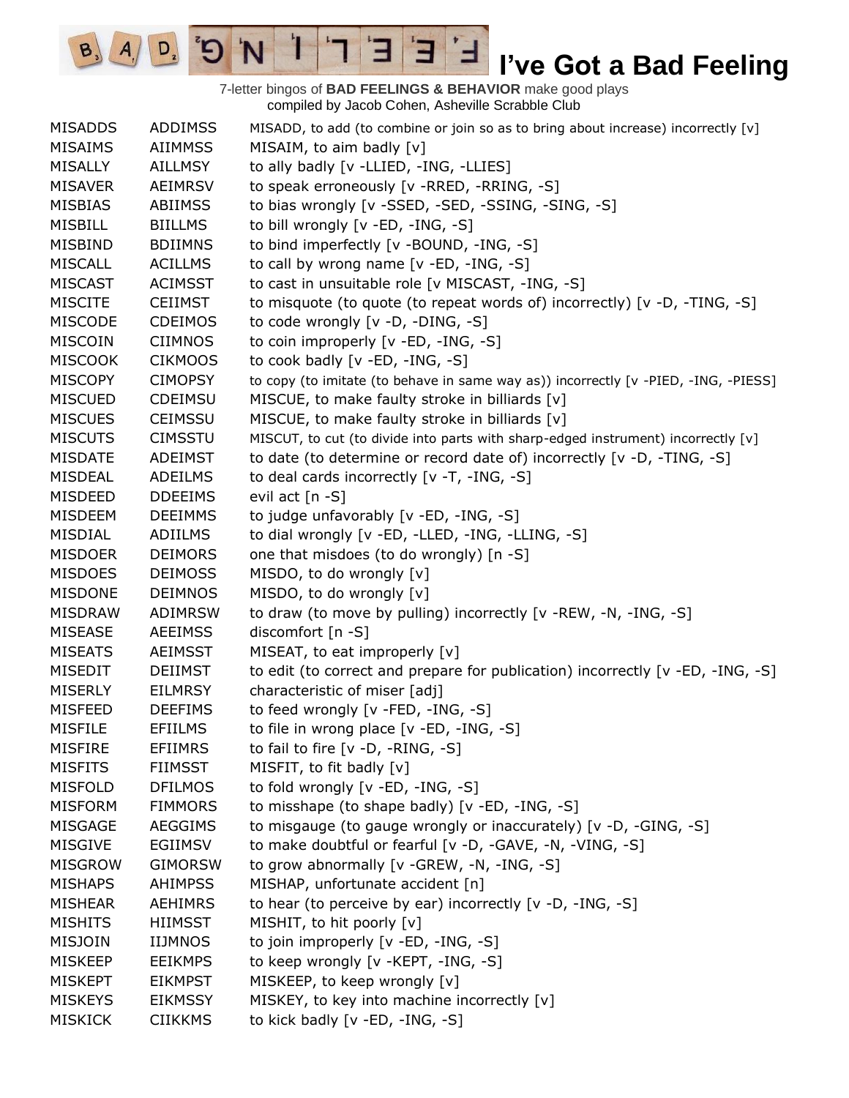7-letter bingos of **BAD FEELINGS & BEHAVIOR** make good plays compiled by Jacob Cohen, Asheville Scrabble Club

E

3

 $\frac{1}{2}$ 

'N

 $B_3$ 

 $A_{1}$ 

 $D_{2}$ 

| <b>MISADDS</b> | ADDIMSS        | MISADD, to add (to combine or join so as to bring about increase) incorrectly [v]   |
|----------------|----------------|-------------------------------------------------------------------------------------|
| <b>MISAIMS</b> | <b>AIIMMSS</b> | MISAIM, to aim badly [v]                                                            |
| <b>MISALLY</b> | <b>AILLMSY</b> | to ally badly [v -LLIED, -ING, -LLIES]                                              |
| <b>MISAVER</b> | <b>AEIMRSV</b> | to speak erroneously [v -RRED, -RRING, -S]                                          |
| <b>MISBIAS</b> | <b>ABIIMSS</b> | to bias wrongly [v -SSED, -SED, -SSING, -SING, -S]                                  |
| <b>MISBILL</b> | <b>BIILLMS</b> | to bill wrongly [v -ED, -ING, -S]                                                   |
| <b>MISBIND</b> | <b>BDIIMNS</b> | to bind imperfectly [v -BOUND, -ING, -S]                                            |
| <b>MISCALL</b> | <b>ACILLMS</b> | to call by wrong name [v -ED, -ING, -S]                                             |
| <b>MISCAST</b> | <b>ACIMSST</b> | to cast in unsuitable role [v MISCAST, -ING, -S]                                    |
| <b>MISCITE</b> | <b>CEIIMST</b> | to misquote (to quote (to repeat words of) incorrectly) $[v -D, -TING, -S]$         |
| <b>MISCODE</b> | <b>CDEIMOS</b> | to code wrongly [v -D, -DING, -S]                                                   |
| <b>MISCOIN</b> | <b>CIIMNOS</b> | to coin improperly [v -ED, -ING, -S]                                                |
| <b>MISCOOK</b> | <b>CIKMOOS</b> | to cook badly [v -ED, -ING, -S]                                                     |
| <b>MISCOPY</b> | <b>CIMOPSY</b> | to copy (to imitate (to behave in same way as)) incorrectly [v -PIED, -ING, -PIESS] |
| <b>MISCUED</b> | <b>CDEIMSU</b> | MISCUE, to make faulty stroke in billiards [v]                                      |
| <b>MISCUES</b> | <b>CEIMSSU</b> | MISCUE, to make faulty stroke in billiards [v]                                      |
| <b>MISCUTS</b> | <b>CIMSSTU</b> | MISCUT, to cut (to divide into parts with sharp-edged instrument) incorrectly [v]   |
| <b>MISDATE</b> | ADEIMST        | to date (to determine or record date of) incorrectly [v -D, -TING, -S]              |
| <b>MISDEAL</b> | <b>ADEILMS</b> | to deal cards incorrectly [v -T, -ING, -S]                                          |
| <b>MISDEED</b> | <b>DDEEIMS</b> | evil act [n -S]                                                                     |
| <b>MISDEEM</b> | <b>DEEIMMS</b> | to judge unfavorably [v -ED, -ING, -S]                                              |
| MISDIAL        | ADIILMS        | to dial wrongly [v -ED, -LLED, -ING, -LLING, -S]                                    |
| <b>MISDOER</b> | <b>DEIMORS</b> | one that misdoes (to do wrongly) [n -S]                                             |
| <b>MISDOES</b> | <b>DEIMOSS</b> | MISDO, to do wrongly [v]                                                            |
| <b>MISDONE</b> | <b>DEIMNOS</b> | MISDO, to do wrongly [v]                                                            |
| <b>MISDRAW</b> | ADIMRSW        | to draw (to move by pulling) incorrectly [v -REW, -N, -ING, -S]                     |
| <b>MISEASE</b> | <b>AEEIMSS</b> | discomfort [n -S]                                                                   |
| <b>MISEATS</b> | <b>AEIMSST</b> | MISEAT, to eat improperly [v]                                                       |
| <b>MISEDIT</b> | <b>DEIIMST</b> | to edit (to correct and prepare for publication) incorrectly [v -ED, -ING, -S]      |
| <b>MISERLY</b> | <b>EILMRSY</b> | characteristic of miser [adj]                                                       |
| <b>MISFEED</b> | <b>DEEFIMS</b> | to feed wrongly [v -FED, -ING, -S]                                                  |
| <b>MISFILE</b> | <b>EFIILMS</b> | to file in wrong place [v -ED, -ING, -S]                                            |
| MISFIRE        | EFIIMRS        | to fail to fire $[v -D, -RING, -S]$                                                 |
| <b>MISFITS</b> | <b>FIIMSST</b> | MISFIT, to fit badly [v]                                                            |
| <b>MISFOLD</b> | <b>DFILMOS</b> | to fold wrongly [v -ED, -ING, -S]                                                   |
| <b>MISFORM</b> | <b>FIMMORS</b> | to misshape (to shape badly) [v -ED, -ING, -S]                                      |
| MISGAGE        | <b>AEGGIMS</b> | to misgauge (to gauge wrongly or inaccurately) [v -D, -GING, -S]                    |
| <b>MISGIVE</b> | <b>EGIIMSV</b> | to make doubtful or fearful [v -D, -GAVE, -N, -VING, -S]                            |
| <b>MISGROW</b> | <b>GIMORSW</b> | to grow abnormally [v -GREW, -N, -ING, -S]                                          |
| <b>MISHAPS</b> | <b>AHIMPSS</b> | MISHAP, unfortunate accident [n]                                                    |
| <b>MISHEAR</b> | <b>AEHIMRS</b> | to hear (to perceive by ear) incorrectly [v -D, -ING, -S]                           |
| <b>MISHITS</b> | <b>HIIMSST</b> | MISHIT, to hit poorly [v]                                                           |
| <b>MISJOIN</b> | <b>IIJMNOS</b> | to join improperly [v -ED, -ING, -S]                                                |
| <b>MISKEEP</b> | <b>EEIKMPS</b> | to keep wrongly [v -KEPT, -ING, -S]                                                 |
| <b>MISKEPT</b> | <b>EIKMPST</b> | MISKEEP, to keep wrongly [v]                                                        |
| <b>MISKEYS</b> | <b>EIKMSSY</b> | MISKEY, to key into machine incorrectly [v]                                         |
| <b>MISKICK</b> | <b>CIIKKMS</b> | to kick badly [v -ED, -ING, -S]                                                     |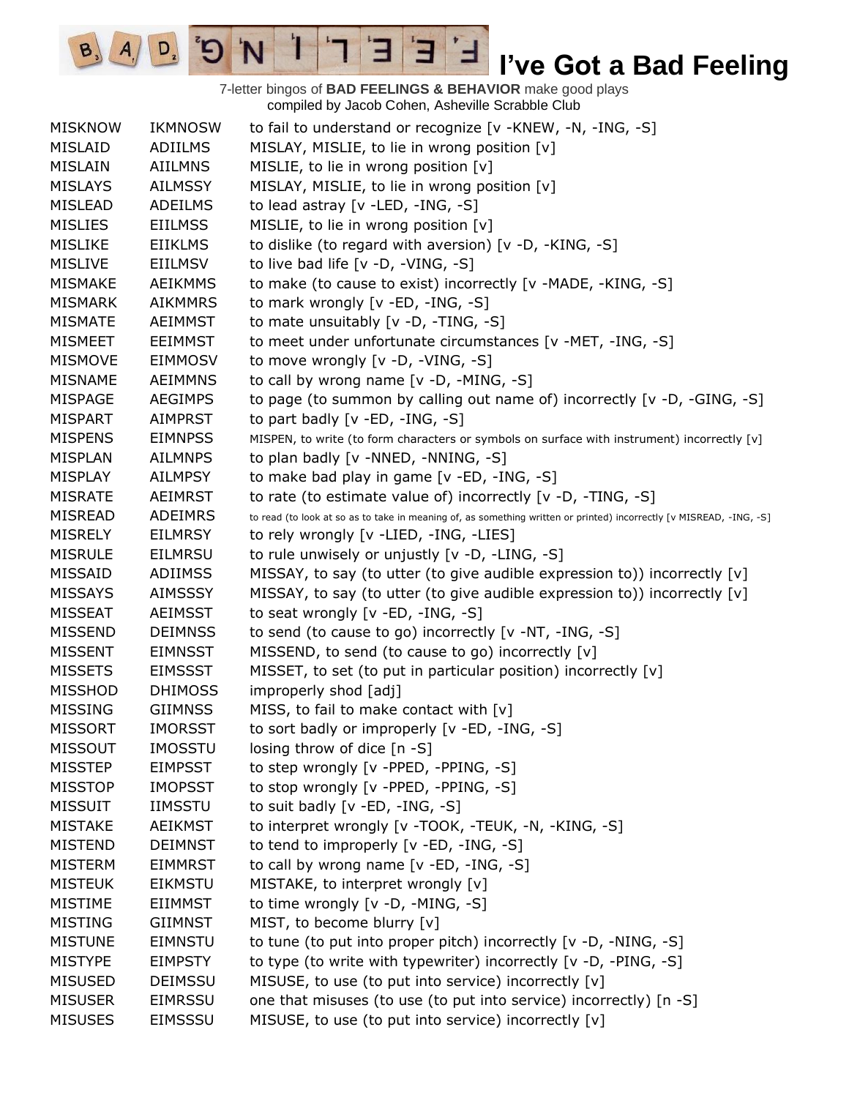7-letter bingos of **BAD FEELINGS & BEHAVIOR** make good plays compiled by Jacob Cohen, Asheville Scrabble Club

E

3

 $\frac{1}{2}$ 

'N

 $B_3$ 

 $A_{1}$ 

 $D_{2}$ 

| MISLAID<br>ADIILMS<br>MISLAY, MISLIE, to lie in wrong position [v]<br>MISLIE, to lie in wrong position [v]<br><b>MISLAIN</b><br><b>AIILMNS</b><br>MISLAY, MISLIE, to lie in wrong position [v]<br><b>MISLAYS</b><br><b>AILMSSY</b><br>to lead astray [v -LED, -ING, -S]<br><b>MISLEAD</b><br>ADEILMS<br>MISLIE, to lie in wrong position [v]<br><b>MISLIES</b><br><b>EIILMSS</b><br>to dislike (to regard with aversion) [v -D, -KING, -S]<br><b>MISLIKE</b><br><b>EIIKLMS</b><br>to live bad life [v -D, -VING, -S]<br><b>MISLIVE</b><br>EIILMSV<br><b>MISMAKE</b><br><b>AEIKMMS</b><br>to make (to cause to exist) incorrectly [v -MADE, -KING, -S]<br>to mark wrongly [v -ED, -ING, -S]<br><b>MISMARK</b><br><b>AIKMMRS</b><br><b>MISMATE</b><br>to mate unsuitably [v -D, -TING, -S]<br>AEIMMST<br>to meet under unfortunate circumstances [v -MET, -ING, -S]<br><b>MISMEET</b><br><b>EEIMMST</b><br>to move wrongly [v -D, -VING, -S]<br><b>MISMOVE</b><br>EIMMOSV<br>to call by wrong name [v -D, -MING, -S]<br><b>MISNAME</b><br><b>AEIMMNS</b><br>to page (to summon by calling out name of) incorrectly [ $v$ -D, -GING, -S]<br><b>MISPAGE</b><br><b>AEGIMPS</b><br><b>MISPART</b><br><b>AIMPRST</b><br>to part badly $[v - ED, -ING, -S]$<br><b>MISPENS</b><br>MISPEN, to write (to form characters or symbols on surface with instrument) incorrectly [v]<br><b>EIMNPSS</b><br>to plan badly [v -NNED, -NNING, -S]<br><b>MISPLAN</b><br><b>AILMNPS</b><br>to make bad play in game [v -ED, -ING, -S]<br><b>MISPLAY</b><br><b>AILMPSY</b><br>to rate (to estimate value of) incorrectly [v -D, -TING, -S]<br><b>MISRATE</b><br><b>AEIMRST</b><br><b>MISREAD</b><br><b>ADEIMRS</b><br>to read (to look at so as to take in meaning of, as something written or printed) incorrectly [v MISREAD, -ING, -S]<br><b>MISRELY</b><br><b>EILMRSY</b><br>to rely wrongly [v -LIED, -ING, -LIES]<br>to rule unwisely or unjustly [v -D, -LING, -S]<br><b>MISRULE</b><br><b>EILMRSU</b><br>MISSAY, to say (to utter (to give audible expression to)) incorrectly [v]<br>MISSAID<br><b>ADIIMSS</b><br><b>MISSAYS</b><br>MISSAY, to say (to utter (to give audible expression to)) incorrectly [v]<br><b>AIMSSSY</b><br>to seat wrongly [v -ED, -ING, -S]<br><b>MISSEAT</b><br>AEIMSST<br>to send (to cause to go) incorrectly [v -NT, -ING, -S]<br><b>MISSEND</b><br><b>DEIMNSS</b><br><b>MISSENT</b><br>MISSEND, to send (to cause to go) incorrectly [v]<br><b>EIMNSST</b><br>MISSET, to set (to put in particular position) incorrectly [v]<br><b>MISSETS</b><br><b>EIMSSST</b><br>improperly shod [adj]<br><b>MISSHOD</b><br><b>DHIMOSS</b><br>MISS, to fail to make contact with [v]<br><b>MISSING</b><br><b>GIIMNSS</b><br>to sort badly or improperly [v -ED, -ING, -S]<br><b>MISSORT</b><br><b>IMORSST</b><br><b>MISSOUT</b><br><b>IMOSSTU</b><br>losing throw of dice $[n - S]$<br>to step wrongly [v -PPED, -PPING, -S]<br><b>MISSTEP</b><br><b>EIMPSST</b><br>to stop wrongly [v -PPED, -PPING, -S]<br><b>MISSTOP</b><br><b>IMOPSST</b><br>to suit badly [v -ED, -ING, -S]<br><b>MISSUIT</b><br><b>IIMSSTU</b><br><b>MISTAKE</b><br><b>AEIKMST</b><br>to interpret wrongly [v -TOOK, -TEUK, -N, -KING, -S]<br>to tend to improperly [v -ED, -ING, -S]<br><b>MISTEND</b><br><b>DEIMNST</b><br><b>MISTERM</b><br><b>EIMMRST</b><br>to call by wrong name [v -ED, -ING, -S]<br>MISTAKE, to interpret wrongly [v]<br><b>MISTEUK</b><br><b>EIKMSTU</b><br>to time wrongly [v -D, -MING, -S]<br><b>MISTIME</b><br>EIIMMST<br>MIST, to become blurry [v]<br><b>MISTING</b><br><b>GIIMNST</b><br><b>MISTUNE</b><br><b>EIMNSTU</b><br>to tune (to put into proper pitch) incorrectly [v -D, -NING, -S]<br>to type (to write with typewriter) incorrectly [v -D, -PING, -S]<br><b>MISTYPE</b><br><b>EIMPSTY</b><br>MISUSE, to use (to put into service) incorrectly [v]<br><b>MISUSED</b><br><b>DEIMSSU</b><br><b>MISUSER</b><br>one that misuses (to use (to put into service) incorrectly) [n -S]<br><b>EIMRSSU</b> | <b>MISKNOW</b> | <b>IKMNOSW</b> | to fail to understand or recognize [v -KNEW, -N, -ING, -S] |
|----------------------------------------------------------------------------------------------------------------------------------------------------------------------------------------------------------------------------------------------------------------------------------------------------------------------------------------------------------------------------------------------------------------------------------------------------------------------------------------------------------------------------------------------------------------------------------------------------------------------------------------------------------------------------------------------------------------------------------------------------------------------------------------------------------------------------------------------------------------------------------------------------------------------------------------------------------------------------------------------------------------------------------------------------------------------------------------------------------------------------------------------------------------------------------------------------------------------------------------------------------------------------------------------------------------------------------------------------------------------------------------------------------------------------------------------------------------------------------------------------------------------------------------------------------------------------------------------------------------------------------------------------------------------------------------------------------------------------------------------------------------------------------------------------------------------------------------------------------------------------------------------------------------------------------------------------------------------------------------------------------------------------------------------------------------------------------------------------------------------------------------------------------------------------------------------------------------------------------------------------------------------------------------------------------------------------------------------------------------------------------------------------------------------------------------------------------------------------------------------------------------------------------------------------------------------------------------------------------------------------------------------------------------------------------------------------------------------------------------------------------------------------------------------------------------------------------------------------------------------------------------------------------------------------------------------------------------------------------------------------------------------------------------------------------------------------------------------------------------------------------------------------------------------------------------------------------------------------------------------------------------------------------------------------------------------------------------------------------------------------------------------------------------------------------------------------------------------------------------------------------------------------------------------------------------------------------------------------------------------------------------------------------------------------------------------------------------------------------------------------------------------------------------------------------------------------------------------------------------------------------------------------------------------------------------------------------------------------------------------------------------------|----------------|----------------|------------------------------------------------------------|
|                                                                                                                                                                                                                                                                                                                                                                                                                                                                                                                                                                                                                                                                                                                                                                                                                                                                                                                                                                                                                                                                                                                                                                                                                                                                                                                                                                                                                                                                                                                                                                                                                                                                                                                                                                                                                                                                                                                                                                                                                                                                                                                                                                                                                                                                                                                                                                                                                                                                                                                                                                                                                                                                                                                                                                                                                                                                                                                                                                                                                                                                                                                                                                                                                                                                                                                                                                                                                                                                                                                                                                                                                                                                                                                                                                                                                                                                                                                                                                                                                      |                |                |                                                            |
|                                                                                                                                                                                                                                                                                                                                                                                                                                                                                                                                                                                                                                                                                                                                                                                                                                                                                                                                                                                                                                                                                                                                                                                                                                                                                                                                                                                                                                                                                                                                                                                                                                                                                                                                                                                                                                                                                                                                                                                                                                                                                                                                                                                                                                                                                                                                                                                                                                                                                                                                                                                                                                                                                                                                                                                                                                                                                                                                                                                                                                                                                                                                                                                                                                                                                                                                                                                                                                                                                                                                                                                                                                                                                                                                                                                                                                                                                                                                                                                                                      |                |                |                                                            |
|                                                                                                                                                                                                                                                                                                                                                                                                                                                                                                                                                                                                                                                                                                                                                                                                                                                                                                                                                                                                                                                                                                                                                                                                                                                                                                                                                                                                                                                                                                                                                                                                                                                                                                                                                                                                                                                                                                                                                                                                                                                                                                                                                                                                                                                                                                                                                                                                                                                                                                                                                                                                                                                                                                                                                                                                                                                                                                                                                                                                                                                                                                                                                                                                                                                                                                                                                                                                                                                                                                                                                                                                                                                                                                                                                                                                                                                                                                                                                                                                                      |                |                |                                                            |
|                                                                                                                                                                                                                                                                                                                                                                                                                                                                                                                                                                                                                                                                                                                                                                                                                                                                                                                                                                                                                                                                                                                                                                                                                                                                                                                                                                                                                                                                                                                                                                                                                                                                                                                                                                                                                                                                                                                                                                                                                                                                                                                                                                                                                                                                                                                                                                                                                                                                                                                                                                                                                                                                                                                                                                                                                                                                                                                                                                                                                                                                                                                                                                                                                                                                                                                                                                                                                                                                                                                                                                                                                                                                                                                                                                                                                                                                                                                                                                                                                      |                |                |                                                            |
|                                                                                                                                                                                                                                                                                                                                                                                                                                                                                                                                                                                                                                                                                                                                                                                                                                                                                                                                                                                                                                                                                                                                                                                                                                                                                                                                                                                                                                                                                                                                                                                                                                                                                                                                                                                                                                                                                                                                                                                                                                                                                                                                                                                                                                                                                                                                                                                                                                                                                                                                                                                                                                                                                                                                                                                                                                                                                                                                                                                                                                                                                                                                                                                                                                                                                                                                                                                                                                                                                                                                                                                                                                                                                                                                                                                                                                                                                                                                                                                                                      |                |                |                                                            |
|                                                                                                                                                                                                                                                                                                                                                                                                                                                                                                                                                                                                                                                                                                                                                                                                                                                                                                                                                                                                                                                                                                                                                                                                                                                                                                                                                                                                                                                                                                                                                                                                                                                                                                                                                                                                                                                                                                                                                                                                                                                                                                                                                                                                                                                                                                                                                                                                                                                                                                                                                                                                                                                                                                                                                                                                                                                                                                                                                                                                                                                                                                                                                                                                                                                                                                                                                                                                                                                                                                                                                                                                                                                                                                                                                                                                                                                                                                                                                                                                                      |                |                |                                                            |
|                                                                                                                                                                                                                                                                                                                                                                                                                                                                                                                                                                                                                                                                                                                                                                                                                                                                                                                                                                                                                                                                                                                                                                                                                                                                                                                                                                                                                                                                                                                                                                                                                                                                                                                                                                                                                                                                                                                                                                                                                                                                                                                                                                                                                                                                                                                                                                                                                                                                                                                                                                                                                                                                                                                                                                                                                                                                                                                                                                                                                                                                                                                                                                                                                                                                                                                                                                                                                                                                                                                                                                                                                                                                                                                                                                                                                                                                                                                                                                                                                      |                |                |                                                            |
|                                                                                                                                                                                                                                                                                                                                                                                                                                                                                                                                                                                                                                                                                                                                                                                                                                                                                                                                                                                                                                                                                                                                                                                                                                                                                                                                                                                                                                                                                                                                                                                                                                                                                                                                                                                                                                                                                                                                                                                                                                                                                                                                                                                                                                                                                                                                                                                                                                                                                                                                                                                                                                                                                                                                                                                                                                                                                                                                                                                                                                                                                                                                                                                                                                                                                                                                                                                                                                                                                                                                                                                                                                                                                                                                                                                                                                                                                                                                                                                                                      |                |                |                                                            |
|                                                                                                                                                                                                                                                                                                                                                                                                                                                                                                                                                                                                                                                                                                                                                                                                                                                                                                                                                                                                                                                                                                                                                                                                                                                                                                                                                                                                                                                                                                                                                                                                                                                                                                                                                                                                                                                                                                                                                                                                                                                                                                                                                                                                                                                                                                                                                                                                                                                                                                                                                                                                                                                                                                                                                                                                                                                                                                                                                                                                                                                                                                                                                                                                                                                                                                                                                                                                                                                                                                                                                                                                                                                                                                                                                                                                                                                                                                                                                                                                                      |                |                |                                                            |
|                                                                                                                                                                                                                                                                                                                                                                                                                                                                                                                                                                                                                                                                                                                                                                                                                                                                                                                                                                                                                                                                                                                                                                                                                                                                                                                                                                                                                                                                                                                                                                                                                                                                                                                                                                                                                                                                                                                                                                                                                                                                                                                                                                                                                                                                                                                                                                                                                                                                                                                                                                                                                                                                                                                                                                                                                                                                                                                                                                                                                                                                                                                                                                                                                                                                                                                                                                                                                                                                                                                                                                                                                                                                                                                                                                                                                                                                                                                                                                                                                      |                |                |                                                            |
|                                                                                                                                                                                                                                                                                                                                                                                                                                                                                                                                                                                                                                                                                                                                                                                                                                                                                                                                                                                                                                                                                                                                                                                                                                                                                                                                                                                                                                                                                                                                                                                                                                                                                                                                                                                                                                                                                                                                                                                                                                                                                                                                                                                                                                                                                                                                                                                                                                                                                                                                                                                                                                                                                                                                                                                                                                                                                                                                                                                                                                                                                                                                                                                                                                                                                                                                                                                                                                                                                                                                                                                                                                                                                                                                                                                                                                                                                                                                                                                                                      |                |                |                                                            |
|                                                                                                                                                                                                                                                                                                                                                                                                                                                                                                                                                                                                                                                                                                                                                                                                                                                                                                                                                                                                                                                                                                                                                                                                                                                                                                                                                                                                                                                                                                                                                                                                                                                                                                                                                                                                                                                                                                                                                                                                                                                                                                                                                                                                                                                                                                                                                                                                                                                                                                                                                                                                                                                                                                                                                                                                                                                                                                                                                                                                                                                                                                                                                                                                                                                                                                                                                                                                                                                                                                                                                                                                                                                                                                                                                                                                                                                                                                                                                                                                                      |                |                |                                                            |
|                                                                                                                                                                                                                                                                                                                                                                                                                                                                                                                                                                                                                                                                                                                                                                                                                                                                                                                                                                                                                                                                                                                                                                                                                                                                                                                                                                                                                                                                                                                                                                                                                                                                                                                                                                                                                                                                                                                                                                                                                                                                                                                                                                                                                                                                                                                                                                                                                                                                                                                                                                                                                                                                                                                                                                                                                                                                                                                                                                                                                                                                                                                                                                                                                                                                                                                                                                                                                                                                                                                                                                                                                                                                                                                                                                                                                                                                                                                                                                                                                      |                |                |                                                            |
|                                                                                                                                                                                                                                                                                                                                                                                                                                                                                                                                                                                                                                                                                                                                                                                                                                                                                                                                                                                                                                                                                                                                                                                                                                                                                                                                                                                                                                                                                                                                                                                                                                                                                                                                                                                                                                                                                                                                                                                                                                                                                                                                                                                                                                                                                                                                                                                                                                                                                                                                                                                                                                                                                                                                                                                                                                                                                                                                                                                                                                                                                                                                                                                                                                                                                                                                                                                                                                                                                                                                                                                                                                                                                                                                                                                                                                                                                                                                                                                                                      |                |                |                                                            |
|                                                                                                                                                                                                                                                                                                                                                                                                                                                                                                                                                                                                                                                                                                                                                                                                                                                                                                                                                                                                                                                                                                                                                                                                                                                                                                                                                                                                                                                                                                                                                                                                                                                                                                                                                                                                                                                                                                                                                                                                                                                                                                                                                                                                                                                                                                                                                                                                                                                                                                                                                                                                                                                                                                                                                                                                                                                                                                                                                                                                                                                                                                                                                                                                                                                                                                                                                                                                                                                                                                                                                                                                                                                                                                                                                                                                                                                                                                                                                                                                                      |                |                |                                                            |
|                                                                                                                                                                                                                                                                                                                                                                                                                                                                                                                                                                                                                                                                                                                                                                                                                                                                                                                                                                                                                                                                                                                                                                                                                                                                                                                                                                                                                                                                                                                                                                                                                                                                                                                                                                                                                                                                                                                                                                                                                                                                                                                                                                                                                                                                                                                                                                                                                                                                                                                                                                                                                                                                                                                                                                                                                                                                                                                                                                                                                                                                                                                                                                                                                                                                                                                                                                                                                                                                                                                                                                                                                                                                                                                                                                                                                                                                                                                                                                                                                      |                |                |                                                            |
|                                                                                                                                                                                                                                                                                                                                                                                                                                                                                                                                                                                                                                                                                                                                                                                                                                                                                                                                                                                                                                                                                                                                                                                                                                                                                                                                                                                                                                                                                                                                                                                                                                                                                                                                                                                                                                                                                                                                                                                                                                                                                                                                                                                                                                                                                                                                                                                                                                                                                                                                                                                                                                                                                                                                                                                                                                                                                                                                                                                                                                                                                                                                                                                                                                                                                                                                                                                                                                                                                                                                                                                                                                                                                                                                                                                                                                                                                                                                                                                                                      |                |                |                                                            |
|                                                                                                                                                                                                                                                                                                                                                                                                                                                                                                                                                                                                                                                                                                                                                                                                                                                                                                                                                                                                                                                                                                                                                                                                                                                                                                                                                                                                                                                                                                                                                                                                                                                                                                                                                                                                                                                                                                                                                                                                                                                                                                                                                                                                                                                                                                                                                                                                                                                                                                                                                                                                                                                                                                                                                                                                                                                                                                                                                                                                                                                                                                                                                                                                                                                                                                                                                                                                                                                                                                                                                                                                                                                                                                                                                                                                                                                                                                                                                                                                                      |                |                |                                                            |
|                                                                                                                                                                                                                                                                                                                                                                                                                                                                                                                                                                                                                                                                                                                                                                                                                                                                                                                                                                                                                                                                                                                                                                                                                                                                                                                                                                                                                                                                                                                                                                                                                                                                                                                                                                                                                                                                                                                                                                                                                                                                                                                                                                                                                                                                                                                                                                                                                                                                                                                                                                                                                                                                                                                                                                                                                                                                                                                                                                                                                                                                                                                                                                                                                                                                                                                                                                                                                                                                                                                                                                                                                                                                                                                                                                                                                                                                                                                                                                                                                      |                |                |                                                            |
|                                                                                                                                                                                                                                                                                                                                                                                                                                                                                                                                                                                                                                                                                                                                                                                                                                                                                                                                                                                                                                                                                                                                                                                                                                                                                                                                                                                                                                                                                                                                                                                                                                                                                                                                                                                                                                                                                                                                                                                                                                                                                                                                                                                                                                                                                                                                                                                                                                                                                                                                                                                                                                                                                                                                                                                                                                                                                                                                                                                                                                                                                                                                                                                                                                                                                                                                                                                                                                                                                                                                                                                                                                                                                                                                                                                                                                                                                                                                                                                                                      |                |                |                                                            |
|                                                                                                                                                                                                                                                                                                                                                                                                                                                                                                                                                                                                                                                                                                                                                                                                                                                                                                                                                                                                                                                                                                                                                                                                                                                                                                                                                                                                                                                                                                                                                                                                                                                                                                                                                                                                                                                                                                                                                                                                                                                                                                                                                                                                                                                                                                                                                                                                                                                                                                                                                                                                                                                                                                                                                                                                                                                                                                                                                                                                                                                                                                                                                                                                                                                                                                                                                                                                                                                                                                                                                                                                                                                                                                                                                                                                                                                                                                                                                                                                                      |                |                |                                                            |
|                                                                                                                                                                                                                                                                                                                                                                                                                                                                                                                                                                                                                                                                                                                                                                                                                                                                                                                                                                                                                                                                                                                                                                                                                                                                                                                                                                                                                                                                                                                                                                                                                                                                                                                                                                                                                                                                                                                                                                                                                                                                                                                                                                                                                                                                                                                                                                                                                                                                                                                                                                                                                                                                                                                                                                                                                                                                                                                                                                                                                                                                                                                                                                                                                                                                                                                                                                                                                                                                                                                                                                                                                                                                                                                                                                                                                                                                                                                                                                                                                      |                |                |                                                            |
|                                                                                                                                                                                                                                                                                                                                                                                                                                                                                                                                                                                                                                                                                                                                                                                                                                                                                                                                                                                                                                                                                                                                                                                                                                                                                                                                                                                                                                                                                                                                                                                                                                                                                                                                                                                                                                                                                                                                                                                                                                                                                                                                                                                                                                                                                                                                                                                                                                                                                                                                                                                                                                                                                                                                                                                                                                                                                                                                                                                                                                                                                                                                                                                                                                                                                                                                                                                                                                                                                                                                                                                                                                                                                                                                                                                                                                                                                                                                                                                                                      |                |                |                                                            |
|                                                                                                                                                                                                                                                                                                                                                                                                                                                                                                                                                                                                                                                                                                                                                                                                                                                                                                                                                                                                                                                                                                                                                                                                                                                                                                                                                                                                                                                                                                                                                                                                                                                                                                                                                                                                                                                                                                                                                                                                                                                                                                                                                                                                                                                                                                                                                                                                                                                                                                                                                                                                                                                                                                                                                                                                                                                                                                                                                                                                                                                                                                                                                                                                                                                                                                                                                                                                                                                                                                                                                                                                                                                                                                                                                                                                                                                                                                                                                                                                                      |                |                |                                                            |
|                                                                                                                                                                                                                                                                                                                                                                                                                                                                                                                                                                                                                                                                                                                                                                                                                                                                                                                                                                                                                                                                                                                                                                                                                                                                                                                                                                                                                                                                                                                                                                                                                                                                                                                                                                                                                                                                                                                                                                                                                                                                                                                                                                                                                                                                                                                                                                                                                                                                                                                                                                                                                                                                                                                                                                                                                                                                                                                                                                                                                                                                                                                                                                                                                                                                                                                                                                                                                                                                                                                                                                                                                                                                                                                                                                                                                                                                                                                                                                                                                      |                |                |                                                            |
|                                                                                                                                                                                                                                                                                                                                                                                                                                                                                                                                                                                                                                                                                                                                                                                                                                                                                                                                                                                                                                                                                                                                                                                                                                                                                                                                                                                                                                                                                                                                                                                                                                                                                                                                                                                                                                                                                                                                                                                                                                                                                                                                                                                                                                                                                                                                                                                                                                                                                                                                                                                                                                                                                                                                                                                                                                                                                                                                                                                                                                                                                                                                                                                                                                                                                                                                                                                                                                                                                                                                                                                                                                                                                                                                                                                                                                                                                                                                                                                                                      |                |                |                                                            |
|                                                                                                                                                                                                                                                                                                                                                                                                                                                                                                                                                                                                                                                                                                                                                                                                                                                                                                                                                                                                                                                                                                                                                                                                                                                                                                                                                                                                                                                                                                                                                                                                                                                                                                                                                                                                                                                                                                                                                                                                                                                                                                                                                                                                                                                                                                                                                                                                                                                                                                                                                                                                                                                                                                                                                                                                                                                                                                                                                                                                                                                                                                                                                                                                                                                                                                                                                                                                                                                                                                                                                                                                                                                                                                                                                                                                                                                                                                                                                                                                                      |                |                |                                                            |
|                                                                                                                                                                                                                                                                                                                                                                                                                                                                                                                                                                                                                                                                                                                                                                                                                                                                                                                                                                                                                                                                                                                                                                                                                                                                                                                                                                                                                                                                                                                                                                                                                                                                                                                                                                                                                                                                                                                                                                                                                                                                                                                                                                                                                                                                                                                                                                                                                                                                                                                                                                                                                                                                                                                                                                                                                                                                                                                                                                                                                                                                                                                                                                                                                                                                                                                                                                                                                                                                                                                                                                                                                                                                                                                                                                                                                                                                                                                                                                                                                      |                |                |                                                            |
|                                                                                                                                                                                                                                                                                                                                                                                                                                                                                                                                                                                                                                                                                                                                                                                                                                                                                                                                                                                                                                                                                                                                                                                                                                                                                                                                                                                                                                                                                                                                                                                                                                                                                                                                                                                                                                                                                                                                                                                                                                                                                                                                                                                                                                                                                                                                                                                                                                                                                                                                                                                                                                                                                                                                                                                                                                                                                                                                                                                                                                                                                                                                                                                                                                                                                                                                                                                                                                                                                                                                                                                                                                                                                                                                                                                                                                                                                                                                                                                                                      |                |                |                                                            |
|                                                                                                                                                                                                                                                                                                                                                                                                                                                                                                                                                                                                                                                                                                                                                                                                                                                                                                                                                                                                                                                                                                                                                                                                                                                                                                                                                                                                                                                                                                                                                                                                                                                                                                                                                                                                                                                                                                                                                                                                                                                                                                                                                                                                                                                                                                                                                                                                                                                                                                                                                                                                                                                                                                                                                                                                                                                                                                                                                                                                                                                                                                                                                                                                                                                                                                                                                                                                                                                                                                                                                                                                                                                                                                                                                                                                                                                                                                                                                                                                                      |                |                |                                                            |
|                                                                                                                                                                                                                                                                                                                                                                                                                                                                                                                                                                                                                                                                                                                                                                                                                                                                                                                                                                                                                                                                                                                                                                                                                                                                                                                                                                                                                                                                                                                                                                                                                                                                                                                                                                                                                                                                                                                                                                                                                                                                                                                                                                                                                                                                                                                                                                                                                                                                                                                                                                                                                                                                                                                                                                                                                                                                                                                                                                                                                                                                                                                                                                                                                                                                                                                                                                                                                                                                                                                                                                                                                                                                                                                                                                                                                                                                                                                                                                                                                      |                |                |                                                            |
|                                                                                                                                                                                                                                                                                                                                                                                                                                                                                                                                                                                                                                                                                                                                                                                                                                                                                                                                                                                                                                                                                                                                                                                                                                                                                                                                                                                                                                                                                                                                                                                                                                                                                                                                                                                                                                                                                                                                                                                                                                                                                                                                                                                                                                                                                                                                                                                                                                                                                                                                                                                                                                                                                                                                                                                                                                                                                                                                                                                                                                                                                                                                                                                                                                                                                                                                                                                                                                                                                                                                                                                                                                                                                                                                                                                                                                                                                                                                                                                                                      |                |                |                                                            |
|                                                                                                                                                                                                                                                                                                                                                                                                                                                                                                                                                                                                                                                                                                                                                                                                                                                                                                                                                                                                                                                                                                                                                                                                                                                                                                                                                                                                                                                                                                                                                                                                                                                                                                                                                                                                                                                                                                                                                                                                                                                                                                                                                                                                                                                                                                                                                                                                                                                                                                                                                                                                                                                                                                                                                                                                                                                                                                                                                                                                                                                                                                                                                                                                                                                                                                                                                                                                                                                                                                                                                                                                                                                                                                                                                                                                                                                                                                                                                                                                                      |                |                |                                                            |
|                                                                                                                                                                                                                                                                                                                                                                                                                                                                                                                                                                                                                                                                                                                                                                                                                                                                                                                                                                                                                                                                                                                                                                                                                                                                                                                                                                                                                                                                                                                                                                                                                                                                                                                                                                                                                                                                                                                                                                                                                                                                                                                                                                                                                                                                                                                                                                                                                                                                                                                                                                                                                                                                                                                                                                                                                                                                                                                                                                                                                                                                                                                                                                                                                                                                                                                                                                                                                                                                                                                                                                                                                                                                                                                                                                                                                                                                                                                                                                                                                      |                |                |                                                            |
|                                                                                                                                                                                                                                                                                                                                                                                                                                                                                                                                                                                                                                                                                                                                                                                                                                                                                                                                                                                                                                                                                                                                                                                                                                                                                                                                                                                                                                                                                                                                                                                                                                                                                                                                                                                                                                                                                                                                                                                                                                                                                                                                                                                                                                                                                                                                                                                                                                                                                                                                                                                                                                                                                                                                                                                                                                                                                                                                                                                                                                                                                                                                                                                                                                                                                                                                                                                                                                                                                                                                                                                                                                                                                                                                                                                                                                                                                                                                                                                                                      |                |                |                                                            |
|                                                                                                                                                                                                                                                                                                                                                                                                                                                                                                                                                                                                                                                                                                                                                                                                                                                                                                                                                                                                                                                                                                                                                                                                                                                                                                                                                                                                                                                                                                                                                                                                                                                                                                                                                                                                                                                                                                                                                                                                                                                                                                                                                                                                                                                                                                                                                                                                                                                                                                                                                                                                                                                                                                                                                                                                                                                                                                                                                                                                                                                                                                                                                                                                                                                                                                                                                                                                                                                                                                                                                                                                                                                                                                                                                                                                                                                                                                                                                                                                                      |                |                |                                                            |
|                                                                                                                                                                                                                                                                                                                                                                                                                                                                                                                                                                                                                                                                                                                                                                                                                                                                                                                                                                                                                                                                                                                                                                                                                                                                                                                                                                                                                                                                                                                                                                                                                                                                                                                                                                                                                                                                                                                                                                                                                                                                                                                                                                                                                                                                                                                                                                                                                                                                                                                                                                                                                                                                                                                                                                                                                                                                                                                                                                                                                                                                                                                                                                                                                                                                                                                                                                                                                                                                                                                                                                                                                                                                                                                                                                                                                                                                                                                                                                                                                      |                |                |                                                            |
|                                                                                                                                                                                                                                                                                                                                                                                                                                                                                                                                                                                                                                                                                                                                                                                                                                                                                                                                                                                                                                                                                                                                                                                                                                                                                                                                                                                                                                                                                                                                                                                                                                                                                                                                                                                                                                                                                                                                                                                                                                                                                                                                                                                                                                                                                                                                                                                                                                                                                                                                                                                                                                                                                                                                                                                                                                                                                                                                                                                                                                                                                                                                                                                                                                                                                                                                                                                                                                                                                                                                                                                                                                                                                                                                                                                                                                                                                                                                                                                                                      |                |                |                                                            |
|                                                                                                                                                                                                                                                                                                                                                                                                                                                                                                                                                                                                                                                                                                                                                                                                                                                                                                                                                                                                                                                                                                                                                                                                                                                                                                                                                                                                                                                                                                                                                                                                                                                                                                                                                                                                                                                                                                                                                                                                                                                                                                                                                                                                                                                                                                                                                                                                                                                                                                                                                                                                                                                                                                                                                                                                                                                                                                                                                                                                                                                                                                                                                                                                                                                                                                                                                                                                                                                                                                                                                                                                                                                                                                                                                                                                                                                                                                                                                                                                                      |                |                |                                                            |
|                                                                                                                                                                                                                                                                                                                                                                                                                                                                                                                                                                                                                                                                                                                                                                                                                                                                                                                                                                                                                                                                                                                                                                                                                                                                                                                                                                                                                                                                                                                                                                                                                                                                                                                                                                                                                                                                                                                                                                                                                                                                                                                                                                                                                                                                                                                                                                                                                                                                                                                                                                                                                                                                                                                                                                                                                                                                                                                                                                                                                                                                                                                                                                                                                                                                                                                                                                                                                                                                                                                                                                                                                                                                                                                                                                                                                                                                                                                                                                                                                      |                |                |                                                            |
|                                                                                                                                                                                                                                                                                                                                                                                                                                                                                                                                                                                                                                                                                                                                                                                                                                                                                                                                                                                                                                                                                                                                                                                                                                                                                                                                                                                                                                                                                                                                                                                                                                                                                                                                                                                                                                                                                                                                                                                                                                                                                                                                                                                                                                                                                                                                                                                                                                                                                                                                                                                                                                                                                                                                                                                                                                                                                                                                                                                                                                                                                                                                                                                                                                                                                                                                                                                                                                                                                                                                                                                                                                                                                                                                                                                                                                                                                                                                                                                                                      |                |                |                                                            |
|                                                                                                                                                                                                                                                                                                                                                                                                                                                                                                                                                                                                                                                                                                                                                                                                                                                                                                                                                                                                                                                                                                                                                                                                                                                                                                                                                                                                                                                                                                                                                                                                                                                                                                                                                                                                                                                                                                                                                                                                                                                                                                                                                                                                                                                                                                                                                                                                                                                                                                                                                                                                                                                                                                                                                                                                                                                                                                                                                                                                                                                                                                                                                                                                                                                                                                                                                                                                                                                                                                                                                                                                                                                                                                                                                                                                                                                                                                                                                                                                                      |                |                |                                                            |
|                                                                                                                                                                                                                                                                                                                                                                                                                                                                                                                                                                                                                                                                                                                                                                                                                                                                                                                                                                                                                                                                                                                                                                                                                                                                                                                                                                                                                                                                                                                                                                                                                                                                                                                                                                                                                                                                                                                                                                                                                                                                                                                                                                                                                                                                                                                                                                                                                                                                                                                                                                                                                                                                                                                                                                                                                                                                                                                                                                                                                                                                                                                                                                                                                                                                                                                                                                                                                                                                                                                                                                                                                                                                                                                                                                                                                                                                                                                                                                                                                      |                |                |                                                            |
|                                                                                                                                                                                                                                                                                                                                                                                                                                                                                                                                                                                                                                                                                                                                                                                                                                                                                                                                                                                                                                                                                                                                                                                                                                                                                                                                                                                                                                                                                                                                                                                                                                                                                                                                                                                                                                                                                                                                                                                                                                                                                                                                                                                                                                                                                                                                                                                                                                                                                                                                                                                                                                                                                                                                                                                                                                                                                                                                                                                                                                                                                                                                                                                                                                                                                                                                                                                                                                                                                                                                                                                                                                                                                                                                                                                                                                                                                                                                                                                                                      |                |                |                                                            |
|                                                                                                                                                                                                                                                                                                                                                                                                                                                                                                                                                                                                                                                                                                                                                                                                                                                                                                                                                                                                                                                                                                                                                                                                                                                                                                                                                                                                                                                                                                                                                                                                                                                                                                                                                                                                                                                                                                                                                                                                                                                                                                                                                                                                                                                                                                                                                                                                                                                                                                                                                                                                                                                                                                                                                                                                                                                                                                                                                                                                                                                                                                                                                                                                                                                                                                                                                                                                                                                                                                                                                                                                                                                                                                                                                                                                                                                                                                                                                                                                                      |                |                |                                                            |
|                                                                                                                                                                                                                                                                                                                                                                                                                                                                                                                                                                                                                                                                                                                                                                                                                                                                                                                                                                                                                                                                                                                                                                                                                                                                                                                                                                                                                                                                                                                                                                                                                                                                                                                                                                                                                                                                                                                                                                                                                                                                                                                                                                                                                                                                                                                                                                                                                                                                                                                                                                                                                                                                                                                                                                                                                                                                                                                                                                                                                                                                                                                                                                                                                                                                                                                                                                                                                                                                                                                                                                                                                                                                                                                                                                                                                                                                                                                                                                                                                      | <b>MISUSES</b> | <b>EIMSSSU</b> | MISUSE, to use (to put into service) incorrectly [v]       |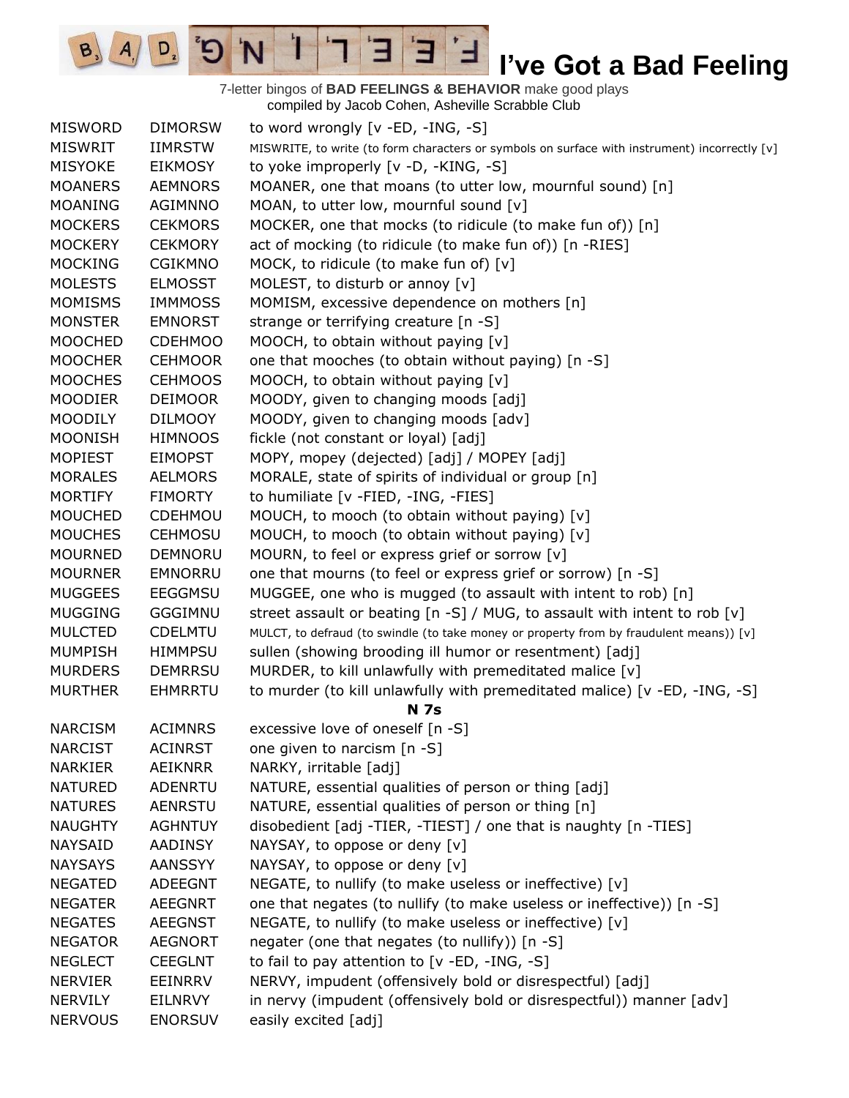7-letter bingos of **BAD FEELINGS & BEHAVIOR** make good plays compiled by Jacob Cohen, Asheville Scrabble Club

 $\overline{E}$ 

Ⅎ

3

 $\mathbf{I}$ 

'N

 $\sigma$ 

 $\boxed{\mathsf{D}_2}$ 

 $B_3$   $A_1$ 

| <b>MISWORD</b> | <b>DIMORSW</b> | to word wrongly [v -ED, -ING, -S]                                                             |
|----------------|----------------|-----------------------------------------------------------------------------------------------|
| <b>MISWRIT</b> | <b>IIMRSTW</b> | MISWRITE, to write (to form characters or symbols on surface with instrument) incorrectly [v] |
| <b>MISYOKE</b> | <b>EIKMOSY</b> | to yoke improperly [v -D, -KING, -S]                                                          |
| <b>MOANERS</b> | <b>AEMNORS</b> | MOANER, one that moans (to utter low, mournful sound) [n]                                     |
| <b>MOANING</b> | AGIMNNO        | MOAN, to utter low, mournful sound [v]                                                        |
| <b>MOCKERS</b> | <b>CEKMORS</b> | MOCKER, one that mocks (to ridicule (to make fun of)) [n]                                     |
| <b>MOCKERY</b> | <b>CEKMORY</b> | act of mocking (to ridicule (to make fun of)) [n -RIES]                                       |
| <b>MOCKING</b> | <b>CGIKMNO</b> | MOCK, to ridicule (to make fun of) [v]                                                        |
| <b>MOLESTS</b> | <b>ELMOSST</b> | MOLEST, to disturb or annoy [v]                                                               |
| <b>MOMISMS</b> | <b>IMMMOSS</b> | MOMISM, excessive dependence on mothers [n]                                                   |
| <b>MONSTER</b> | <b>EMNORST</b> | strange or terrifying creature [n -S]                                                         |
| <b>MOOCHED</b> | <b>CDEHMOO</b> | MOOCH, to obtain without paying [v]                                                           |
| <b>MOOCHER</b> | <b>CEHMOOR</b> | one that mooches (to obtain without paying) [n -S]                                            |
| <b>MOOCHES</b> | <b>CEHMOOS</b> | MOOCH, to obtain without paying [v]                                                           |
| <b>MOODIER</b> | <b>DEIMOOR</b> | MOODY, given to changing moods [adj]                                                          |
| <b>MOODILY</b> | <b>DILMOOY</b> | MOODY, given to changing moods [adv]                                                          |
| <b>MOONISH</b> | <b>HIMNOOS</b> | fickle (not constant or loyal) [adj]                                                          |
| <b>MOPIEST</b> | <b>EIMOPST</b> | MOPY, mopey (dejected) [adj] / MOPEY [adj]                                                    |
| <b>MORALES</b> | <b>AELMORS</b> | MORALE, state of spirits of individual or group [n]                                           |
| <b>MORTIFY</b> | <b>FIMORTY</b> | to humiliate [v -FIED, -ING, -FIES]                                                           |
| <b>MOUCHED</b> | CDEHMOU        | MOUCH, to mooch (to obtain without paying) [v]                                                |
| <b>MOUCHES</b> | <b>CEHMOSU</b> | MOUCH, to mooch (to obtain without paying) [v]                                                |
| <b>MOURNED</b> | DEMNORU        | MOURN, to feel or express grief or sorrow [v]                                                 |
| <b>MOURNER</b> | <b>EMNORRU</b> | one that mourns (to feel or express grief or sorrow) [n -S]                                   |
| <b>MUGGEES</b> | <b>EEGGMSU</b> | MUGGEE, one who is mugged (to assault with intent to rob) [n]                                 |
| <b>MUGGING</b> | GGGIMNU        | street assault or beating [n -S] / MUG, to assault with intent to rob [v]                     |
| <b>MULCTED</b> | <b>CDELMTU</b> | MULCT, to defraud (to swindle (to take money or property from by fraudulent means)) [v]       |
| <b>MUMPISH</b> | <b>HIMMPSU</b> | sullen (showing brooding ill humor or resentment) [adj]                                       |
| <b>MURDERS</b> | <b>DEMRRSU</b> | MURDER, to kill unlawfully with premeditated malice [v]                                       |
| <b>MURTHER</b> | <b>EHMRRTU</b> | to murder (to kill unlawfully with premeditated malice) [v -ED, -ING, -S]                     |
|                |                | <b>N</b> 7s                                                                                   |
| <b>NARCISM</b> | <b>ACIMNRS</b> | excessive love of oneself [n -S]                                                              |
| <b>NARCIST</b> | <b>ACINRST</b> | one given to narcism [n -S]                                                                   |
| <b>NARKIER</b> | <b>AEIKNRR</b> | NARKY, irritable [adj]                                                                        |
| <b>NATURED</b> | <b>ADENRTU</b> | NATURE, essential qualities of person or thing [adj]                                          |
| <b>NATURES</b> | <b>AENRSTU</b> | NATURE, essential qualities of person or thing [n]                                            |
| <b>NAUGHTY</b> | <b>AGHNTUY</b> | disobedient [adj -TIER, -TIEST] / one that is naughty [n -TIES]                               |
| <b>NAYSAID</b> | <b>AADINSY</b> | NAYSAY, to oppose or deny [v]                                                                 |
| <b>NAYSAYS</b> | <b>AANSSYY</b> | NAYSAY, to oppose or deny [v]                                                                 |
| <b>NEGATED</b> | <b>ADEEGNT</b> | NEGATE, to nullify (to make useless or ineffective) [v]                                       |
| <b>NEGATER</b> | <b>AEEGNRT</b> | one that negates (to nullify (to make useless or ineffective)) [n -S]                         |
| <b>NEGATES</b> | <b>AEEGNST</b> | NEGATE, to nullify (to make useless or ineffective) [v]                                       |
| <b>NEGATOR</b> | <b>AEGNORT</b> | negater (one that negates (to nullify)) [n -S]                                                |
| <b>NEGLECT</b> | <b>CEEGLNT</b> | to fail to pay attention to [v -ED, -ING, -S]                                                 |
| <b>NERVIER</b> | <b>EEINRRV</b> | NERVY, impudent (offensively bold or disrespectful) [adj]                                     |
| <b>NERVILY</b> | <b>EILNRVY</b> | in nervy (impudent (offensively bold or disrespectful)) manner [adv]                          |
| <b>NERVOUS</b> | <b>ENORSUV</b> | easily excited [adj]                                                                          |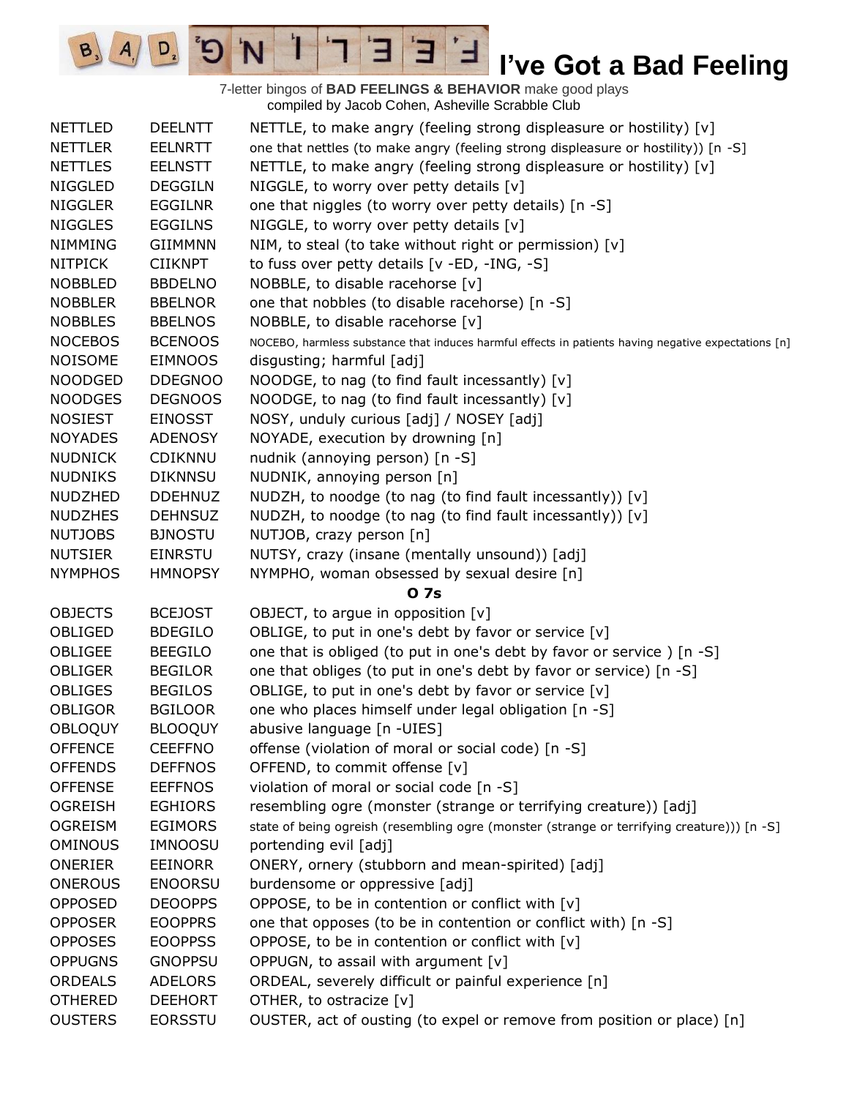7-letter bingos of **BAD FEELINGS & BEHAVIOR** make good plays compiled by Jacob Cohen, Asheville Scrabble Club

 $\overline{E}$ 

3

 $\frac{1}{2}$ 

'N

 $B_3$ 

 $A_{1}$ 

 $D_{2}$ 

| <b>NETTLED</b> | <b>DEELNTT</b> | NETTLE, to make angry (feeling strong displeasure or hostility) [v]                                  |
|----------------|----------------|------------------------------------------------------------------------------------------------------|
| <b>NETTLER</b> | <b>EELNRTT</b> | one that nettles (to make angry (feeling strong displeasure or hostility)) [n -S]                    |
| <b>NETTLES</b> | <b>EELNSTT</b> | NETTLE, to make angry (feeling strong displeasure or hostility) [v]                                  |
| <b>NIGGLED</b> | <b>DEGGILN</b> | NIGGLE, to worry over petty details $[v]$                                                            |
| <b>NIGGLER</b> | <b>EGGILNR</b> | one that niggles (to worry over petty details) [n -S]                                                |
| <b>NIGGLES</b> | <b>EGGILNS</b> | NIGGLE, to worry over petty details [v]                                                              |
| <b>NIMMING</b> | <b>GIIMMNN</b> | NIM, to steal (to take without right or permission) [v]                                              |
| <b>NITPICK</b> | <b>CIIKNPT</b> | to fuss over petty details [v -ED, -ING, -S]                                                         |
| <b>NOBBLED</b> | <b>BBDELNO</b> | NOBBLE, to disable racehorse [v]                                                                     |
| <b>NOBBLER</b> | <b>BBELNOR</b> | one that nobbles (to disable racehorse) [n -S]                                                       |
| <b>NOBBLES</b> | <b>BBELNOS</b> | NOBBLE, to disable racehorse [v]                                                                     |
| <b>NOCEBOS</b> | <b>BCENOOS</b> | NOCEBO, harmless substance that induces harmful effects in patients having negative expectations [n] |
| <b>NOISOME</b> | <b>EIMNOOS</b> | disgusting; harmful [adj]                                                                            |
| NOODGED        | <b>DDEGNOO</b> | NOODGE, to nag (to find fault incessantly) [v]                                                       |
| <b>NOODGES</b> | <b>DEGNOOS</b> | NOODGE, to nag (to find fault incessantly) [v]                                                       |
| <b>NOSIEST</b> | <b>EINOSST</b> | NOSY, unduly curious [adj] / NOSEY [adj]                                                             |
| <b>NOYADES</b> | <b>ADENOSY</b> | NOYADE, execution by drowning [n]                                                                    |
| <b>NUDNICK</b> | CDIKNNU        | nudnik (annoying person) [n -S]                                                                      |
| <b>NUDNIKS</b> | <b>DIKNNSU</b> | NUDNIK, annoying person [n]                                                                          |
| <b>NUDZHED</b> | <b>DDEHNUZ</b> | NUDZH, to noodge (to nag (to find fault incessantly)) [v]                                            |
| <b>NUDZHES</b> | <b>DEHNSUZ</b> | NUDZH, to noodge (to nag (to find fault incessantly)) [v]                                            |
| <b>NUTJOBS</b> | <b>BJNOSTU</b> | NUTJOB, crazy person [n]                                                                             |
| <b>NUTSIER</b> | <b>EINRSTU</b> | NUTSY, crazy (insane (mentally unsound)) [adj]                                                       |
| <b>NYMPHOS</b> | <b>HMNOPSY</b> | NYMPHO, woman obsessed by sexual desire [n]                                                          |
|                |                | 0 7s                                                                                                 |
| <b>OBJECTS</b> | <b>BCEJOST</b> | OBJECT, to argue in opposition $[v]$                                                                 |
| OBLIGED        | <b>BDEGILO</b> | OBLIGE, to put in one's debt by favor or service [v]                                                 |
| OBLIGEE        | <b>BEEGILO</b> | one that is obliged (to put in one's debt by favor or service) [n -S]                                |
| <b>OBLIGER</b> | <b>BEGILOR</b> | one that obliges (to put in one's debt by favor or service) [n -S]                                   |
| OBLIGES        | <b>BEGILOS</b> | OBLIGE, to put in one's debt by favor or service [v]                                                 |
| <b>OBLIGOR</b> | <b>BGILOOR</b> | one who places himself under legal obligation [n -S]                                                 |
| <b>OBLOQUY</b> | <b>BLOOQUY</b> | abusive language [n -UIES]                                                                           |
| <b>OFFENCE</b> | <b>CEEFFNO</b> | offense (violation of moral or social code) [n -S]                                                   |
| <b>OFFENDS</b> | <b>DEFFNOS</b> | OFFEND, to commit offense [v]                                                                        |
| <b>OFFENSE</b> | <b>EEFFNOS</b> | violation of moral or social code [n -S]                                                             |
| <b>OGREISH</b> | <b>EGHIORS</b> | resembling ogre (monster (strange or terrifying creature)) [adj]                                     |
| <b>OGREISM</b> | <b>EGIMORS</b> | state of being ogreish (resembling ogre (monster (strange or terrifying creature))) [n -S]           |
| <b>OMINOUS</b> | <b>IMNOOSU</b> | portending evil [adj]                                                                                |
| <b>ONERIER</b> | <b>EEINORR</b> | ONERY, ornery (stubborn and mean-spirited) [adj]                                                     |
| <b>ONEROUS</b> | <b>ENOORSU</b> | burdensome or oppressive [adj]                                                                       |
| <b>OPPOSED</b> | <b>DEOOPPS</b> | OPPOSE, to be in contention or conflict with [v]                                                     |
| <b>OPPOSER</b> | <b>EOOPPRS</b> | one that opposes (to be in contention or conflict with) [n -S]                                       |
| <b>OPPOSES</b> | <b>EOOPPSS</b> | OPPOSE, to be in contention or conflict with [v]                                                     |
| <b>OPPUGNS</b> | <b>GNOPPSU</b> | OPPUGN, to assail with argument [v]                                                                  |
| <b>ORDEALS</b> | <b>ADELORS</b> | ORDEAL, severely difficult or painful experience [n]                                                 |
| <b>OTHERED</b> | <b>DEEHORT</b> | OTHER, to ostracize [v]                                                                              |
| <b>OUSTERS</b> | <b>EORSSTU</b> | OUSTER, act of ousting (to expel or remove from position or place) [n]                               |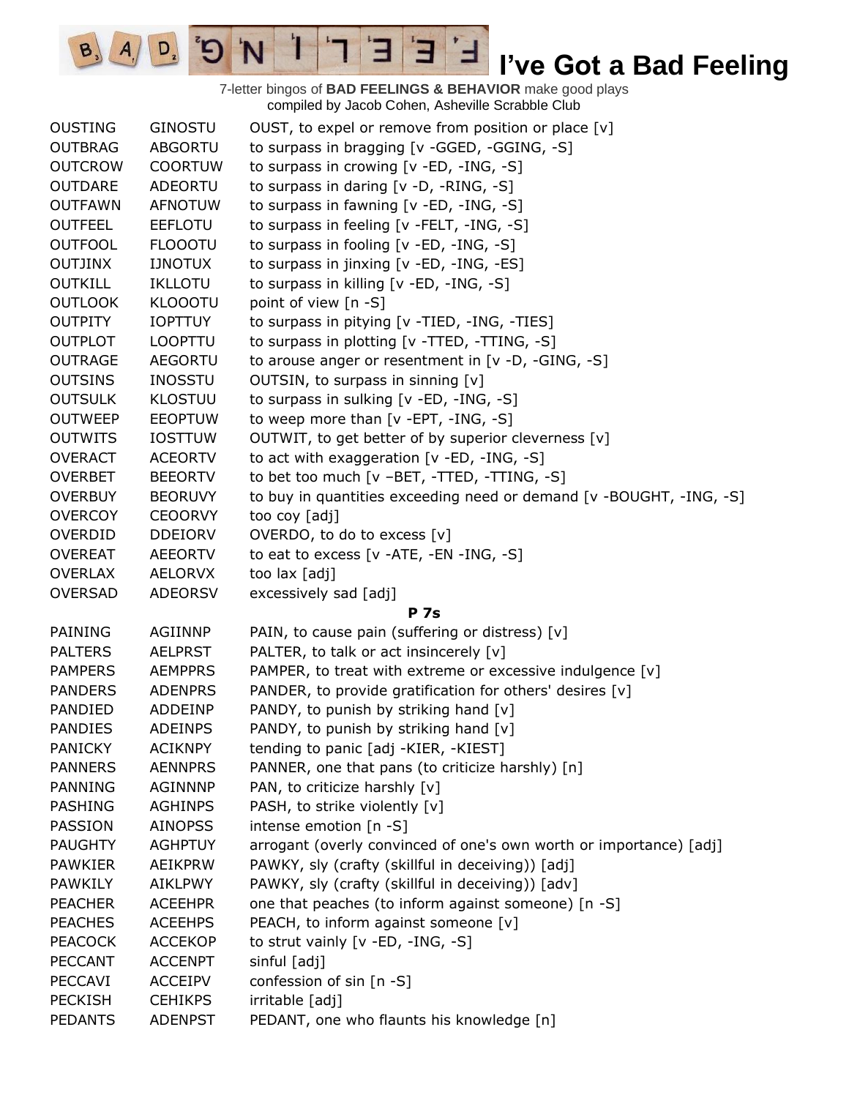7-letter bingos of **BAD FEELINGS & BEHAVIOR** make good plays compiled by Jacob Cohen, Asheville Scrabble Club

 $\overline{E}$ 

3

 $\frac{1}{2}$ 

'N

 $B_3$ 

 $A_{1}$ 

 $D_{2}$ 

| <b>OUSTING</b> | <b>GINOSTU</b> | OUST, to expel or remove from position or place [v]                 |
|----------------|----------------|---------------------------------------------------------------------|
| <b>OUTBRAG</b> | <b>ABGORTU</b> | to surpass in bragging [v -GGED, -GGING, -S]                        |
| <b>OUTCROW</b> | <b>COORTUW</b> | to surpass in crowing $[v - ED, -ING, -S]$                          |
| <b>OUTDARE</b> | ADEORTU        | to surpass in daring [v -D, -RING, -S]                              |
| <b>OUTFAWN</b> | <b>AFNOTUW</b> | to surpass in fawning [v -ED, -ING, -S]                             |
| <b>OUTFEEL</b> | <b>EEFLOTU</b> | to surpass in feeling [v -FELT, -ING, -S]                           |
| <b>OUTFOOL</b> | <b>FLOOOTU</b> | to surpass in fooling [v -ED, -ING, -S]                             |
| <b>OUTJINX</b> | <b>IJNOTUX</b> | to surpass in jinxing [v -ED, -ING, -ES]                            |
| <b>OUTKILL</b> | <b>IKLLOTU</b> | to surpass in killing [v -ED, -ING, -S]                             |
| <b>OUTLOOK</b> | <b>KLOOOTU</b> | point of view [n -S]                                                |
| <b>OUTPITY</b> | <b>IOPTTUY</b> | to surpass in pitying [v -TIED, -ING, -TIES]                        |
| <b>OUTPLOT</b> | <b>LOOPTTU</b> | to surpass in plotting [v -TTED, -TTING, -S]                        |
| <b>OUTRAGE</b> | <b>AEGORTU</b> | to arouse anger or resentment in $[v -D, -GING, -S]$                |
| <b>OUTSINS</b> | <b>INOSSTU</b> | OUTSIN, to surpass in sinning [v]                                   |
| <b>OUTSULK</b> | <b>KLOSTUU</b> | to surpass in sulking [v -ED, -ING, -S]                             |
| <b>OUTWEEP</b> | <b>EEOPTUW</b> | to weep more than [v -EPT, -ING, -S]                                |
| <b>OUTWITS</b> | <b>IOSTTUW</b> | OUTWIT, to get better of by superior cleverness [v]                 |
| <b>OVERACT</b> | <b>ACEORTV</b> | to act with exaggeration [v -ED, -ING, -S]                          |
| <b>OVERBET</b> | <b>BEEORTV</b> | to bet too much [v -BET, -TTED, -TTING, -S]                         |
| <b>OVERBUY</b> | <b>BEORUVY</b> | to buy in quantities exceeding need or demand [v -BOUGHT, -ING, -S] |
| <b>OVERCOY</b> | <b>CEOORVY</b> | too coy [adj]                                                       |
| OVERDID        | <b>DDEIORV</b> | OVERDO, to do to excess [v]                                         |
| <b>OVEREAT</b> | AEEORTV        | to eat to excess [v -ATE, -EN -ING, -S]                             |
| <b>OVERLAX</b> | <b>AELORVX</b> | too lax [adj]                                                       |
| <b>OVERSAD</b> | <b>ADEORSV</b> | excessively sad [adj]                                               |
|                |                | <b>P</b> 7s                                                         |
| <b>PAINING</b> | <b>AGIINNP</b> | PAIN, to cause pain (suffering or distress) [v]                     |
| <b>PALTERS</b> | <b>AELPRST</b> | PALTER, to talk or act insincerely [v]                              |
| <b>PAMPERS</b> | <b>AEMPPRS</b> | PAMPER, to treat with extreme or excessive indulgence [v]           |
| <b>PANDERS</b> | <b>ADENPRS</b> | PANDER, to provide gratification for others' desires [v]            |
| PANDIED        | ADDEINP        | PANDY, to punish by striking hand [v]                               |
| <b>PANDIES</b> | <b>ADEINPS</b> | PANDY, to punish by striking hand [v]                               |
| <b>PANICKY</b> | <b>ACIKNPY</b> | tending to panic [adj -KIER, -KIEST]                                |
| <b>PANNERS</b> | <b>AENNPRS</b> | PANNER, one that pans (to criticize harshly) [n]                    |
| <b>PANNING</b> | AGINNNP        | PAN, to criticize harshly [v]                                       |
| <b>PASHING</b> | <b>AGHINPS</b> | PASH, to strike violently [v]                                       |
| <b>PASSION</b> | <b>AINOPSS</b> | intense emotion $[n - S]$                                           |
| <b>PAUGHTY</b> | <b>AGHPTUY</b> | arrogant (overly convinced of one's own worth or importance) [adj]  |
| <b>PAWKIER</b> | <b>AEIKPRW</b> | PAWKY, sly (crafty (skillful in deceiving)) [adj]                   |
| <b>PAWKILY</b> | AIKLPWY        | PAWKY, sly (crafty (skillful in deceiving)) [adv]                   |
| <b>PEACHER</b> | <b>ACEEHPR</b> | one that peaches (to inform against someone) [n -S]                 |
| <b>PEACHES</b> | <b>ACEEHPS</b> | PEACH, to inform against someone [v]                                |
| <b>PEACOCK</b> | <b>ACCEKOP</b> | to strut vainly [v -ED, -ING, -S]                                   |
| <b>PECCANT</b> | <b>ACCENPT</b> | sinful [adj]                                                        |
| <b>PECCAVI</b> | <b>ACCEIPV</b> | confession of sin [n -S]                                            |
| <b>PECKISH</b> | <b>CEHIKPS</b> | irritable [adj]                                                     |
|                | <b>ADENPST</b> | PEDANT, one who flaunts his knowledge [n]                           |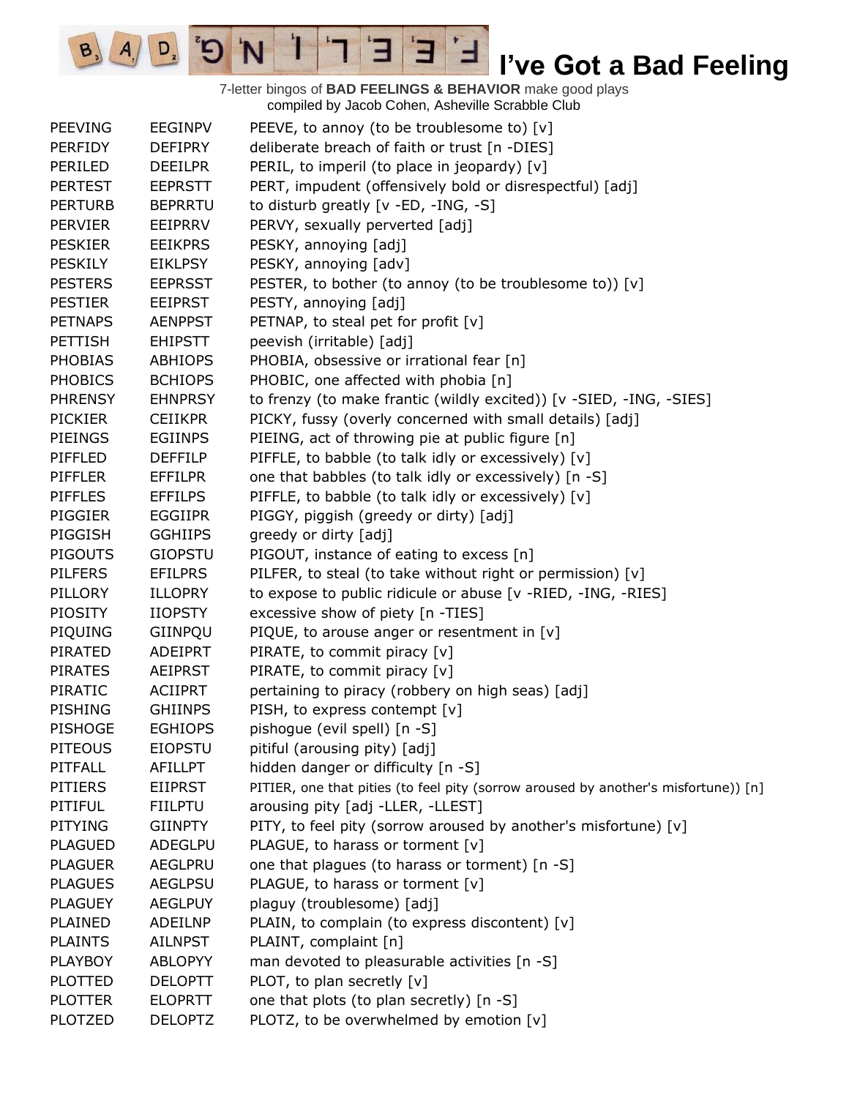7-letter bingos of **BAD FEELINGS & BEHAVIOR** make good plays compiled by Jacob Cohen, Asheville Scrabble Club

 $\mathbf{E}$ 

ᅼ

Е

 $\mathbf{I}$ 

'N

 $B_3$   $A_1$ 

 $D_{2}$ 

 $\sigma$ 

| <b>PEEVING</b> | <b>EEGINPV</b> | PEEVE, to annoy (to be troublesome to) [v]                                          |
|----------------|----------------|-------------------------------------------------------------------------------------|
| <b>PERFIDY</b> | <b>DEFIPRY</b> | deliberate breach of faith or trust [n -DIES]                                       |
| PERILED        | <b>DEEILPR</b> | PERIL, to imperil (to place in jeopardy) [v]                                        |
| <b>PERTEST</b> | <b>EEPRSTT</b> | PERT, impudent (offensively bold or disrespectful) [adj]                            |
| <b>PERTURB</b> | <b>BEPRRTU</b> | to disturb greatly [v -ED, -ING, -S]                                                |
| <b>PERVIER</b> | <b>EEIPRRV</b> | PERVY, sexually perverted [adj]                                                     |
| <b>PESKIER</b> | <b>EEIKPRS</b> | PESKY, annoying [adj]                                                               |
| <b>PESKILY</b> | <b>EIKLPSY</b> | PESKY, annoying [adv]                                                               |
| <b>PESTERS</b> | <b>EEPRSST</b> | PESTER, to bother (to annoy (to be troublesome to)) [v]                             |
| <b>PESTIER</b> | <b>EEIPRST</b> | PESTY, annoying [adj]                                                               |
| <b>PETNAPS</b> | <b>AENPPST</b> | PETNAP, to steal pet for profit [v]                                                 |
| <b>PETTISH</b> | <b>EHIPSTT</b> | peevish (irritable) [adj]                                                           |
| <b>PHOBIAS</b> | <b>ABHIOPS</b> | PHOBIA, obsessive or irrational fear [n]                                            |
| <b>PHOBICS</b> | <b>BCHIOPS</b> | PHOBIC, one affected with phobia [n]                                                |
| <b>PHRENSY</b> | <b>EHNPRSY</b> | to frenzy (to make frantic (wildly excited)) [v -SIED, -ING, -SIES]                 |
| <b>PICKIER</b> | <b>CEIIKPR</b> | PICKY, fussy (overly concerned with small details) [adj]                            |
| <b>PIEINGS</b> | <b>EGIINPS</b> | PIEING, act of throwing pie at public figure [n]                                    |
| PIFFLED        | <b>DEFFILP</b> | PIFFLE, to babble (to talk idly or excessively) [v]                                 |
| <b>PIFFLER</b> | <b>EFFILPR</b> | one that babbles (to talk idly or excessively) [n -S]                               |
| <b>PIFFLES</b> | <b>EFFILPS</b> | PIFFLE, to babble (to talk idly or excessively) [v]                                 |
| <b>PIGGIER</b> | <b>EGGIIPR</b> | PIGGY, piggish (greedy or dirty) [adj]                                              |
| PIGGISH        | <b>GGHIIPS</b> | greedy or dirty [adj]                                                               |
| <b>PIGOUTS</b> | <b>GIOPSTU</b> | PIGOUT, instance of eating to excess [n]                                            |
| <b>PILFERS</b> | <b>EFILPRS</b> | PILFER, to steal (to take without right or permission) [v]                          |
| PILLORY        | <b>ILLOPRY</b> | to expose to public ridicule or abuse [v -RIED, -ING, -RIES]                        |
| <b>PIOSITY</b> | <b>IIOPSTY</b> | excessive show of piety [n -TIES]                                                   |
| PIQUING        | GIINPQU        | PIQUE, to arouse anger or resentment in [v]                                         |
| PIRATED        | ADEIPRT        | PIRATE, to commit piracy [v]                                                        |
| <b>PIRATES</b> | <b>AEIPRST</b> | PIRATE, to commit piracy [v]                                                        |
| PIRATIC        | <b>ACIIPRT</b> | pertaining to piracy (robbery on high seas) [adj]                                   |
| <b>PISHING</b> | <b>GHIINPS</b> | PISH, to express contempt [v]                                                       |
| <b>PISHOGE</b> | <b>EGHIOPS</b> | pishogue (evil spell) [n -S]                                                        |
| <b>PITEOUS</b> | <b>EIOPSTU</b> | pitiful (arousing pity) [adj]                                                       |
| PITFALL        | <b>AFILLPT</b> | hidden danger or difficulty [n -S]                                                  |
| <b>PITIERS</b> | <b>EIIPRST</b> | PITIER, one that pities (to feel pity (sorrow aroused by another's misfortune)) [n] |
| PITIFUL        | <b>FIILPTU</b> | arousing pity [adj -LLER, -LLEST]                                                   |
| <b>PITYING</b> | <b>GIINPTY</b> | PITY, to feel pity (sorrow aroused by another's misfortune) [v]                     |
| <b>PLAGUED</b> | ADEGLPU        | PLAGUE, to harass or torment [v]                                                    |
| <b>PLAGUER</b> | AEGLPRU        | one that plagues (to harass or torment) [n -S]                                      |
| <b>PLAGUES</b> | <b>AEGLPSU</b> | PLAGUE, to harass or torment [v]                                                    |
| <b>PLAGUEY</b> | <b>AEGLPUY</b> | plaguy (troublesome) [adj]                                                          |
| PLAINED        | <b>ADEILNP</b> | PLAIN, to complain (to express discontent) [v]                                      |
| <b>PLAINTS</b> | <b>AILNPST</b> | PLAINT, complaint [n]                                                               |
| <b>PLAYBOY</b> | <b>ABLOPYY</b> | man devoted to pleasurable activities [n -S]                                        |
| <b>PLOTTED</b> | <b>DELOPTT</b> | PLOT, to plan secretly [v]                                                          |
| <b>PLOTTER</b> | <b>ELOPRTT</b> | one that plots (to plan secretly) [n -S]                                            |
| <b>PLOTZED</b> | <b>DELOPTZ</b> | PLOTZ, to be overwhelmed by emotion [v]                                             |
|                |                |                                                                                     |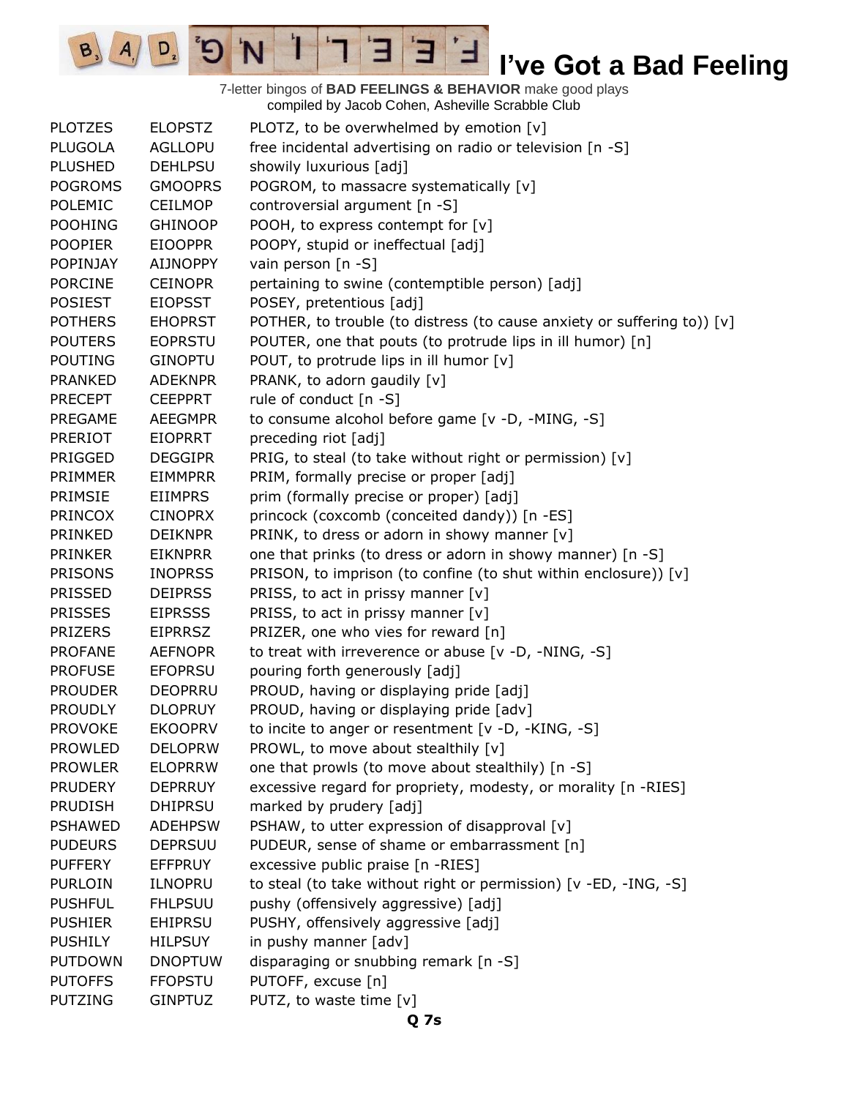7-letter bingos of **BAD FEELINGS & BEHAVIOR** make good plays compiled by Jacob Cohen, Asheville Scrabble Club

3

 $\mathcal{A},$ 

 $D_{2}$ 

 $\mathbf{G}^{\mathbf{s}}$ 

Τ

'N

 $B_3$ 

E

| <b>PLOTZES</b>  | <b>ELOPSTZ</b>  | PLOTZ, to be overwhelmed by emotion [v]                                 |
|-----------------|-----------------|-------------------------------------------------------------------------|
| <b>PLUGOLA</b>  | <b>AGLLOPU</b>  | free incidental advertising on radio or television [n -S]               |
| <b>PLUSHED</b>  | <b>DEHLPSU</b>  | showily luxurious [adj]                                                 |
| <b>POGROMS</b>  | <b>GMOOPRS</b>  | POGROM, to massacre systematically [v]                                  |
| POLEMIC         | <b>CEILMOP</b>  | controversial argument [n -S]                                           |
| <b>POOHING</b>  | <b>GHINOOP</b>  | POOH, to express contempt for [v]                                       |
| <b>POOPIER</b>  | <b>EIOOPPR</b>  | POOPY, stupid or ineffectual [adj]                                      |
| <b>POPINJAY</b> | <b>AIJNOPPY</b> | vain person [n -S]                                                      |
| <b>PORCINE</b>  | <b>CEINOPR</b>  | pertaining to swine (contemptible person) [adj]                         |
| <b>POSIEST</b>  | <b>EIOPSST</b>  | POSEY, pretentious [adj]                                                |
| <b>POTHERS</b>  | <b>EHOPRST</b>  | POTHER, to trouble (to distress (to cause anxiety or suffering to)) [v] |
| <b>POUTERS</b>  | <b>EOPRSTU</b>  | POUTER, one that pouts (to protrude lips in ill humor) [n]              |
| <b>POUTING</b>  | <b>GINOPTU</b>  | POUT, to protrude lips in ill humor [v]                                 |
| <b>PRANKED</b>  | <b>ADEKNPR</b>  | PRANK, to adorn gaudily [v]                                             |
| <b>PRECEPT</b>  | <b>CEEPPRT</b>  | rule of conduct [n -S]                                                  |
| PREGAME         | <b>AEEGMPR</b>  | to consume alcohol before game [v -D, -MING, -S]                        |
| <b>PRERIOT</b>  | <b>EIOPRRT</b>  | preceding riot [adj]                                                    |
| PRIGGED         | <b>DEGGIPR</b>  | PRIG, to steal (to take without right or permission) [v]                |
| <b>PRIMMER</b>  | <b>EIMMPRR</b>  | PRIM, formally precise or proper [adj]                                  |
| PRIMSIE         | <b>EIIMPRS</b>  | prim (formally precise or proper) [adj]                                 |
| <b>PRINCOX</b>  | <b>CINOPRX</b>  | princock (coxcomb (conceited dandy)) [n -ES]                            |
| PRINKED         | <b>DEIKNPR</b>  | PRINK, to dress or adorn in showy manner [v]                            |
| <b>PRINKER</b>  | <b>EIKNPRR</b>  | one that prinks (to dress or adorn in showy manner) [n -S]              |
|                 |                 |                                                                         |
| <b>PRISONS</b>  | <b>INOPRSS</b>  | PRISON, to imprison (to confine (to shut within enclosure)) [v]         |
| <b>PRISSED</b>  | <b>DEIPRSS</b>  | PRISS, to act in prissy manner [v]                                      |
| <b>PRISSES</b>  | <b>EIPRSSS</b>  | PRISS, to act in prissy manner [v]                                      |
| <b>PRIZERS</b>  | <b>EIPRRSZ</b>  | PRIZER, one who vies for reward [n]                                     |
| <b>PROFANE</b>  | <b>AEFNOPR</b>  | to treat with irreverence or abuse [v -D, -NING, -S]                    |
| <b>PROFUSE</b>  | <b>EFOPRSU</b>  | pouring forth generously [adj]                                          |
| <b>PROUDER</b>  | <b>DEOPRRU</b>  | PROUD, having or displaying pride [adj]                                 |
| <b>PROUDLY</b>  | <b>DLOPRUY</b>  | PROUD, having or displaying pride [adv]                                 |
| <b>PROVOKE</b>  | <b>EKOOPRV</b>  | to incite to anger or resentment [v -D, -KING, -S]                      |
| <b>PROWLED</b>  | <b>DELOPRW</b>  | PROWL, to move about stealthily [v]                                     |
| <b>PROWLER</b>  | <b>ELOPRRW</b>  | one that prowls (to move about stealthily) [n -S]                       |
| <b>PRUDERY</b>  | <b>DEPRRUY</b>  | excessive regard for propriety, modesty, or morality [n -RIES]          |
| <b>PRUDISH</b>  | <b>DHIPRSU</b>  | marked by prudery [adj]                                                 |
| <b>PSHAWED</b>  | <b>ADEHPSW</b>  | PSHAW, to utter expression of disapproval [v]                           |
| <b>PUDEURS</b>  | <b>DEPRSUU</b>  | PUDEUR, sense of shame or embarrassment [n]                             |
| <b>PUFFERY</b>  | <b>EFFPRUY</b>  | excessive public praise [n -RIES]                                       |
| <b>PURLOIN</b>  | <b>ILNOPRU</b>  | to steal (to take without right or permission) [v -ED, -ING, -S]        |
| <b>PUSHFUL</b>  | <b>FHLPSUU</b>  | pushy (offensively aggressive) [adj]                                    |
| <b>PUSHIER</b>  | <b>EHIPRSU</b>  | PUSHY, offensively aggressive [adj]                                     |
| <b>PUSHILY</b>  | <b>HILPSUY</b>  | in pushy manner [adv]                                                   |
| <b>PUTDOWN</b>  | <b>DNOPTUW</b>  | disparaging or snubbing remark [n -S]                                   |
| <b>PUTOFFS</b>  | <b>FFOPSTU</b>  | PUTOFF, excuse [n]                                                      |
| <b>PUTZING</b>  | <b>GINPTUZ</b>  | PUTZ, to waste time [v]                                                 |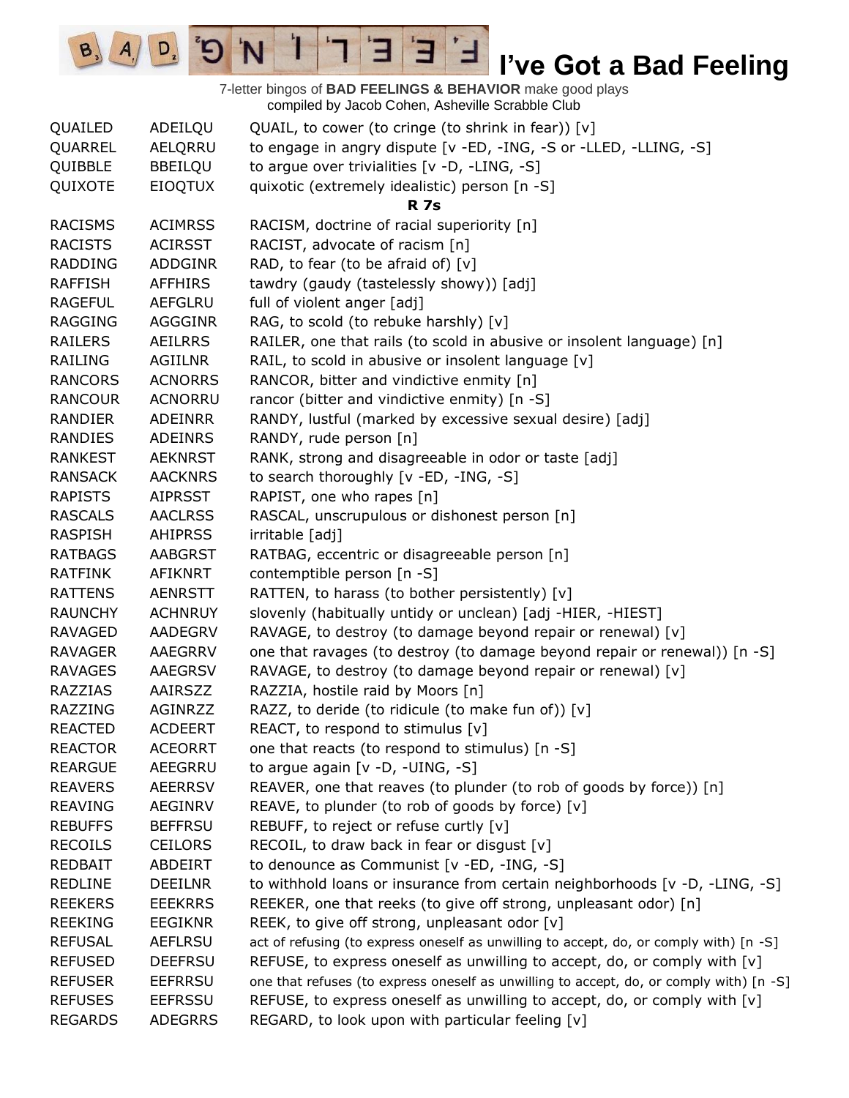$\overline{E}$ **I've Got a Bad Feeling** Ⅎ

7-letter bingos of **BAD FEELINGS & BEHAVIOR** make good plays compiled by Jacob Cohen, Asheville Scrabble Club

3

 $\mathbf{I}$ 

 $\sigma$ 

'N

 $D_{2}$ 

 $B_3$   $A_1$ 

| QUAILED        | ADEILQU        | QUAIL, to cower (to cringe (to shrink in fear)) $[v]$                                   |
|----------------|----------------|-----------------------------------------------------------------------------------------|
| QUARREL        | AELQRRU        | to engage in angry dispute [v -ED, -ING, -S or -LLED, -LLING, -S]                       |
| QUIBBLE        | <b>BBEILQU</b> | to argue over trivialities $[v -D, -LING, -S]$                                          |
| QUIXOTE        | <b>EIOQTUX</b> | quixotic (extremely idealistic) person [n -S]                                           |
|                |                | <b>R</b> 7s                                                                             |
| <b>RACISMS</b> | <b>ACIMRSS</b> | RACISM, doctrine of racial superiority [n]                                              |
| <b>RACISTS</b> | <b>ACIRSST</b> | RACIST, advocate of racism [n]                                                          |
| <b>RADDING</b> | ADDGINR        | RAD, to fear (to be afraid of) $[v]$                                                    |
| <b>RAFFISH</b> | <b>AFFHIRS</b> | tawdry (gaudy (tastelessly showy)) [adj]                                                |
| <b>RAGEFUL</b> | <b>AEFGLRU</b> | full of violent anger [adj]                                                             |
| <b>RAGGING</b> | AGGGINR        | RAG, to scold (to rebuke harshly) [v]                                                   |
| <b>RAILERS</b> | <b>AEILRRS</b> | RAILER, one that rails (to scold in abusive or insolent language) [n]                   |
| <b>RAILING</b> | <b>AGIILNR</b> | RAIL, to scold in abusive or insolent language [v]                                      |
| <b>RANCORS</b> | <b>ACNORRS</b> | RANCOR, bitter and vindictive enmity [n]                                                |
| <b>RANCOUR</b> | <b>ACNORRU</b> | rancor (bitter and vindictive enmity) [n -S]                                            |
| <b>RANDIER</b> | <b>ADEINRR</b> | RANDY, lustful (marked by excessive sexual desire) [adj]                                |
| RANDIES        | ADEINRS        | RANDY, rude person [n]                                                                  |
| <b>RANKEST</b> | <b>AEKNRST</b> | RANK, strong and disagreeable in odor or taste [adj]                                    |
| <b>RANSACK</b> | <b>AACKNRS</b> | to search thoroughly [v -ED, -ING, -S]                                                  |
| <b>RAPISTS</b> | <b>AIPRSST</b> | RAPIST, one who rapes [n]                                                               |
| <b>RASCALS</b> | <b>AACLRSS</b> | RASCAL, unscrupulous or dishonest person [n]                                            |
| <b>RASPISH</b> | <b>AHIPRSS</b> | irritable [adj]                                                                         |
| <b>RATBAGS</b> | AABGRST        | RATBAG, eccentric or disagreeable person [n]                                            |
| <b>RATFINK</b> | AFIKNRT        | contemptible person [n -S]                                                              |
| <b>RATTENS</b> | <b>AENRSTT</b> | RATTEN, to harass (to bother persistently) [v]                                          |
| <b>RAUNCHY</b> | <b>ACHNRUY</b> | slovenly (habitually untidy or unclean) [adj -HIER, -HIEST]                             |
| <b>RAVAGED</b> | <b>AADEGRV</b> | RAVAGE, to destroy (to damage beyond repair or renewal) [v]                             |
| <b>RAVAGER</b> | AAEGRRV        | one that ravages (to destroy (to damage beyond repair or renewal)) [n -S]               |
| <b>RAVAGES</b> | AAEGRSV        | RAVAGE, to destroy (to damage beyond repair or renewal) [v]                             |
| <b>RAZZIAS</b> | AAIRSZZ        | RAZZIA, hostile raid by Moors [n]                                                       |
| <b>RAZZING</b> | AGINRZZ        | RAZZ, to deride (to ridicule (to make fun of)) [v]                                      |
| <b>REACTED</b> | <b>ACDEERT</b> | REACT, to respond to stimulus [v]                                                       |
| <b>REACTOR</b> | <b>ACEORRT</b> | one that reacts (to respond to stimulus) [n -S]                                         |
| <b>REARGUE</b> | AEEGRRU        | to argue again $[v -D, -UING, -S]$                                                      |
| <b>REAVERS</b> | <b>AEERRSV</b> | REAVER, one that reaves (to plunder (to rob of goods by force)) [n]                     |
| <b>REAVING</b> | <b>AEGINRV</b> | REAVE, to plunder (to rob of goods by force) [v]                                        |
| <b>REBUFFS</b> | <b>BEFFRSU</b> | REBUFF, to reject or refuse curtly [v]                                                  |
| <b>RECOILS</b> | <b>CEILORS</b> | RECOIL, to draw back in fear or disgust $[v]$                                           |
| <b>REDBAIT</b> | ABDEIRT        | to denounce as Communist [v -ED, -ING, -S]                                              |
| <b>REDLINE</b> | <b>DEEILNR</b> | to withhold loans or insurance from certain neighborhoods $[v -D, -LING, -S]$           |
| <b>REEKERS</b> | <b>EEEKRRS</b> | REEKER, one that reeks (to give off strong, unpleasant odor) [n]                        |
| <b>REEKING</b> | <b>EEGIKNR</b> | REEK, to give off strong, unpleasant odor [v]                                           |
| <b>REFUSAL</b> | <b>AEFLRSU</b> | act of refusing (to express oneself as unwilling to accept, do, or comply with) [n -S]  |
| <b>REFUSED</b> | <b>DEEFRSU</b> | REFUSE, to express oneself as unwilling to accept, do, or comply with [v]               |
| <b>REFUSER</b> | <b>EEFRRSU</b> | one that refuses (to express oneself as unwilling to accept, do, or comply with) [n -S] |
| <b>REFUSES</b> | <b>EEFRSSU</b> | REFUSE, to express oneself as unwilling to accept, do, or comply with [v]               |
| <b>REGARDS</b> | <b>ADEGRRS</b> | REGARD, to look upon with particular feeling [v]                                        |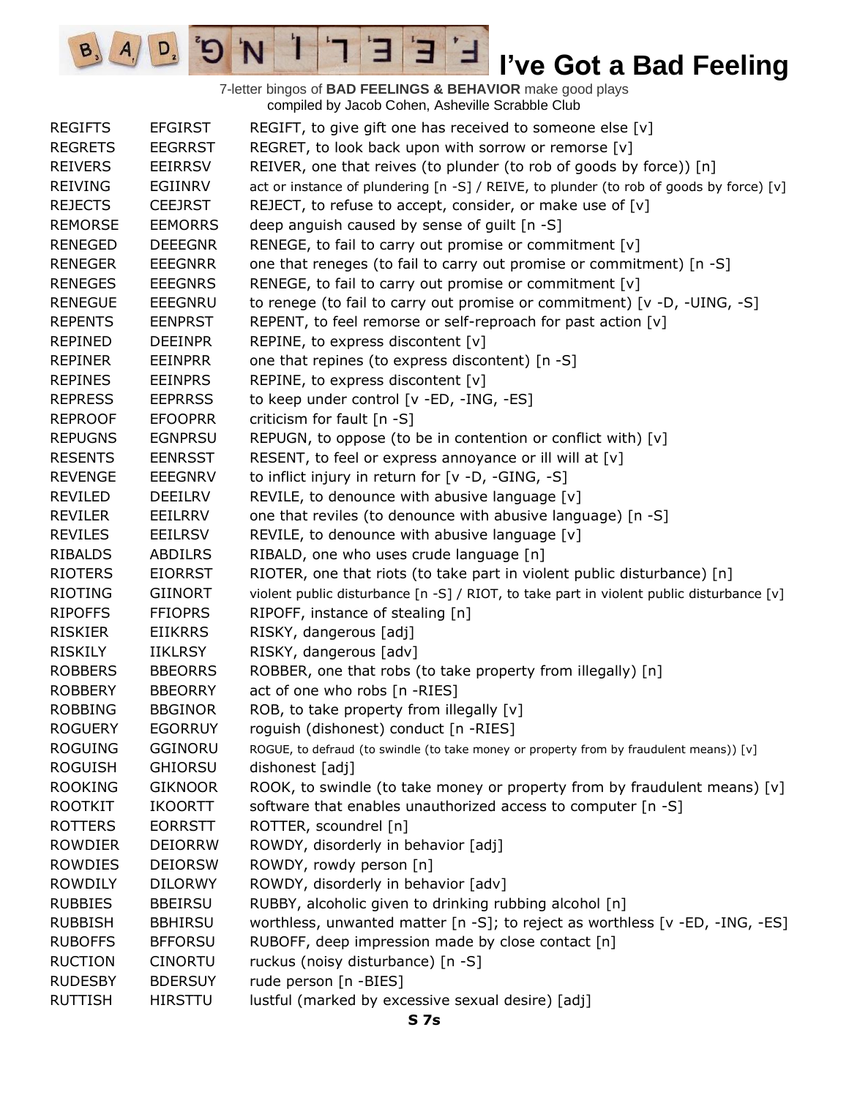E  $D_{2}$  $\mathbf{G}^{\mathbf{r}}$ 'N ∃ ⊐ 7-letter bingos of **BAD FEELINGS & BEHAVIOR** make good plays

 $B_3$ 

 $A_{1}$ 

|                |                | compiled by Jacob Cohen, Asheville Scrabble Club                                            |
|----------------|----------------|---------------------------------------------------------------------------------------------|
| <b>REGIFTS</b> | <b>EFGIRST</b> | REGIFT, to give gift one has received to someone else [v]                                   |
| <b>REGRETS</b> | <b>EEGRRST</b> | REGRET, to look back upon with sorrow or remorse [v]                                        |
| <b>REIVERS</b> | <b>EEIRRSV</b> | REIVER, one that reives (to plunder (to rob of goods by force)) [n]                         |
| <b>REIVING</b> | EGIINRV        | act or instance of plundering $[n -S]$ / REIVE, to plunder (to rob of goods by force) $[v]$ |
| <b>REJECTS</b> | <b>CEEJRST</b> | REJECT, to refuse to accept, consider, or make use of [v]                                   |
| <b>REMORSE</b> | <b>EEMORRS</b> | deep anguish caused by sense of guilt [n -S]                                                |
| <b>RENEGED</b> | <b>DEEEGNR</b> | RENEGE, to fail to carry out promise or commitment [v]                                      |
| <b>RENEGER</b> | <b>EEEGNRR</b> | one that reneges (to fail to carry out promise or commitment) [n -S]                        |
| <b>RENEGES</b> | <b>EEEGNRS</b> | RENEGE, to fail to carry out promise or commitment [v]                                      |
| <b>RENEGUE</b> | <b>EEEGNRU</b> | to renege (to fail to carry out promise or commitment) [v -D, -UING, -S]                    |
| <b>REPENTS</b> | <b>EENPRST</b> | REPENT, to feel remorse or self-reproach for past action [v]                                |
| <b>REPINED</b> | <b>DEEINPR</b> | REPINE, to express discontent [v]                                                           |
| <b>REPINER</b> | <b>EEINPRR</b> | one that repines (to express discontent) [n -S]                                             |
| <b>REPINES</b> | <b>EEINPRS</b> | REPINE, to express discontent [v]                                                           |
| <b>REPRESS</b> | <b>EEPRRSS</b> | to keep under control [v -ED, -ING, -ES]                                                    |
| <b>REPROOF</b> | <b>EFOOPRR</b> | criticism for fault [n -S]                                                                  |
| <b>REPUGNS</b> | <b>EGNPRSU</b> | REPUGN, to oppose (to be in contention or conflict with) [v]                                |
| <b>RESENTS</b> | <b>EENRSST</b> | RESENT, to feel or express annoyance or ill will at [v]                                     |
| <b>REVENGE</b> | <b>EEEGNRV</b> | to inflict injury in return for [v -D, -GING, -S]                                           |
| <b>REVILED</b> | DEEILRV        | REVILE, to denounce with abusive language [v]                                               |
| <b>REVILER</b> | EEILRRV        | one that reviles (to denounce with abusive language) [n -S]                                 |
| <b>REVILES</b> | <b>EEILRSV</b> | REVILE, to denounce with abusive language $[v]$                                             |
| <b>RIBALDS</b> | <b>ABDILRS</b> | RIBALD, one who uses crude language [n]                                                     |
| <b>RIOTERS</b> | <b>EIORRST</b> | RIOTER, one that riots (to take part in violent public disturbance) [n]                     |
| <b>RIOTING</b> | <b>GIINORT</b> | violent public disturbance [n -S] / RIOT, to take part in violent public disturbance [v]    |
| <b>RIPOFFS</b> | <b>FFIOPRS</b> | RIPOFF, instance of stealing [n]                                                            |
| <b>RISKIER</b> | <b>EIIKRRS</b> | RISKY, dangerous [adj]                                                                      |
| <b>RISKILY</b> | <b>IIKLRSY</b> | RISKY, dangerous [adv]                                                                      |
| <b>ROBBERS</b> | <b>BBEORRS</b> | ROBBER, one that robs (to take property from illegally) [n]                                 |
| <b>ROBBERY</b> | <b>BBEORRY</b> | act of one who robs [n -RIES]                                                               |
| <b>ROBBING</b> | <b>BBGINOR</b> | ROB, to take property from illegally $[v]$                                                  |
| <b>ROGUERY</b> | <b>EGORRUY</b> | roguish (dishonest) conduct [n -RIES]                                                       |
| <b>ROGUING</b> | GGINORU        | ROGUE, to defraud (to swindle (to take money or property from by fraudulent means)) [v]     |
| <b>ROGUISH</b> | <b>GHIORSU</b> | dishonest [adj]                                                                             |
| <b>ROOKING</b> | <b>GIKNOOR</b> | ROOK, to swindle (to take money or property from by fraudulent means) $[v]$                 |
| <b>ROOTKIT</b> | <b>IKOORTT</b> | software that enables unauthorized access to computer [n -S]                                |
| <b>ROTTERS</b> | <b>EORRSTT</b> | ROTTER, scoundrel [n]                                                                       |
| <b>ROWDIER</b> | <b>DEIORRW</b> | ROWDY, disorderly in behavior [adj]                                                         |
| <b>ROWDIES</b> | <b>DEIORSW</b> | ROWDY, rowdy person [n]                                                                     |
| <b>ROWDILY</b> | <b>DILORWY</b> | ROWDY, disorderly in behavior [adv]                                                         |
| <b>RUBBIES</b> | <b>BBEIRSU</b> | RUBBY, alcoholic given to drinking rubbing alcohol [n]                                      |
| <b>RUBBISH</b> | <b>BBHIRSU</b> | worthless, unwanted matter $[n - S]$ ; to reject as worthless $[v - ED, -ING, -ES]$         |
| <b>RUBOFFS</b> | <b>BFFORSU</b> | RUBOFF, deep impression made by close contact [n]                                           |
| <b>RUCTION</b> | <b>CINORTU</b> | ruckus (noisy disturbance) [n -S]                                                           |
| <b>RUDESBY</b> | <b>BDERSUY</b> | rude person [n -BIES]                                                                       |
| <b>RUTTISH</b> | <b>HIRSTTU</b> | lustful (marked by excessive sexual desire) [adj]                                           |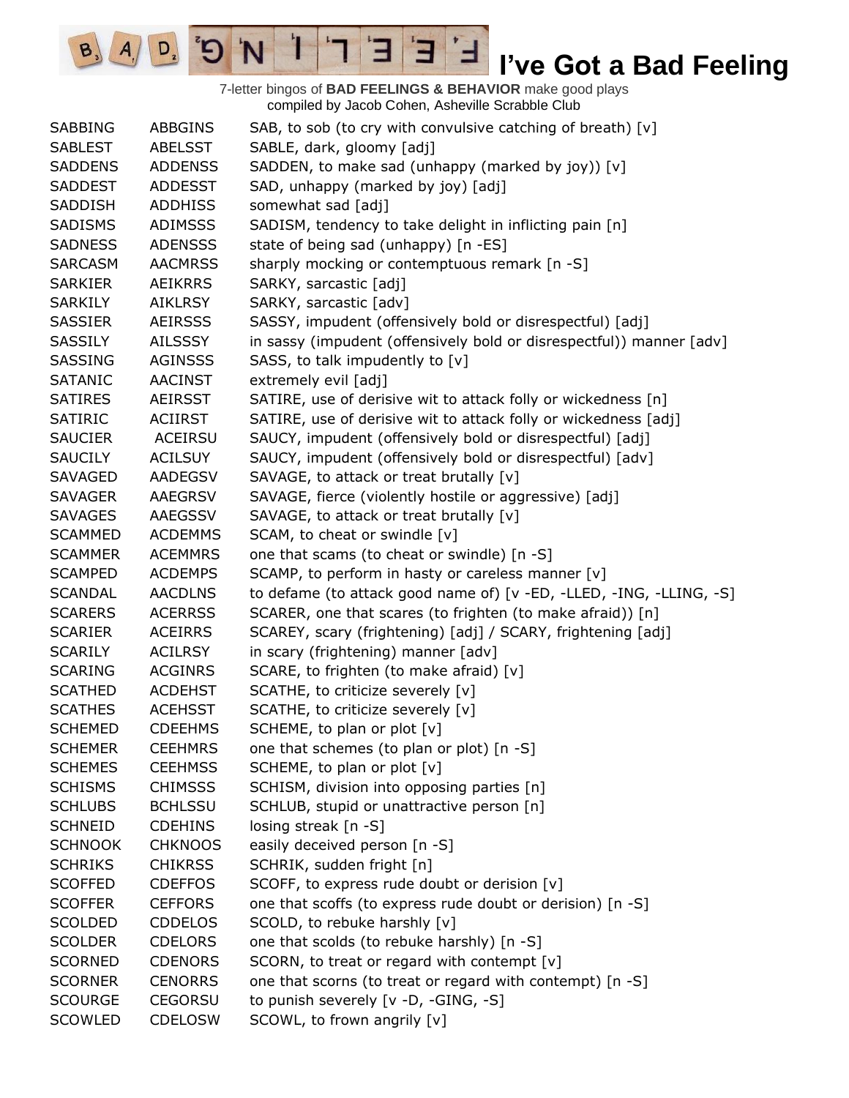7-letter bingos of **BAD FEELINGS & BEHAVIOR** make good plays compiled by Jacob Cohen, Asheville Scrabble Club SABBING ABBGINS SAB, to sob (to cry with convulsive catching of breath) [v] SABLEST ABELSST SABLE, dark, gloomy [adj] SADDENS ADDENSS SADDEN, to make sad (unhappy (marked by joy)) [v] SADDEST ADDESST SAD, unhappy (marked by joy) [adj] SADDISH ADDHISS somewhat sad [adj] SADISMS ADIMSSS SADISM, tendency to take delight in inflicting pain [n] SADNESS ADENSSS state of being sad (unhappy) [n -ES] SARCASM AACMRSS sharply mocking or contemptuous remark [n -S] SARKIER AEIKRRS SARKY, sarcastic [adj] SARKILY AIKLRSY SARKY, sarcastic [adv] SASSIER AEIRSSS SASSY, impudent (offensively bold or disrespectful) [adj] SASSILY AILSSSY in sassy (impudent (offensively bold or disrespectful)) manner [adv] SASSING AGINSSS SASS, to talk impudently to [v] SATANIC AACINST extremely evil [adj] SATIRES AEIRSST SATIRE, use of derisive wit to attack folly or wickedness [n] SATIRIC ACIIRST SATIRE, use of derisive wit to attack folly or wickedness [adj] SAUCIER ACEIRSU SAUCY, impudent (offensively bold or disrespectful) [adj] SAUCILY ACILSUY SAUCY, impudent (offensively bold or disrespectful) [adv] SAVAGED AADEGSV SAVAGE, to attack or treat brutally [v] SAVAGER AAEGRSV SAVAGE, fierce (violently hostile or aggressive) [adj] SAVAGES AAEGSSV SAVAGE, to attack or treat brutally [v] SCAMMED ACDEMMS SCAM, to cheat or swindle [v] SCAMMER ACEMMRS one that scams (to cheat or swindle) [n -S] SCAMPED ACDEMPS SCAMP, to perform in hasty or careless manner [v] SCANDAL AACDLNS to defame (to attack good name of) [v -ED, -LLED, -ING, -LLING, -S] SCARERS ACERRSS SCARER, one that scares (to frighten (to make afraid)) [n] SCARIER ACEIRRS SCAREY, scary (frightening) [adj] / SCARY, frightening [adj] SCARILY ACILRSY in scary (frightening) manner [adv] SCARING ACGINRS SCARE, to frighten (to make afraid) [v] SCATHED ACDEHST SCATHE, to criticize severely [v] SCATHES ACEHSST SCATHE, to criticize severely [v] SCHEMED CDEEHMS SCHEME, to plan or plot [v] SCHEMER CEEHMRS one that schemes (to plan or plot) [n -S] SCHEMES CEEHMSS SCHEME, to plan or plot [v] SCHISMS CHIMSSS SCHISM, division into opposing parties [n] SCHLUBS BCHLSSU SCHLUB, stupid or unattractive person [n] SCHNEID CDEHINS losing streak [n -S] SCHNOOK CHKNOOS easily deceived person [n -S] SCHRIKS CHIKRSS SCHRIK, sudden fright [n] SCOFFED CDEFFOS SCOFF, to express rude doubt or derision [v] SCOFFER CEFFORS one that scoffs (to express rude doubt or derision) [n -S] SCOLDED CDDELOS SCOLD, to rebuke harshly [v] SCOLDER CDELORS one that scolds (to rebuke harshly) [n -S] SCORNED CDENORS SCORN, to treat or regard with contempt [v] SCORNER CENORRS one that scorns (to treat or regard with contempt) [n -S] SCOURGE CEGORSU to punish severely [v -D, -GING, -S] SCOWLED CDELOSW SCOWL, to frown angrily [v]

E

 $D_{\cdot}$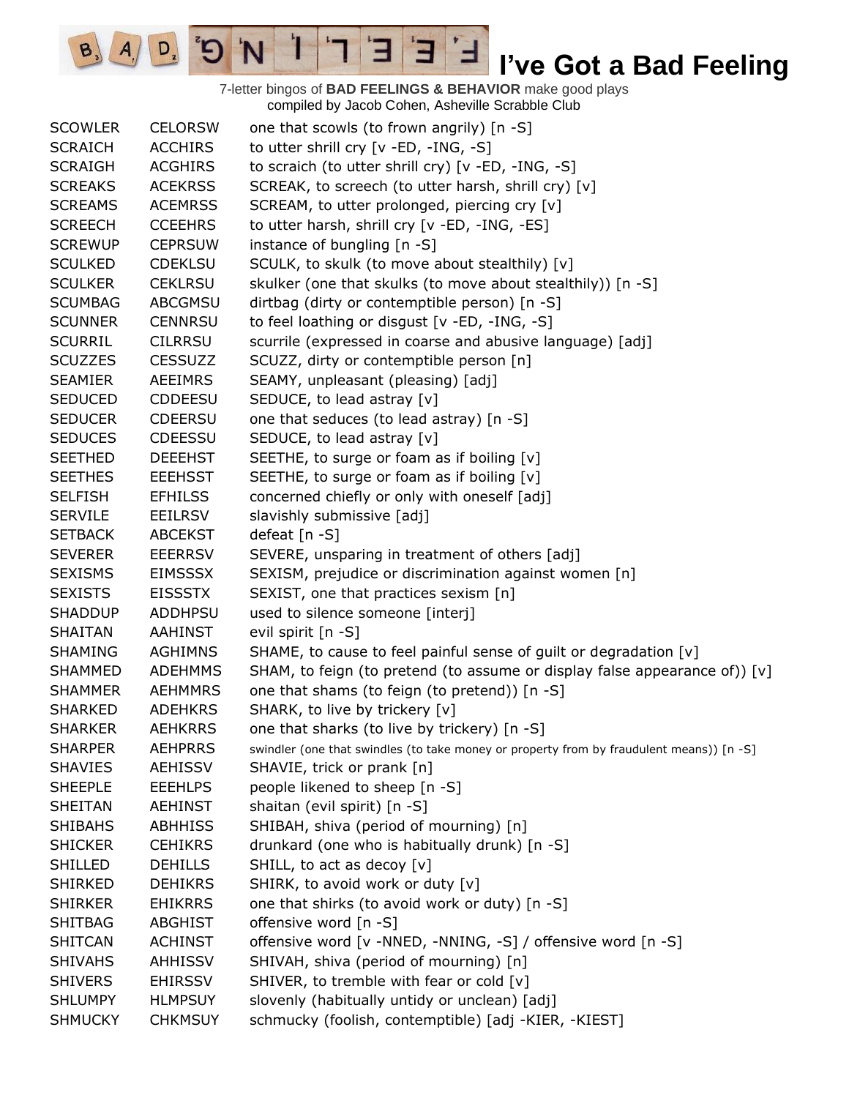7-letter bingos of **BAD FEELINGS & BEHAVIOR** make good plays compiled by Jacob Cohen, Asheville Scrabble Club

E

1

 $B_3$ 

 $A_{.}$ 

 $D_{2}$ 

9

| <b>SCOWLER</b> | <b>CELORSW</b> | one that scowls (to frown angrily) [n -S]                                                |
|----------------|----------------|------------------------------------------------------------------------------------------|
| <b>SCRAICH</b> | <b>ACCHIRS</b> | to utter shrill cry [v -ED, -ING, -S]                                                    |
| <b>SCRAIGH</b> | <b>ACGHIRS</b> | to scraich (to utter shrill cry) [v -ED, -ING, -S]                                       |
| <b>SCREAKS</b> | <b>ACEKRSS</b> | SCREAK, to screech (to utter harsh, shrill cry) [v]                                      |
| <b>SCREAMS</b> | <b>ACEMRSS</b> | SCREAM, to utter prolonged, piercing cry [v]                                             |
| <b>SCREECH</b> | <b>CCEEHRS</b> | to utter harsh, shrill cry [v -ED, -ING, -ES]                                            |
| <b>SCREWUP</b> | <b>CEPRSUW</b> | instance of bungling [n -S]                                                              |
| <b>SCULKED</b> | <b>CDEKLSU</b> | SCULK, to skulk (to move about stealthily) [v]                                           |
| <b>SCULKER</b> | <b>CEKLRSU</b> | skulker (one that skulks (to move about stealthily)) [n -S]                              |
| <b>SCUMBAG</b> | <b>ABCGMSU</b> | dirtbag (dirty or contemptible person) [n -S]                                            |
| <b>SCUNNER</b> | <b>CENNRSU</b> | to feel loathing or disgust [v -ED, -ING, -S]                                            |
| <b>SCURRIL</b> | <b>CILRRSU</b> | scurrile (expressed in coarse and abusive language) [adj]                                |
| <b>SCUZZES</b> | <b>CESSUZZ</b> | SCUZZ, dirty or contemptible person [n]                                                  |
| <b>SEAMIER</b> | <b>AEEIMRS</b> | SEAMY, unpleasant (pleasing) [adj]                                                       |
| <b>SEDUCED</b> | <b>CDDEESU</b> | SEDUCE, to lead astray [v]                                                               |
| <b>SEDUCER</b> | <b>CDEERSU</b> | one that seduces (to lead astray) [n -S]                                                 |
| <b>SEDUCES</b> | <b>CDEESSU</b> | SEDUCE, to lead astray [v]                                                               |
| <b>SEETHED</b> | <b>DEEEHST</b> | SEETHE, to surge or foam as if boiling [v]                                               |
| <b>SEETHES</b> | <b>EEEHSST</b> | SEETHE, to surge or foam as if boiling [v]                                               |
| <b>SELFISH</b> | <b>EFHILSS</b> | concerned chiefly or only with oneself [adj]                                             |
| <b>SERVILE</b> | <b>EEILRSV</b> | slavishly submissive [adj]                                                               |
| <b>SETBACK</b> | <b>ABCEKST</b> | defeat $[n - S]$                                                                         |
| <b>SEVERER</b> | <b>EEERRSV</b> | SEVERE, unsparing in treatment of others [adj]                                           |
| <b>SEXISMS</b> | <b>EIMSSSX</b> | SEXISM, prejudice or discrimination against women [n]                                    |
| <b>SEXISTS</b> | <b>EISSSTX</b> | SEXIST, one that practices sexism [n]                                                    |
| <b>SHADDUP</b> | <b>ADDHPSU</b> | used to silence someone [interj]                                                         |
| <b>SHAITAN</b> | <b>AAHINST</b> | evil spirit [n -S]                                                                       |
| <b>SHAMING</b> | <b>AGHIMNS</b> | SHAME, to cause to feel painful sense of guilt or degradation [v]                        |
| <b>SHAMMED</b> | <b>ADEHMMS</b> | SHAM, to feign (to pretend (to assume or display false appearance of)) [v]               |
| <b>SHAMMER</b> | <b>AEHMMRS</b> | one that shams (to feign (to pretend)) [n -S]                                            |
| <b>SHARKED</b> | <b>ADEHKRS</b> | SHARK, to live by trickery [v]                                                           |
| <b>SHARKER</b> | <b>AEHKRRS</b> | one that sharks (to live by trickery) [n -S]                                             |
| <b>SHARPER</b> | <b>AEHPRRS</b> | swindler (one that swindles (to take money or property from by fraudulent means)) [n -S] |
| <b>SHAVIES</b> | <b>AEHISSV</b> | SHAVIE, trick or prank [n]                                                               |
| <b>SHEEPLE</b> | <b>EEEHLPS</b> | people likened to sheep [n -S]                                                           |
| <b>SHEITAN</b> | <b>AEHINST</b> | shaitan (evil spirit) [n -S]                                                             |
| <b>SHIBAHS</b> | <b>ABHHISS</b> | SHIBAH, shiva (period of mourning) [n]                                                   |
| <b>SHICKER</b> | <b>CEHIKRS</b> | drunkard (one who is habitually drunk) [n -S]                                            |
| <b>SHILLED</b> | <b>DEHILLS</b> | SHILL, to act as decoy [v]                                                               |
| <b>SHIRKED</b> | <b>DEHIKRS</b> | SHIRK, to avoid work or duty [v]                                                         |
| <b>SHIRKER</b> | <b>EHIKRRS</b> | one that shirks (to avoid work or duty) [n -S]                                           |
| <b>SHITBAG</b> | <b>ABGHIST</b> | offensive word [n -S]                                                                    |
| <b>SHITCAN</b> | <b>ACHINST</b> | offensive word [v -NNED, -NNING, -S] / offensive word [n -S]                             |
| <b>SHIVAHS</b> | <b>AHHISSV</b> | SHIVAH, shiva (period of mourning) [n]                                                   |
| <b>SHIVERS</b> | <b>EHIRSSV</b> | SHIVER, to tremble with fear or cold [v]                                                 |
| <b>SHLUMPY</b> | <b>HLMPSUY</b> | slovenly (habitually untidy or unclean) [adj]                                            |
| <b>SHMUCKY</b> | <b>CHKMSUY</b> | schmucky (foolish, contemptible) [adj -KIER, -KIEST]                                     |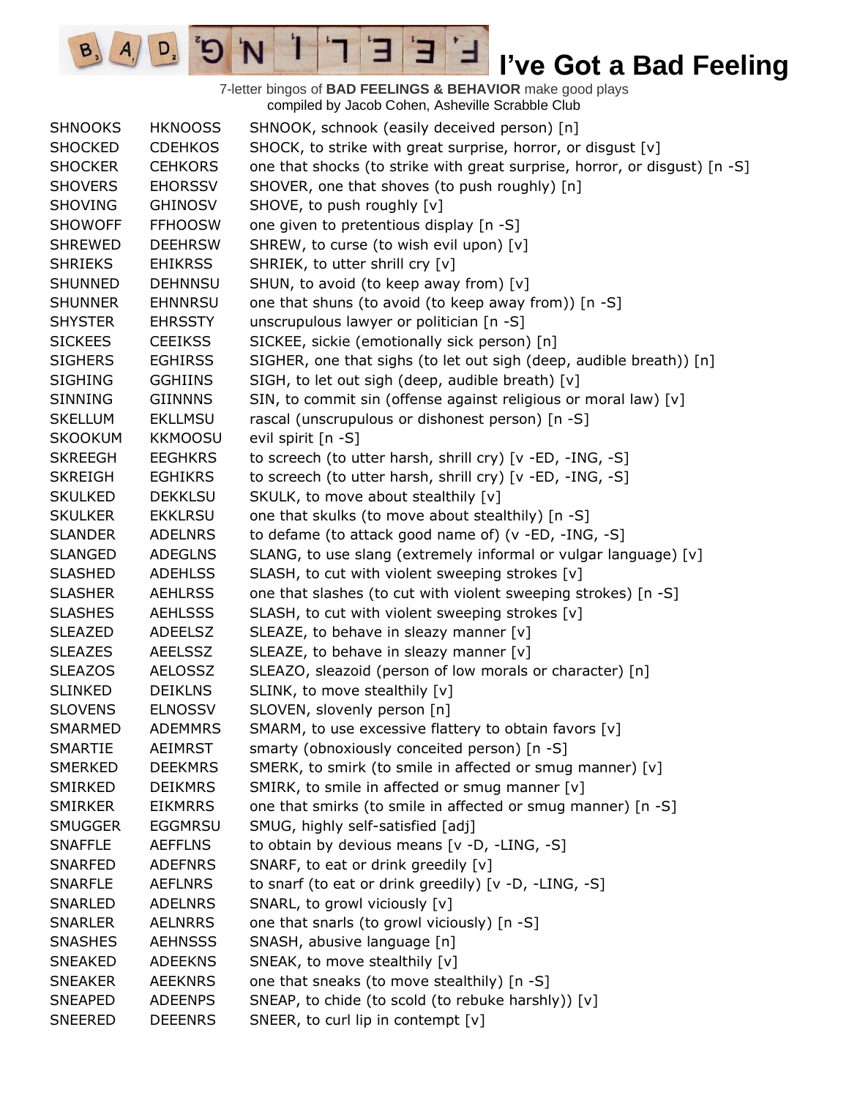7-letter bingos of **BAD FEELINGS & BEHAVIOR** make good plays compiled by Jacob Cohen, Asheville Scrabble Club

 $\overline{E}$ 

Е

 $\frac{1}{2}$ 

'N

 $B, A$ 

 $D_{2}$ 

| <b>SHNOOKS</b> | <b>HKNOOSS</b> | SHNOOK, schnook (easily deceived person) [n]                               |
|----------------|----------------|----------------------------------------------------------------------------|
| <b>SHOCKED</b> | <b>CDEHKOS</b> | SHOCK, to strike with great surprise, horror, or disgust [v]               |
| <b>SHOCKER</b> | <b>CEHKORS</b> | one that shocks (to strike with great surprise, horror, or disgust) [n -S] |
| <b>SHOVERS</b> | <b>EHORSSV</b> | SHOVER, one that shoves (to push roughly) [n]                              |
| <b>SHOVING</b> | GHINOSV        | SHOVE, to push roughly [v]                                                 |
| <b>SHOWOFF</b> | <b>FFHOOSW</b> | one given to pretentious display [n -S]                                    |
| <b>SHREWED</b> | <b>DEEHRSW</b> | SHREW, to curse (to wish evil upon) [v]                                    |
| <b>SHRIEKS</b> | <b>EHIKRSS</b> | SHRIEK, to utter shrill cry [v]                                            |
| <b>SHUNNED</b> | <b>DEHNNSU</b> | SHUN, to avoid (to keep away from) [v]                                     |
| <b>SHUNNER</b> | <b>EHNNRSU</b> | one that shuns (to avoid (to keep away from)) [n -S]                       |
| <b>SHYSTER</b> | <b>EHRSSTY</b> | unscrupulous lawyer or politician [n -S]                                   |
| <b>SICKEES</b> | <b>CEEIKSS</b> | SICKEE, sickie (emotionally sick person) [n]                               |
| <b>SIGHERS</b> | <b>EGHIRSS</b> | SIGHER, one that sighs (to let out sigh (deep, audible breath)) [n]        |
| <b>SIGHING</b> | <b>GGHIINS</b> | SIGH, to let out sigh (deep, audible breath) [v]                           |
| SINNING        | <b>GIINNNS</b> | SIN, to commit sin (offense against religious or moral law) [v]            |
| <b>SKELLUM</b> | <b>EKLLMSU</b> | rascal (unscrupulous or dishonest person) [n -S]                           |
| <b>SKOOKUM</b> | <b>KKMOOSU</b> | evil spirit [n -S]                                                         |
| <b>SKREEGH</b> | <b>EEGHKRS</b> | to screech (to utter harsh, shrill cry) [v -ED, -ING, -S]                  |
| <b>SKREIGH</b> | <b>EGHIKRS</b> | to screech (to utter harsh, shrill cry) [v -ED, -ING, -S]                  |
| <b>SKULKED</b> | <b>DEKKLSU</b> | SKULK, to move about stealthily [v]                                        |
| <b>SKULKER</b> | <b>EKKLRSU</b> | one that skulks (to move about stealthily) [n -S]                          |
| <b>SLANDER</b> | <b>ADELNRS</b> | to defame (to attack good name of) (v -ED, -ING, -S]                       |
| <b>SLANGED</b> | <b>ADEGLNS</b> | SLANG, to use slang (extremely informal or vulgar language) [v]            |
| <b>SLASHED</b> | <b>ADEHLSS</b> | SLASH, to cut with violent sweeping strokes [v]                            |
| <b>SLASHER</b> | <b>AEHLRSS</b> | one that slashes (to cut with violent sweeping strokes) [n -S]             |
| <b>SLASHES</b> | <b>AEHLSSS</b> | SLASH, to cut with violent sweeping strokes [v]                            |
| <b>SLEAZED</b> | <b>ADEELSZ</b> | SLEAZE, to behave in sleazy manner [v]                                     |
| <b>SLEAZES</b> | <b>AEELSSZ</b> | SLEAZE, to behave in sleazy manner [v]                                     |
| <b>SLEAZOS</b> | <b>AELOSSZ</b> | SLEAZO, sleazoid (person of low morals or character) [n]                   |
| <b>SLINKED</b> | <b>DEIKLNS</b> | SLINK, to move stealthily [v]                                              |
| <b>SLOVENS</b> | <b>ELNOSSV</b> | SLOVEN, slovenly person [n]                                                |
| SMARMED        | <b>ADEMMRS</b> | SMARM, to use excessive flattery to obtain favors [v]                      |
| <b>SMARTIE</b> | <b>AEIMRST</b> | smarty (obnoxiously conceited person) [n -S]                               |
| <b>SMERKED</b> | <b>DEEKMRS</b> | SMERK, to smirk (to smile in affected or smug manner) [v]                  |
| SMIRKED        | <b>DEIKMRS</b> | SMIRK, to smile in affected or smug manner [v]                             |
| <b>SMIRKER</b> | <b>EIKMRRS</b> | one that smirks (to smile in affected or smug manner) [n -S]               |
| <b>SMUGGER</b> | <b>EGGMRSU</b> | SMUG, highly self-satisfied [adj]                                          |
| <b>SNAFFLE</b> | <b>AEFFLNS</b> | to obtain by devious means [v -D, -LING, -S]                               |
| <b>SNARFED</b> | <b>ADEFNRS</b> | SNARF, to eat or drink greedily [v]                                        |
| <b>SNARFLE</b> | <b>AEFLNRS</b> | to snarf (to eat or drink greedily) [v -D, -LING, -S]                      |
| <b>SNARLED</b> | <b>ADELNRS</b> | SNARL, to growl viciously [v]                                              |
| <b>SNARLER</b> | <b>AELNRRS</b> | one that snarls (to growl viciously) [n -S]                                |
| <b>SNASHES</b> | <b>AEHNSSS</b> | SNASH, abusive language [n]                                                |
| <b>SNEAKED</b> | <b>ADEEKNS</b> | SNEAK, to move stealthily [v]                                              |
| <b>SNEAKER</b> | <b>AEEKNRS</b> | one that sneaks (to move stealthily) [n -S]                                |
| <b>SNEAPED</b> | <b>ADEENPS</b> | SNEAP, to chide (to scold (to rebuke harshly)) [v]                         |
| <b>SNEERED</b> | <b>DEEENRS</b> | SNEER, to curl lip in contempt [v]                                         |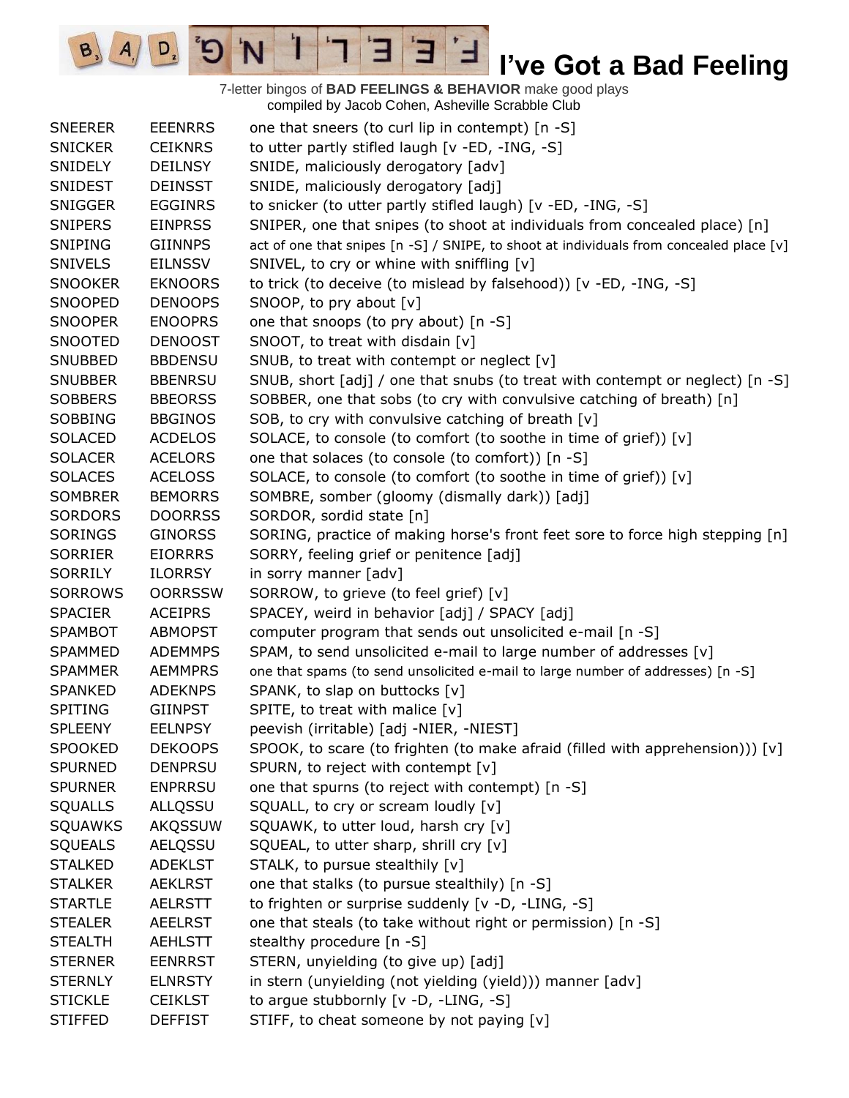7-letter bingos of **BAD FEELINGS & BEHAVIOR** make good plays compiled by Jacob Cohen, Asheville Scrabble Club SNEERER EEENRRS one that sneers (to curl lip in contempt) [n -S] SNICKER CEIKNRS to utter partly stifled laugh [v -ED, -ING, -S] SNIDELY DEILNSY SNIDE, maliciously derogatory [adv] SNIDEST DEINSST SNIDE, maliciously derogatory [adj] SNIGGER EGGINRS to snicker (to utter partly stifled laugh) [v -ED, -ING, -S] SNIPERS EINPRSS SNIPER, one that snipes (to shoot at individuals from concealed place) [n] SNIPING GIINNPS act of one that snipes [n -S] / SNIPE, to shoot at individuals from concealed place [v] SNIVELS EILNSSV SNIVEL, to cry or whine with sniffling [v] SNOOKER EKNOORS to trick (to deceive (to mislead by falsehood)) [v -ED, -ING, -S] SNOOPED DENOOPS SNOOP, to pry about [v] SNOOPER ENOOPRS one that snoops (to pry about) [n -S] SNOOTED DENOOST SNOOT, to treat with disdain [v] SNUBBED BBDENSU SNUB, to treat with contempt or neglect [v] SNUBBER BBENRSU SNUB, short [adj] / one that snubs (to treat with contempt or neglect) [n -S] SOBBERS BBEORSS SOBBER, one that sobs (to cry with convulsive catching of breath) [n] SOBBING BBGINOS SOB, to cry with convulsive catching of breath [v] SOLACED ACDELOS SOLACE, to console (to comfort (to soothe in time of grief))  $[v]$ SOLACER ACELORS one that solaces (to console (to comfort)) [n -S] SOLACES ACELOSS SOLACE, to console (to comfort (to soothe in time of grief)) [v] SOMBRER BEMORRS SOMBRE, somber (gloomy (dismally dark)) [adj] SORDORS DOORRSS SORDOR, sordid state [n] SORINGS GINORSS SORING, practice of making horse's front feet sore to force high stepping [n] SORRIER EIORRRS SORRY, feeling grief or penitence [adj] SORRILY ILORRSY in sorry manner [adv] SORROWS OORRSSW SORROW, to grieve (to feel grief) [v] SPACIER ACEIPRS SPACEY, weird in behavior [adj] / SPACY [adj] SPAMBOT ABMOPST computer program that sends out unsolicited e-mail [n -S] SPAMMED ADEMMPS SPAM, to send unsolicited e-mail to large number of addresses [v] SPAMMER AEMMPRS one that spams (to send unsolicited e-mail to large number of addresses) [n -S] SPANKED ADEKNPS SPANK, to slap on buttocks [v] SPITING GIINPST SPITE, to treat with malice [v] SPLEENY EELNPSY peevish (irritable) [adj -NIER, -NIEST] SPOOKED DEKOOPS SPOOK, to scare (to frighten (to make afraid (filled with apprehension))) [v] SPURNED DENPRSU SPURN, to reject with contempt [v] SPURNER ENPRRSU one that spurns (to reject with contempt) [n -S] SQUALLS ALLQSSU SQUALL, to cry or scream loudly [v] SQUAWKS AKQSSUW SQUAWK, to utter loud, harsh cry [v] SQUEALS AELQSSU SQUEAL, to utter sharp, shrill cry [v] STALKED ADEKLST STALK, to pursue stealthily [v] STALKER AEKLRST one that stalks (to pursue stealthily) [n -S] STARTLE AELRSTT to frighten or surprise suddenly [v -D, -LING, -S] STEALER AEELRST one that steals (to take without right or permission) [n -S] STEALTH AEHLSTT stealthy procedure [n -S] STERNER EENRRST STERN, unyielding (to give up) [adj] STERNLY ELNRSTY in stern (unyielding (not yielding (yield))) manner [adv] STICKLE CEIKLST to argue stubbornly [v -D, -LING, -S] STIFFED DEFFIST STIFF, to cheat someone by not paying [v]

H

 $A/\sqrt{D}$   $D$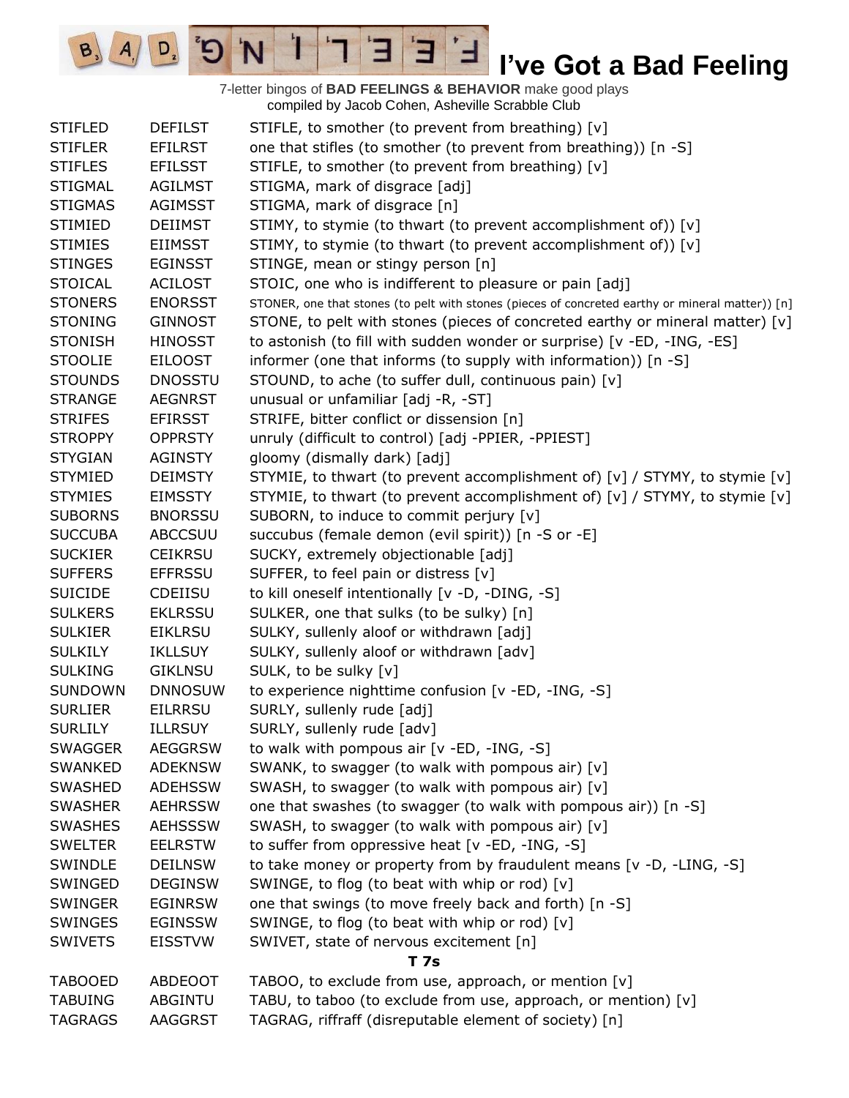7-letter bingos of **BAD FEELINGS & BEHAVIOR** make good plays compiled by Jacob Cohen, Asheville Scrabble Club

 $\overline{E}$ 

3

 $\frac{1}{2}$ 

'N

 $B_3$ 

 $A_{1}$ 

 $D_{2}$ 

| <b>STIFLED</b> | <b>DEFILST</b> | STIFLE, to smother (to prevent from breathing) [v]                                               |  |  |
|----------------|----------------|--------------------------------------------------------------------------------------------------|--|--|
| <b>STIFLER</b> | <b>EFILRST</b> | one that stifles (to smother (to prevent from breathing)) [n -S]                                 |  |  |
| <b>STIFLES</b> | <b>EFILSST</b> | STIFLE, to smother (to prevent from breathing) [v]                                               |  |  |
| <b>STIGMAL</b> | <b>AGILMST</b> | STIGMA, mark of disgrace [adj]                                                                   |  |  |
| <b>STIGMAS</b> | <b>AGIMSST</b> | STIGMA, mark of disgrace [n]                                                                     |  |  |
| <b>STIMIED</b> | <b>DEIIMST</b> | STIMY, to stymie (to thwart (to prevent accomplishment of)) [v]                                  |  |  |
| <b>STIMIES</b> | <b>EIIMSST</b> | STIMY, to stymie (to thwart (to prevent accomplishment of)) [v]                                  |  |  |
| <b>STINGES</b> | <b>EGINSST</b> | STINGE, mean or stingy person [n]                                                                |  |  |
| <b>STOICAL</b> | <b>ACILOST</b> | STOIC, one who is indifferent to pleasure or pain [adj]                                          |  |  |
| <b>STONERS</b> | <b>ENORSST</b> | STONER, one that stones (to pelt with stones (pieces of concreted earthy or mineral matter)) [n] |  |  |
| <b>STONING</b> | <b>GINNOST</b> | STONE, to pelt with stones (pieces of concreted earthy or mineral matter) [v]                    |  |  |
| <b>STONISH</b> | <b>HINOSST</b> | to astonish (to fill with sudden wonder or surprise) [v -ED, -ING, -ES]                          |  |  |
| <b>STOOLIE</b> | <b>EILOOST</b> | informer (one that informs (to supply with information)) [n -S]                                  |  |  |
| <b>STOUNDS</b> | <b>DNOSSTU</b> | STOUND, to ache (to suffer dull, continuous pain) [v]                                            |  |  |
| <b>STRANGE</b> | <b>AEGNRST</b> | unusual or unfamiliar [adj -R, -ST]                                                              |  |  |
| <b>STRIFES</b> | <b>EFIRSST</b> | STRIFE, bitter conflict or dissension [n]                                                        |  |  |
| <b>STROPPY</b> | <b>OPPRSTY</b> | unruly (difficult to control) [adj -PPIER, -PPIEST]                                              |  |  |
| <b>STYGIAN</b> | <b>AGINSTY</b> | gloomy (dismally dark) [adj]                                                                     |  |  |
| <b>STYMIED</b> | <b>DEIMSTY</b> | STYMIE, to thwart (to prevent accomplishment of) $[v] / STYMY$ , to stymie $[v]$                 |  |  |
| <b>STYMIES</b> | <b>EIMSSTY</b> | STYMIE, to thwart (to prevent accomplishment of) [v] / STYMY, to stymie [v]                      |  |  |
| <b>SUBORNS</b> | <b>BNORSSU</b> | SUBORN, to induce to commit perjury [v]                                                          |  |  |
| <b>SUCCUBA</b> | <b>ABCCSUU</b> | succubus (female demon (evil spirit)) [n -S or -E]                                               |  |  |
| <b>SUCKIER</b> | <b>CEIKRSU</b> | SUCKY, extremely objectionable [adj]                                                             |  |  |
| <b>SUFFERS</b> | <b>EFFRSSU</b> | SUFFER, to feel pain or distress [v]                                                             |  |  |
| <b>SUICIDE</b> | <b>CDEIISU</b> | to kill oneself intentionally [v -D, -DING, -S]                                                  |  |  |
| <b>SULKERS</b> | <b>EKLRSSU</b> | SULKER, one that sulks (to be sulky) [n]                                                         |  |  |
| <b>SULKIER</b> | <b>EIKLRSU</b> | SULKY, sullenly aloof or withdrawn [adj]                                                         |  |  |
| <b>SULKILY</b> | <b>IKLLSUY</b> | SULKY, sullenly aloof or withdrawn [adv]                                                         |  |  |
| <b>SULKING</b> | <b>GIKLNSU</b> | SULK, to be sulky [v]                                                                            |  |  |
| <b>SUNDOWN</b> | <b>DNNOSUW</b> | to experience nighttime confusion [v -ED, -ING, -S]                                              |  |  |
| <b>SURLIER</b> | <b>EILRRSU</b> | SURLY, sullenly rude [adj]                                                                       |  |  |
| <b>SURLILY</b> | <b>ILLRSUY</b> | SURLY, sullenly rude [adv]                                                                       |  |  |
| SWAGGER        | <b>AEGGRSW</b> | to walk with pompous air $[v - ED, -ING, -S]$                                                    |  |  |
| SWANKED        | <b>ADEKNSW</b> | SWANK, to swagger (to walk with pompous air) [v]                                                 |  |  |
| SWASHED        | <b>ADEHSSW</b> | SWASH, to swagger (to walk with pompous air) [v]                                                 |  |  |
| <b>SWASHER</b> | <b>AEHRSSW</b> | one that swashes (to swagger (to walk with pompous air)) [n -S]                                  |  |  |
| <b>SWASHES</b> | <b>AEHSSSW</b> | SWASH, to swagger (to walk with pompous air) [v]                                                 |  |  |
| <b>SWELTER</b> | <b>EELRSTW</b> | to suffer from oppressive heat [v -ED, -ING, -S]                                                 |  |  |
| SWINDLE        | <b>DEILNSW</b> | to take money or property from by fraudulent means [v -D, -LING, -S]                             |  |  |
| SWINGED        | <b>DEGINSW</b> | SWINGE, to flog (to beat with whip or rod) [v]                                                   |  |  |
| <b>SWINGER</b> | <b>EGINRSW</b> | one that swings (to move freely back and forth) [n -S]                                           |  |  |
| <b>SWINGES</b> | <b>EGINSSW</b> | SWINGE, to flog (to beat with whip or rod) [v]                                                   |  |  |
| <b>SWIVETS</b> | <b>EISSTVW</b> | SWIVET, state of nervous excitement [n]                                                          |  |  |
|                | <b>T7s</b>     |                                                                                                  |  |  |
| <b>TABOOED</b> | ABDEOOT        | TABOO, to exclude from use, approach, or mention [v]                                             |  |  |
| TABUING        | ABGINTU        | TABU, to taboo (to exclude from use, approach, or mention) [v]                                   |  |  |
| <b>TAGRAGS</b> | AAGGRST        | TAGRAG, riffraff (disreputable element of society) [n]                                           |  |  |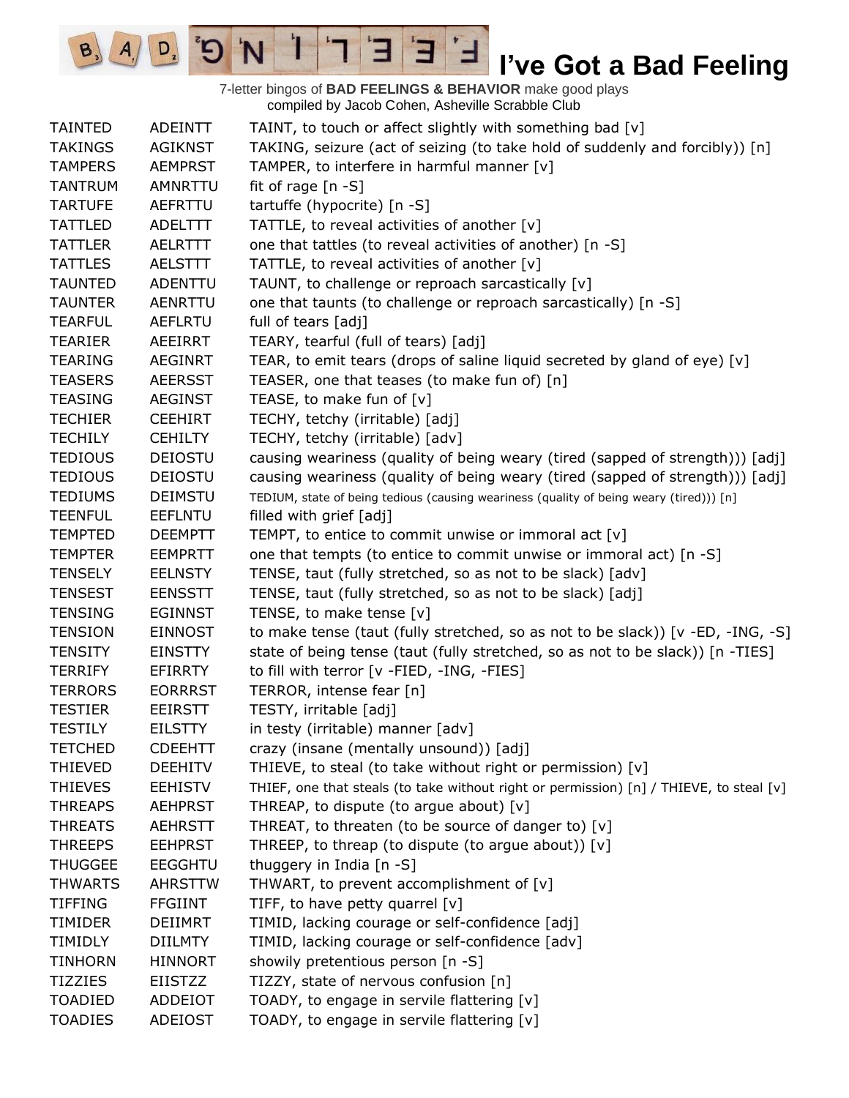7-letter bingos of **BAD FEELINGS & BEHAVIOR** make good plays compiled by Jacob Cohen, Asheville Scrabble Club

 $\mathbf{E}$ 

ᅼ

E

 $\mathbf{I}$ 

'N

 $B_3$ 

 $A_{1}$ 

 $D_{2}$ 

| <b>TAINTED</b> | ADEINTT        | TAINT, to touch or affect slightly with something bad [v]                               |
|----------------|----------------|-----------------------------------------------------------------------------------------|
| <b>TAKINGS</b> | <b>AGIKNST</b> | TAKING, seizure (act of seizing (to take hold of suddenly and forcibly)) [n]            |
| <b>TAMPERS</b> | <b>AEMPRST</b> | TAMPER, to interfere in harmful manner [v]                                              |
| <b>TANTRUM</b> | AMNRTTU        | fit of rage [n -S]                                                                      |
| <b>TARTUFE</b> | AEFRTTU        | tartuffe (hypocrite) [n -S]                                                             |
| <b>TATTLED</b> | ADELTTT        | TATTLE, to reveal activities of another [v]                                             |
| <b>TATTLER</b> | AELRTTT        | one that tattles (to reveal activities of another) [n -S]                               |
| <b>TATTLES</b> | <b>AELSTTT</b> | TATTLE, to reveal activities of another [v]                                             |
| <b>TAUNTED</b> | ADENTTU        | TAUNT, to challenge or reproach sarcastically [v]                                       |
| <b>TAUNTER</b> | <b>AENRTTU</b> | one that taunts (to challenge or reproach sarcastically) [n -S]                         |
| <b>TEARFUL</b> | <b>AEFLRTU</b> | full of tears [adj]                                                                     |
| <b>TEARIER</b> | AEEIRRT        | TEARY, tearful (full of tears) [adj]                                                    |
| <b>TEARING</b> | <b>AEGINRT</b> | TEAR, to emit tears (drops of saline liquid secreted by gland of eye) [v]               |
| <b>TEASERS</b> | <b>AEERSST</b> | TEASER, one that teases (to make fun of) [n]                                            |
| <b>TEASING</b> | <b>AEGINST</b> | TEASE, to make fun of [v]                                                               |
| <b>TECHIER</b> | <b>CEEHIRT</b> | TECHY, tetchy (irritable) [adj]                                                         |
| <b>TECHILY</b> | <b>CEHILTY</b> | TECHY, tetchy (irritable) [adv]                                                         |
| <b>TEDIOUS</b> | <b>DEIOSTU</b> | causing weariness (quality of being weary (tired (sapped of strength))) [adj]           |
| <b>TEDIOUS</b> | <b>DEIOSTU</b> | causing weariness (quality of being weary (tired (sapped of strength))) [adj]           |
| <b>TEDIUMS</b> | <b>DEIMSTU</b> | TEDIUM, state of being tedious (causing weariness (quality of being weary (tired))) [n] |
| <b>TEENFUL</b> | <b>EEFLNTU</b> | filled with grief [adj]                                                                 |
| <b>TEMPTED</b> | <b>DEEMPTT</b> | TEMPT, to entice to commit unwise or immoral act [v]                                    |
| <b>TEMPTER</b> | <b>EEMPRTT</b> | one that tempts (to entice to commit unwise or immoral act) [n -S]                      |
| <b>TENSELY</b> | <b>EELNSTY</b> | TENSE, taut (fully stretched, so as not to be slack) [adv]                              |
| <b>TENSEST</b> | <b>EENSSTT</b> | TENSE, taut (fully stretched, so as not to be slack) [adj]                              |
| <b>TENSING</b> | <b>EGINNST</b> | TENSE, to make tense [v]                                                                |
| <b>TENSION</b> | <b>EINNOST</b> | to make tense (taut (fully stretched, so as not to be slack)) [v -ED, -ING, -S]         |
| <b>TENSITY</b> | <b>EINSTTY</b> | state of being tense (taut (fully stretched, so as not to be slack)) [n -TIES]          |
| <b>TERRIFY</b> | <b>EFIRRTY</b> | to fill with terror [v -FIED, -ING, -FIES]                                              |
| <b>TERRORS</b> | <b>EORRRST</b> | TERROR, intense fear [n]                                                                |
| <b>TESTIER</b> | <b>EEIRSTT</b> | TESTY, irritable [adj]                                                                  |
| <b>TESTILY</b> | <b>EILSTTY</b> | in testy (irritable) manner [adv]                                                       |
| <b>TETCHED</b> | <b>CDEEHTT</b> | crazy (insane (mentally unsound)) [adj]                                                 |
| <b>THIEVED</b> | <b>DEEHITV</b> | THIEVE, to steal (to take without right or permission) [v]                              |
| <b>THIEVES</b> | <b>EEHISTV</b> | THIEF, one that steals (to take without right or permission) [n] / THIEVE, to steal [v] |
| <b>THREAPS</b> | <b>AEHPRST</b> | THREAP, to dispute (to argue about) [v]                                                 |
| <b>THREATS</b> | <b>AEHRSTT</b> | THREAT, to threaten (to be source of danger to) [v]                                     |
| <b>THREEPS</b> | <b>EEHPRST</b> | THREEP, to threap (to dispute (to argue about)) [v]                                     |
| <b>THUGGEE</b> | <b>EEGGHTU</b> | thuggery in India [n -S]                                                                |
| <b>THWARTS</b> | <b>AHRSTTW</b> | THWART, to prevent accomplishment of [v]                                                |
| <b>TIFFING</b> | <b>FFGIINT</b> | TIFF, to have petty quarrel [v]                                                         |
| <b>TIMIDER</b> | <b>DEIIMRT</b> | TIMID, lacking courage or self-confidence [adj]                                         |
| <b>TIMIDLY</b> | <b>DIILMTY</b> | TIMID, lacking courage or self-confidence [adv]                                         |
| <b>TINHORN</b> | <b>HINNORT</b> | showily pretentious person [n -S]                                                       |
| <b>TIZZIES</b> | EIISTZZ        | TIZZY, state of nervous confusion [n]                                                   |
| <b>TOADIED</b> | ADDEIOT        | TOADY, to engage in servile flattering [v]                                              |
| <b>TOADIES</b> | <b>ADEIOST</b> | TOADY, to engage in servile flattering [v]                                              |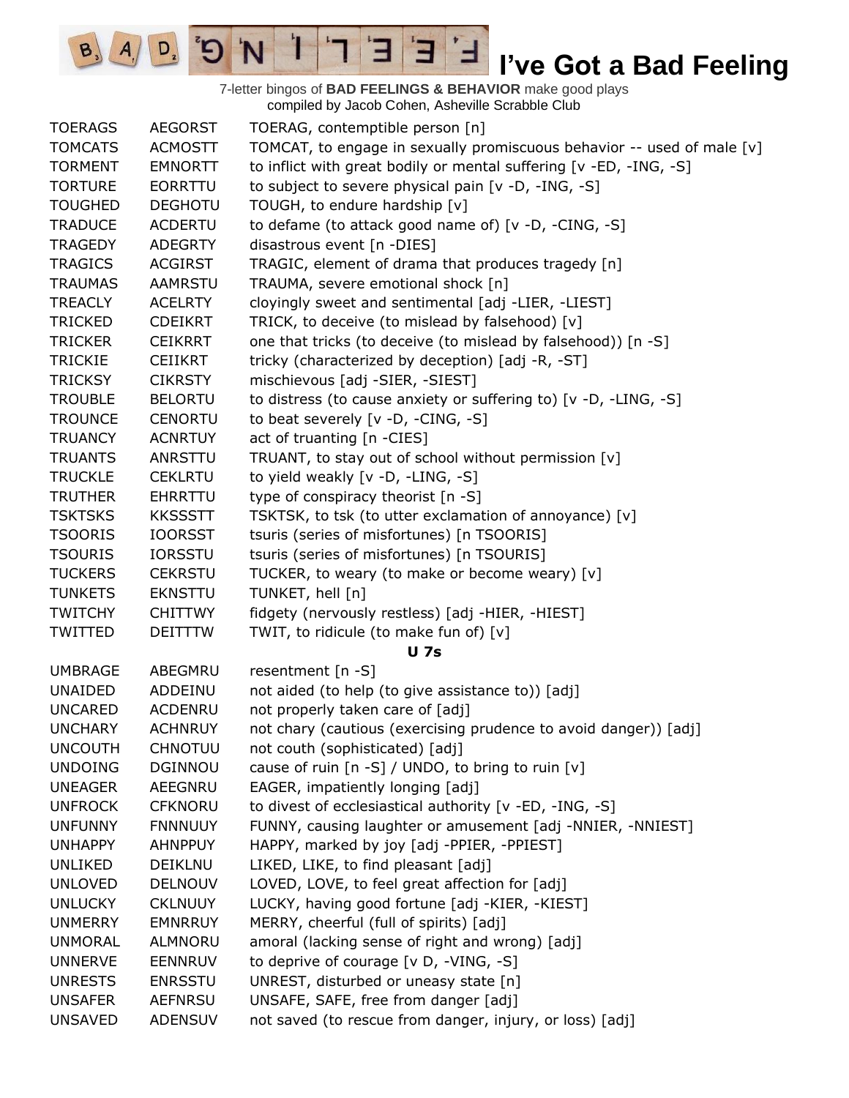7-letter bingos of **BAD FEELINGS & BEHAVIOR** make good plays compiled by Jacob Cohen, Asheville Scrabble Club

 $E$ 

Ⅎ

3

 $\mathbf{I}$ 

'N

 $\mathbf{G}^{\mathbf{s}}$ 

 $\boxed{\mathsf{D}_2}$ 

 $B_3$   $A_1$ 

| <b>TOERAGS</b> | <b>AEGORST</b> | TOERAG, contemptible person [n]                                        |
|----------------|----------------|------------------------------------------------------------------------|
| <b>TOMCATS</b> | <b>ACMOSTT</b> | TOMCAT, to engage in sexually promiscuous behavior -- used of male [v] |
| <b>TORMENT</b> | <b>EMNORTT</b> | to inflict with great bodily or mental suffering [v -ED, -ING, -S]     |
| <b>TORTURE</b> | EORRTTU        | to subject to severe physical pain [v -D, -ING, -S]                    |
| <b>TOUGHED</b> | <b>DEGHOTU</b> | TOUGH, to endure hardship [v]                                          |
| <b>TRADUCE</b> | <b>ACDERTU</b> | to defame (to attack good name of) [v -D, -CING, -S]                   |
| <b>TRAGEDY</b> | <b>ADEGRTY</b> | disastrous event [n -DIES]                                             |
| <b>TRAGICS</b> | <b>ACGIRST</b> | TRAGIC, element of drama that produces tragedy [n]                     |
| <b>TRAUMAS</b> | <b>AAMRSTU</b> | TRAUMA, severe emotional shock [n]                                     |
| <b>TREACLY</b> | <b>ACELRTY</b> | cloyingly sweet and sentimental [adj -LIER, -LIEST]                    |
| <b>TRICKED</b> | <b>CDEIKRT</b> | TRICK, to deceive (to mislead by falsehood) [v]                        |
| <b>TRICKER</b> | <b>CEIKRRT</b> | one that tricks (to deceive (to mislead by falsehood)) [n -S]          |
| <b>TRICKIE</b> | <b>CEIIKRT</b> | tricky (characterized by deception) [adj -R, -ST]                      |
| <b>TRICKSY</b> | <b>CIKRSTY</b> | mischievous [adj -SIER, -SIEST]                                        |
| <b>TROUBLE</b> | <b>BELORTU</b> | to distress (to cause anxiety or suffering to) [v -D, -LING, -S]       |
| <b>TROUNCE</b> | <b>CENORTU</b> | to beat severely [v -D, -CING, -S]                                     |
| <b>TRUANCY</b> | <b>ACNRTUY</b> | act of truanting [n -CIES]                                             |
| <b>TRUANTS</b> | ANRSTTU        | TRUANT, to stay out of school without permission [v]                   |
| <b>TRUCKLE</b> | <b>CEKLRTU</b> | to yield weakly [v -D, -LING, -S]                                      |
| <b>TRUTHER</b> | <b>EHRRTTU</b> | type of conspiracy theorist [n -S]                                     |
| <b>TSKTSKS</b> | <b>KKSSSTT</b> | TSKTSK, to tsk (to utter exclamation of annoyance) [v]                 |
| <b>TSOORIS</b> | <b>IOORSST</b> | tsuris (series of misfortunes) [n TSOORIS]                             |
| <b>TSOURIS</b> | <b>IORSSTU</b> | tsuris (series of misfortunes) [n TSOURIS]                             |
| <b>TUCKERS</b> | <b>CEKRSTU</b> | TUCKER, to weary (to make or become weary) [v]                         |
| <b>TUNKETS</b> | <b>EKNSTTU</b> | TUNKET, hell [n]                                                       |
| <b>TWITCHY</b> | <b>CHITTWY</b> | fidgety (nervously restless) [adj -HIER, -HIEST]                       |
| TWITTED        | <b>DEITTTW</b> | TWIT, to ridicule (to make fun of) [v]                                 |
|                |                | <b>U</b> 7s                                                            |
| <b>UMBRAGE</b> | ABEGMRU        | resentment $[n - S]$                                                   |
| <b>UNAIDED</b> | ADDEINU        | not aided (to help (to give assistance to)) [adj]                      |
| <b>UNCARED</b> | ACDENRU        | not properly taken care of [adj]                                       |
| <b>UNCHARY</b> | <b>ACHNRUY</b> | not chary (cautious (exercising prudence to avoid danger)) [adj]       |
| <b>UNCOUTH</b> | CHNOTUU        | not couth (sophisticated) [adj]                                        |
| <b>UNDOING</b> | DGINNOU        | cause of ruin $[n-S] / UNDO$ , to bring to ruin $[v]$                  |
| <b>UNEAGER</b> | AEEGNRU        | EAGER, impatiently longing [adj]                                       |
| <b>UNFROCK</b> | <b>CFKNORU</b> | to divest of ecclesiastical authority [v -ED, -ING, -S]                |
| <b>UNFUNNY</b> | <b>FNNNUUY</b> | FUNNY, causing laughter or amusement [adj -NNIER, -NNIEST]             |
| <b>UNHAPPY</b> | <b>AHNPPUY</b> | HAPPY, marked by joy [adj -PPIER, -PPIEST]                             |
| <b>UNLIKED</b> | DEIKLNU        | LIKED, LIKE, to find pleasant [adj]                                    |
| <b>UNLOVED</b> | <b>DELNOUV</b> | LOVED, LOVE, to feel great affection for [adj]                         |
| <b>UNLUCKY</b> | <b>CKLNUUY</b> | LUCKY, having good fortune [adj -KIER, -KIEST]                         |
| <b>UNMERRY</b> | <b>EMNRRUY</b> | MERRY, cheerful (full of spirits) [adj]                                |
| <b>UNMORAL</b> | ALMNORU        | amoral (lacking sense of right and wrong) [adj]                        |
| <b>UNNERVE</b> | <b>EENNRUV</b> | to deprive of courage [v D, -VING, -S]                                 |
| <b>UNRESTS</b> | <b>ENRSSTU</b> | UNREST, disturbed or uneasy state [n]                                  |
| <b>UNSAFER</b> | <b>AEFNRSU</b> | UNSAFE, SAFE, free from danger [adj]                                   |
| <b>UNSAVED</b> | <b>ADENSUV</b> | not saved (to rescue from danger, injury, or loss) [adj]               |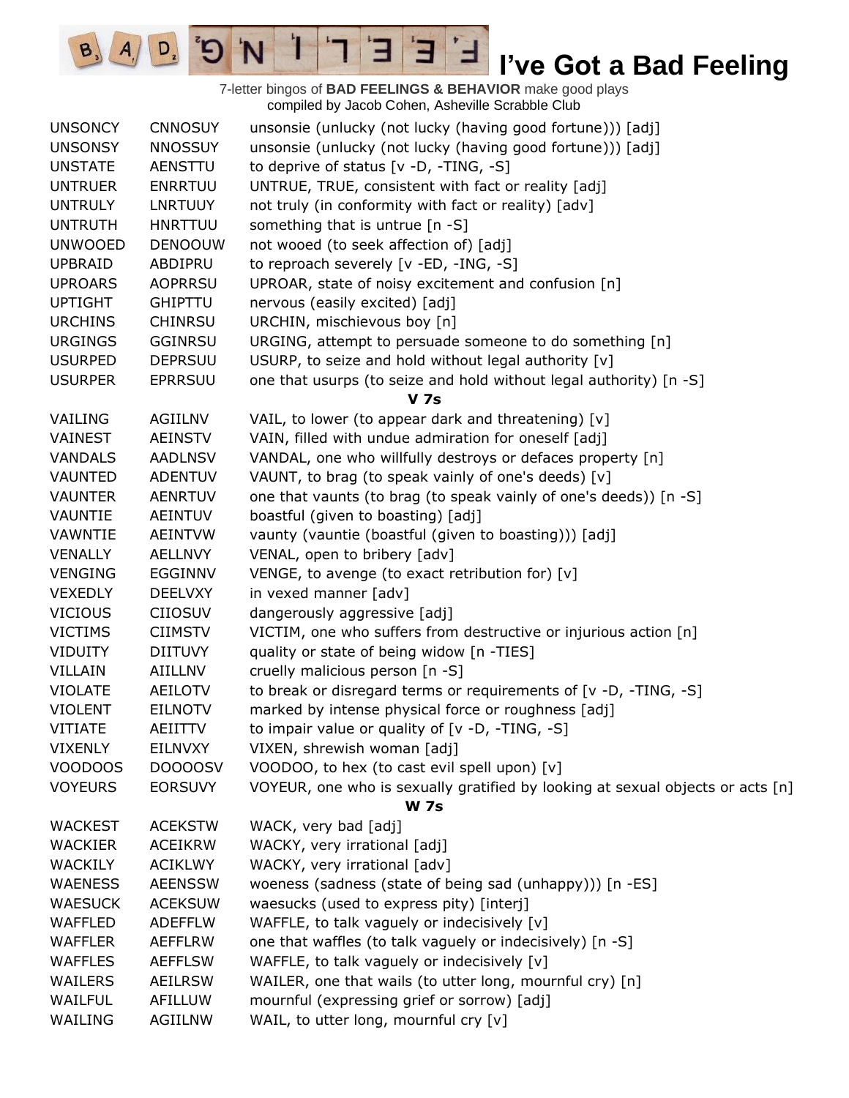7-letter bingos of **BAD FEELINGS & BEHAVIOR** make good plays compiled by Jacob Cohen, Asheville Scrabble Club UNSONCY CNNOSUY unsonsie (unlucky (not lucky (having good fortune))) [adj] UNSONSY NNOSSUY unsonsie (unlucky (not lucky (having good fortune))) [adj] UNSTATE AENSTTU to deprive of status [v -D, -TING, -S] UNTRUER ENRRTUU UNTRUE, TRUE, consistent with fact or reality [adj] UNTRULY LNRTUUY not truly (in conformity with fact or reality) [adv] UNTRUTH HNRTTUU something that is untrue [n -S] UNWOOED DENOOUW not wooed (to seek affection of) [adj] UPBRAID ABDIPRU to reproach severely [v -ED, -ING, -S] UPROARS AOPRRSU UPROAR, state of noisy excitement and confusion [n] UPTIGHT GHIPTTU nervous (easily excited) [adj] URCHINS CHINRSU URCHIN, mischievous boy [n] URGINGS GGINRSU URGING, attempt to persuade someone to do something [n] USURPED DEPRSUU USURP, to seize and hold without legal authority [v] USURPER EPRRSUU one that usurps (to seize and hold without legal authority) [n -S] **V 7s** VAILING AGIILNV VAIL, to lower (to appear dark and threatening) [v] VAINEST AEINSTV VAIN, filled with undue admiration for oneself [adj] VANDALS AADLNSV VANDAL, one who willfully destroys or defaces property [n] VAUNTED ADENTUV VAUNT, to brag (to speak vainly of one's deeds)  $[v]$ VAUNTER AENRTUV one that vaunts (to brag (to speak vainly of one's deeds)) [n -S] VAUNTIE AEINTUV boastful (given to boasting) [adj] VAWNTIE AEINTVW vaunty (vauntie (boastful (given to boasting))) [adj] VENALLY AELLNVY VENAL, open to bribery [adv] VENGING EGGINNV VENGE, to avenge (to exact retribution for) [v] VEXEDLY DEELVXY in vexed manner [adv] VICIOUS CIIOSUV dangerously aggressive [adj] VICTIMS CIIMSTV VICTIM, one who suffers from destructive or injurious action [n] VIDUITY DIITUVY quality or state of being widow [n -TIES] VILLAIN AIILLNV cruelly malicious person [n -S] VIOLATE AEILOTV to break or disregard terms or requirements of [v -D, -TING, -S] VIOLENT EILNOTV marked by intense physical force or roughness [adj] VITIATE AEIITTV to impair value or quality of [v -D, -TING, -S] VIXENLY EILNVXY VIXEN, shrewish woman [adj] VOODOOS DOOOOSV VOODOO, to hex (to cast evil spell upon) [v] VOYEURS EORSUVY VOYEUR, one who is sexually gratified by looking at sexual objects or acts [n] **W 7s** WACKEST ACEKSTW WACK, very bad [adj] WACKIER ACEIKRW WACKY, very irrational [adj] WACKILY ACIKLWY WACKY, very irrational [adv] WAENESS AEENSSW woeness (sadness (state of being sad (unhappy))) [n -ES] WAESUCK ACEKSUW waesucks (used to express pity) [interj] WAFFLED ADEFFLW WAFFLE, to talk vaguely or indecisively [v] WAFFLER AEFFLRW one that waffles (to talk vaguely or indecisively) [n -S] WAFFLES AEFFLSW WAFFLE, to talk vaguely or indecisively [v] WAILERS AEILRSW WAILER, one that wails (to utter long, mournful cry) [n] WAILFUL AFILLUW mournful (expressing grief or sorrow) [adj] WAILING AGIILNW WAIL, to utter long, mournful cry [v]

Е

 $D$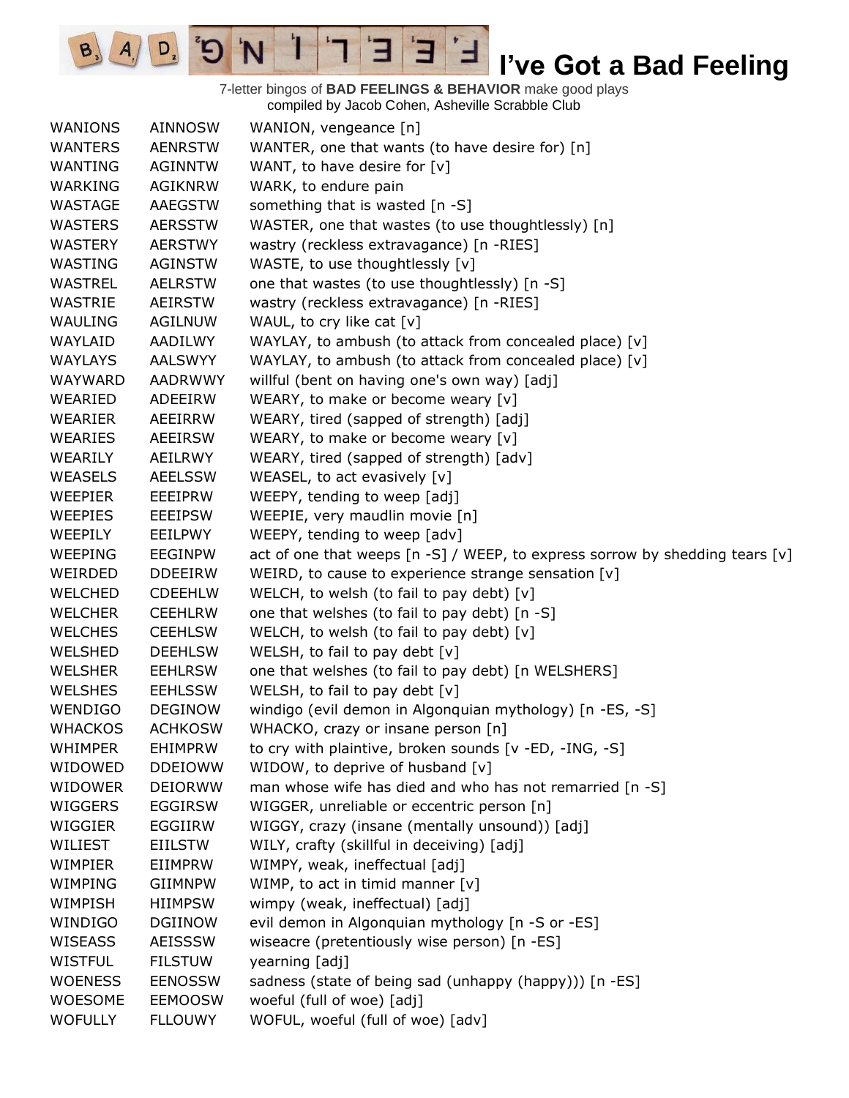7-letter bingos of **BAD FEELINGS & BEHAVIOR** make good plays compiled by Jacob Cohen, Asheville Scrabble Club

 $\mathbf{E}$ 

Ⅎ

3

 $\mathbf{1}$ 

'N

 $B_3$ 

 $A_{1}$ 

 $D_{2}$ 

| WANIONS        | <b>AINNOSW</b> | WANION, vengeance [n]                                                            |
|----------------|----------------|----------------------------------------------------------------------------------|
| <b>WANTERS</b> | <b>AENRSTW</b> | WANTER, one that wants (to have desire for) [n]                                  |
| WANTING        | <b>AGINNTW</b> | WANT, to have desire for $[v]$                                                   |
| WARKING        | <b>AGIKNRW</b> | WARK, to endure pain                                                             |
| WASTAGE        | AAEGSTW        | something that is wasted [n -S]                                                  |
| <b>WASTERS</b> | <b>AERSSTW</b> | WASTER, one that wastes (to use thoughtlessly) [n]                               |
| WASTERY        | <b>AERSTWY</b> | wastry (reckless extravagance) [n -RIES]                                         |
| WASTING        | <b>AGINSTW</b> | WASTE, to use thoughtlessly [v]                                                  |
| <b>WASTREL</b> | <b>AELRSTW</b> | one that wastes (to use thoughtlessly) [n -S]                                    |
| WASTRIE        | AEIRSTW        | wastry (reckless extravagance) [n -RIES]                                         |
| WAULING        | <b>AGILNUW</b> | WAUL, to cry like cat [v]                                                        |
| WAYLAID        | AADILWY        | WAYLAY, to ambush (to attack from concealed place) [v]                           |
| <b>WAYLAYS</b> | <b>AALSWYY</b> | WAYLAY, to ambush (to attack from concealed place) [v]                           |
| WAYWARD        | <b>AADRWWY</b> | willful (bent on having one's own way) [adj]                                     |
| WEARIED        | ADEEIRW        | WEARY, to make or become weary [v]                                               |
| WEARIER        | AEEIRRW        | WEARY, tired (sapped of strength) [adj]                                          |
| WEARIES        | AEEIRSW        | WEARY, to make or become weary [v]                                               |
| WEARILY        | AEILRWY        | WEARY, tired (sapped of strength) [adv]                                          |
| <b>WEASELS</b> | <b>AEELSSW</b> | WEASEL, to act evasively [v]                                                     |
| <b>WEEPIER</b> | EEEIPRW        | WEEPY, tending to weep [adj]                                                     |
| <b>WEEPIES</b> | <b>EEEIPSW</b> | WEEPIE, very maudlin movie [n]                                                   |
| WEEPILY        | EEILPWY        | WEEPY, tending to weep [adv]                                                     |
| WEEPING        | EEGINPW        | act of one that weeps $[n -S]$ / WEEP, to express sorrow by shedding tears $[v]$ |
| WEIRDED        | <b>DDEEIRW</b> | WEIRD, to cause to experience strange sensation [v]                              |
| WELCHED        | <b>CDEEHLW</b> | WELCH, to welsh (to fail to pay debt) [v]                                        |
| WELCHER        | <b>CEEHLRW</b> | one that welshes (to fail to pay debt) [n -S]                                    |
| <b>WELCHES</b> | <b>CEEHLSW</b> | WELCH, to welsh (to fail to pay debt) [v]                                        |
| WELSHED        | <b>DEEHLSW</b> | WELSH, to fail to pay debt [v]                                                   |
| WELSHER        | <b>EEHLRSW</b> | one that welshes (to fail to pay debt) [n WELSHERS]                              |
| <b>WELSHES</b> | <b>EEHLSSW</b> | WELSH, to fail to pay debt [v]                                                   |
| <b>WENDIGO</b> | <b>DEGINOW</b> | windigo (evil demon in Algonquian mythology) [n -ES, -S]                         |
| <b>WHACKOS</b> | <b>ACHKOSW</b> | WHACKO, crazy or insane person [n]                                               |
| <b>WHIMPER</b> | <b>EHIMPRW</b> | to cry with plaintive, broken sounds [v -ED, -ING, -S]                           |
| WIDOWED        | <b>DDEIOWW</b> | WIDOW, to deprive of husband [v]                                                 |
| <b>WIDOWER</b> | <b>DEIORWW</b> | man whose wife has died and who has not remarried [n -S]                         |
| <b>WIGGERS</b> | <b>EGGIRSW</b> | WIGGER, unreliable or eccentric person [n]                                       |
| WIGGIER        | EGGIIRW        | WIGGY, crazy (insane (mentally unsound)) [adj]                                   |
| WILIEST        | EIILSTW        | WILY, crafty (skillful in deceiving) [adj]                                       |
| WIMPIER        | EIIMPRW        | WIMPY, weak, ineffectual [adj]                                                   |
| WIMPING        | <b>GIIMNPW</b> | WIMP, to act in timid manner $[v]$                                               |
| WIMPISH        | <b>HIIMPSW</b> | wimpy (weak, ineffectual) [adj]                                                  |
| WINDIGO        | <b>DGIINOW</b> | evil demon in Algonquian mythology [n -S or -ES]                                 |
| WISEASS        | <b>AEISSSW</b> | wiseacre (pretentiously wise person) [n -ES]                                     |
| <b>WISTFUL</b> | <b>FILSTUW</b> | yearning [adj]                                                                   |
| <b>WOENESS</b> | <b>EENOSSW</b> | sadness (state of being sad (unhappy (happy))) [n -ES]                           |
| <b>WOESOME</b> | <b>EEMOOSW</b> | woeful (full of woe) [adj]                                                       |
| <b>WOFULLY</b> | <b>FLLOUWY</b> | WOFUL, woeful (full of woe) [adv]                                                |